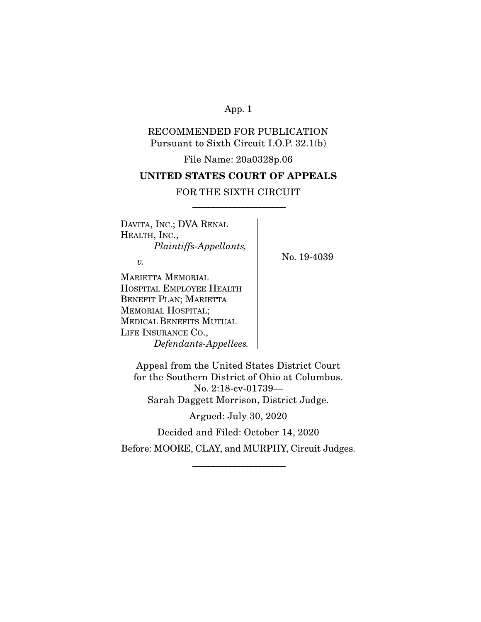# RECOMMENDED FOR PUBLICATION Pursuant to Sixth Circuit I.O.P. 32.1(b)

File Name: 20a0328p.06

# **UNITED STATES COURT OF APPEALS**

# FOR THE SIXTH CIRCUIT -----------------------------------------------------------------------

DAVITA, INC.; DVA RENAL HEALTH, INC.,  *Plaintiffs-Appellants,* 

 $\upsilon$ .

No. 19-4039

MARIETTA MEMORIAL HOSPITAL EMPLOYEE HEALTH BENEFIT PLAN; MARIETTA MEMORIAL HOSPITAL; MEDICAL BENEFITS MUTUAL LIFE INSURANCE CO.,  *Defendants-Appellees.*

Appeal from the United States District Court for the Southern District of Ohio at Columbus. No. 2:18-cv-01739— Sarah Daggett Morrison, District Judge.

Argued: July 30, 2020

Decided and Filed: October 14, 2020

Before: MOORE, CLAY, and MURPHY, Circuit Judges.

-----------------------------------------------------------------------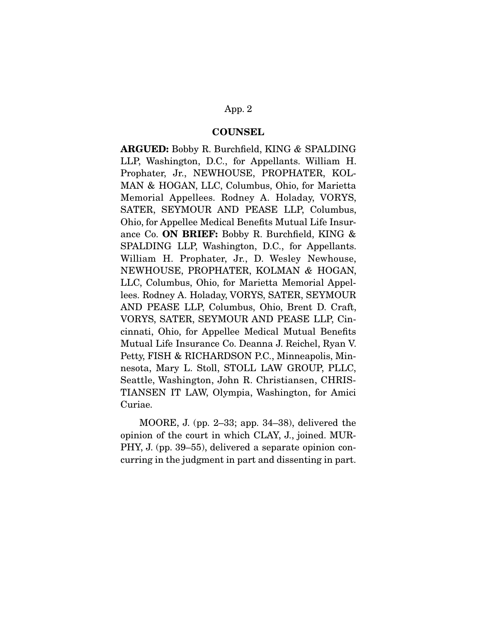#### **COUNSEL**

**ARGUED:** Bobby R. Burchfield, KING *&* SPALDING LLP, Washington, D.C., for Appellants. William H. Prophater, Jr., NEWHOUSE, PROPHATER, KOL-MAN & HOGAN, LLC, Columbus, Ohio, for Marietta Memorial Appellees. Rodney A. Holaday, VORYS, SATER, SEYMOUR AND PEASE LLP, Columbus, Ohio, for Appellee Medical Benefits Mutual Life Insurance Co. **ON BRIEF:** Bobby R. Burchfield, KING & SPALDING LLP, Washington, D.C., for Appellants. William H. Prophater, Jr., D. Wesley Newhouse, NEWHOUSE, PROPHATER, KOLMAN *&* HOGAN, LLC, Columbus, Ohio, for Marietta Memorial Appellees. Rodney A. Holaday, VORYS, SATER, SEYMOUR AND PEASE LLP, Columbus, Ohio, Brent D. Craft, VORYS, SATER, SEYMOUR AND PEASE LLP, Cincinnati, Ohio, for Appellee Medical Mutual Benefits Mutual Life Insurance Co. Deanna J. Reichel, Ryan V. Petty, FISH & RICHARDSON P.C., Minneapolis, Minnesota, Mary L. Stoll, STOLL LAW GROUP, PLLC, Seattle, Washington, John R. Christiansen, CHRIS-TIANSEN IT LAW, Olympia, Washington, for Amici Curiae.

 MOORE, J. (pp. 2–33; app. 34–38), delivered the opinion of the court in which CLAY, J., joined. MUR-PHY, J. (pp. 39–55), delivered a separate opinion concurring in the judgment in part and dissenting in part.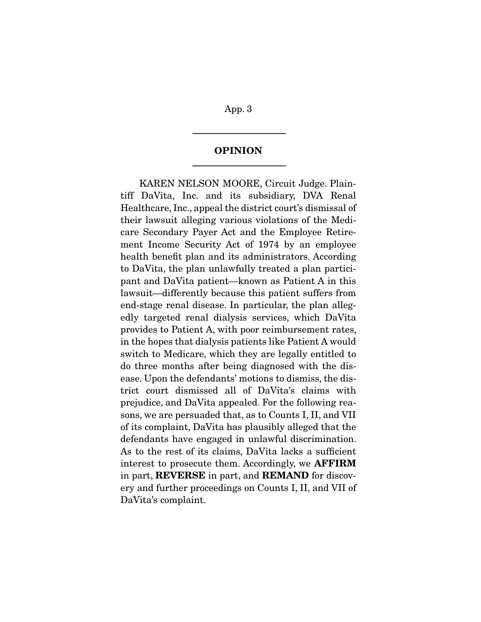# **OPINION**  -----------------------------------------------------------------------

-----------------------------------------------------------------------

KAREN NELSON MOORE, Circuit Judge. Plaintiff DaVita, Inc. and its subsidiary, DVA Renal Healthcare, Inc., appeal the district court's dismissal of their lawsuit alleging various violations of the Medicare Secondary Payer Act and the Employee Retirement Income Security Act of 1974 by an employee health benefit plan and its administrators. According to DaVita, the plan unlawfully treated a plan participant and DaVita patient—known as Patient A in this lawsuit—differently because this patient suffers from end-stage renal disease. In particular, the plan allegedly targeted renal dialysis services, which DaVita provides to Patient A, with poor reimbursement rates, in the hopes that dialysis patients like Patient A would switch to Medicare, which they are legally entitled to do three months after being diagnosed with the disease. Upon the defendants' motions to dismiss, the district court dismissed all of DaVita's claims with prejudice, and DaVita appealed. For the following reasons, we are persuaded that, as to Counts I, II, and VII of its complaint, DaVita has plausibly alleged that the defendants have engaged in unlawful discrimination. As to the rest of its claims, DaVita lacks a sufficient interest to prosecute them. Accordingly, we **AFFIRM**  in part, **REVERSE** in part, and **REMAND** for discovery and further proceedings on Counts I, II, and VII of DaVita's complaint.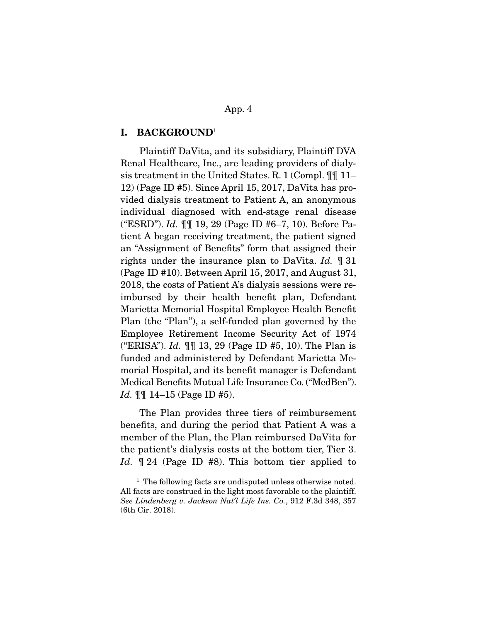#### **I. BACKGROUND**<sup>1</sup>

Plaintiff DaVita, and its subsidiary, Plaintiff DVA Renal Healthcare, Inc., are leading providers of dialysis treatment in the United States. R. 1 (Compl. ¶¶ 11– 12) (Page ID #5). Since April 15, 2017, DaVita has provided dialysis treatment to Patient A, an anonymous individual diagnosed with end-stage renal disease ("ESRD"). *Id.* ¶¶ 19, 29 (Page ID #6–7, 10). Before Patient A began receiving treatment, the patient signed an "Assignment of Benefits" form that assigned their rights under the insurance plan to DaVita. *Id.* ¶ 31 (Page ID #10). Between April 15, 2017, and August 31, 2018, the costs of Patient A's dialysis sessions were reimbursed by their health benefit plan, Defendant Marietta Memorial Hospital Employee Health Benefit Plan (the "Plan"), a self-funded plan governed by the Employee Retirement Income Security Act of 1974 ("ERISA"). *Id.* ¶¶ 13, 29 (Page ID #5, 10). The Plan is funded and administered by Defendant Marietta Memorial Hospital, and its benefit manager is Defendant Medical Benefits Mutual Life Insurance Co. ("MedBen"). *Id.* ¶¶ 14–15 (Page ID #5).

 The Plan provides three tiers of reimbursement benefits, and during the period that Patient A was a member of the Plan, the Plan reimbursed DaVita for the patient's dialysis costs at the bottom tier, Tier 3. Id.  $\parallel$  24 (Page ID #8). This bottom tier applied to

<sup>&</sup>lt;sup>1</sup> The following facts are undisputed unless otherwise noted. All facts are construed in the light most favorable to the plaintiff. *See Lindenberg v. Jackson Nat'l Life Ins. Co.*, 912 F.3d 348, 357 (6th Cir. 2018).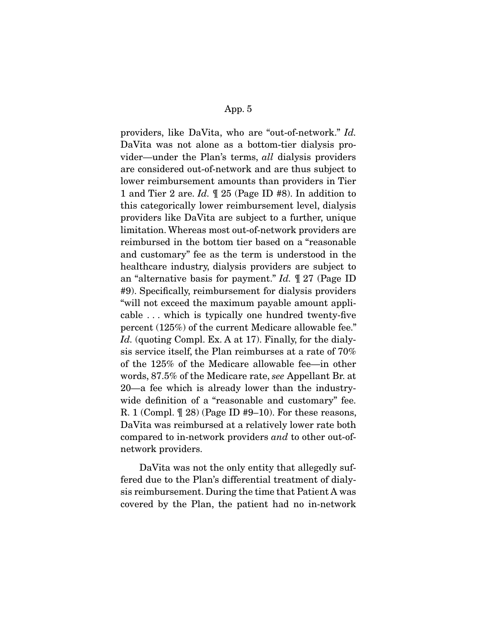providers, like DaVita, who are "out-of-network." *Id.*  DaVita was not alone as a bottom-tier dialysis provider—under the Plan's terms, *all* dialysis providers are considered out-of-network and are thus subject to lower reimbursement amounts than providers in Tier 1 and Tier 2 are. *Id.* ¶ 25 (Page ID #8). In addition to this categorically lower reimbursement level, dialysis providers like DaVita are subject to a further, unique limitation. Whereas most out-of-network providers are reimbursed in the bottom tier based on a "reasonable and customary" fee as the term is understood in the healthcare industry, dialysis providers are subject to an "alternative basis for payment." *Id.* ¶ 27 (Page ID #9). Specifically, reimbursement for dialysis providers "will not exceed the maximum payable amount applicable . . . which is typically one hundred twenty-five percent (125%) of the current Medicare allowable fee." Id. (quoting Compl. Ex. A at 17). Finally, for the dialysis service itself, the Plan reimburses at a rate of 70% of the 125% of the Medicare allowable fee—in other words, 87.5% of the Medicare rate, *see* Appellant Br. at 20—a fee which is already lower than the industrywide definition of a "reasonable and customary" fee. R. 1 (Compl.  $\mathbb{Z}$  28) (Page ID #9–10). For these reasons, DaVita was reimbursed at a relatively lower rate both compared to in-network providers *and* to other out-ofnetwork providers.

DaVita was not the only entity that allegedly suffered due to the Plan's differential treatment of dialysis reimbursement. During the time that Patient A was covered by the Plan, the patient had no in-network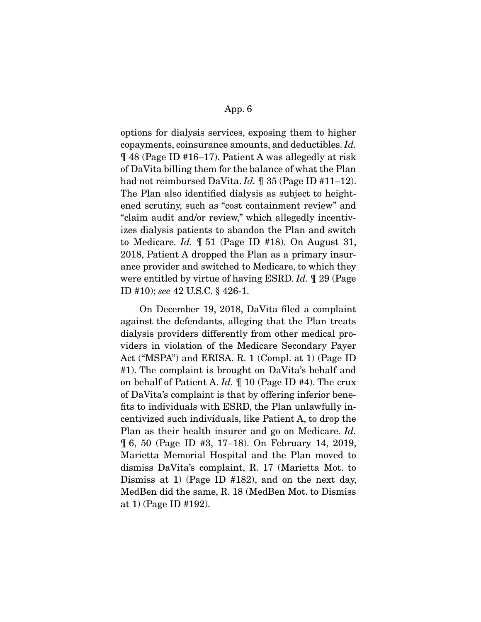options for dialysis services, exposing them to higher copayments, coinsurance amounts, and deductibles. *Id.*  ¶ 48 (Page ID #16–17). Patient A was allegedly at risk of DaVita billing them for the balance of what the Plan had not reimbursed DaVita. *Id.*  $\parallel$  35 (Page ID #11–12). The Plan also identified dialysis as subject to heightened scrutiny, such as "cost containment review" and "claim audit and/or review," which allegedly incentivizes dialysis patients to abandon the Plan and switch to Medicare. *Id.* ¶ 51 (Page ID #18). On August 31, 2018, Patient A dropped the Plan as a primary insurance provider and switched to Medicare, to which they were entitled by virtue of having ESRD. *Id.* ¶ 29 (Page ID #10); *see* 42 U.S.C. § 426-1.

 On December 19, 2018, DaVita filed a complaint against the defendants, alleging that the Plan treats dialysis providers differently from other medical providers in violation of the Medicare Secondary Payer Act ("MSPA") and ERISA. R. 1 (Compl. at 1) (Page ID #1). The complaint is brought on DaVita's behalf and on behalf of Patient A. *Id.* ¶ 10 (Page ID #4). The crux of DaVita's complaint is that by offering inferior benefits to individuals with ESRD, the Plan unlawfully incentivized such individuals, like Patient A, to drop the Plan as their health insurer and go on Medicare. *Id.*  ¶ 6, 50 (Page ID #3, 17–18). On February 14, 2019, Marietta Memorial Hospital and the Plan moved to dismiss DaVita's complaint, R. 17 (Marietta Mot. to Dismiss at 1) (Page ID #182), and on the next day, MedBen did the same, R. 18 (MedBen Mot. to Dismiss at 1) (Page ID #192).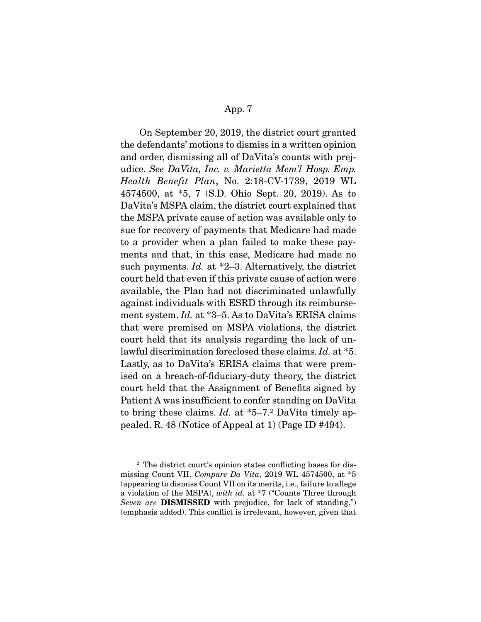On September 20, 2019, the district court granted the defendants' motions to dismiss in a written opinion and order, dismissing all of DaVita's counts with prejudice. *See DaVita, Inc. v. Marietta Mem'l Hosp. Emp. Health Benefit Plan*, No. 2:18-CV-1739, 2019 WL 4574500, at \*5, 7 (S.D. Ohio Sept. 20, 2019). As to DaVita's MSPA claim, the district court explained that the MSPA private cause of action was available only to sue for recovery of payments that Medicare had made to a provider when a plan failed to make these payments and that, in this case, Medicare had made no such payments. *Id.* at \*2–3. Alternatively, the district court held that even if this private cause of action were available, the Plan had not discriminated unlawfully against individuals with ESRD through its reimbursement system. *Id.* at \*3–5. As to DaVita's ERISA claims that were premised on MSPA violations, the district court held that its analysis regarding the lack of unlawful discrimination foreclosed these claims. *Id.* at \*5. Lastly, as to DaVita's ERISA claims that were premised on a breach-of-fiduciary-duty theory, the district court held that the Assignment of Benefits signed by Patient A was insufficient to confer standing on DaVita to bring these claims. *Id.* at \*5–7.<sup>2</sup> DaVita timely appealed. R. 48 (Notice of Appeal at 1) (Page ID #494).

<sup>2</sup> The district court's opinion states conflicting bases for dismissing Count VII. *Compare Da Vita*, 2019 WL 4574500, at \*5 (appearing to dismiss Count VII on its merits, i.e., failure to allege a violation of the MSPA), *with id.* at \*7 ("Counts Three through *Seven are* **DISMISSED** with prejudice, for lack of standing.") (emphasis added). This conflict is irrelevant, however, given that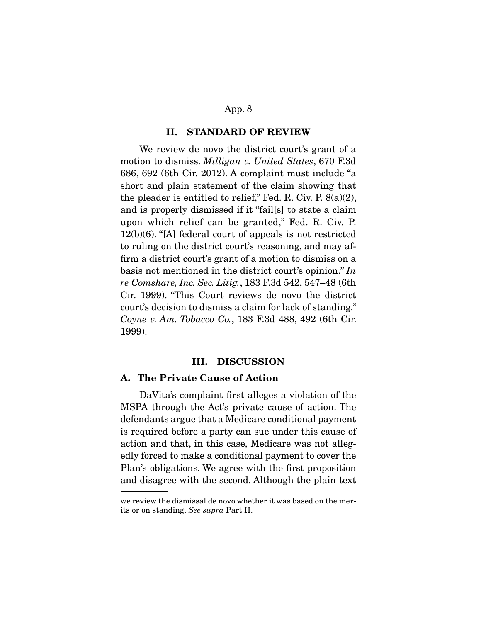#### **II. STANDARD OF REVIEW**

We review de novo the district court's grant of a motion to dismiss. *Milligan v. United States*, 670 F.3d 686, 692 (6th Cir. 2012). A complaint must include "a short and plain statement of the claim showing that the pleader is entitled to relief," Fed. R. Civ. P.  $8(a)(2)$ , and is properly dismissed if it "fail[s] to state a claim upon which relief can be granted," Fed. R. Civ. P. 12(b)(6). "[A] federal court of appeals is not restricted to ruling on the district court's reasoning, and may affirm a district court's grant of a motion to dismiss on a basis not mentioned in the district court's opinion." *In re Comshare, Inc. Sec. Litig.*, 183 F.3d 542, 547–48 (6th Cir. 1999). "This Court reviews de novo the district court's decision to dismiss a claim for lack of standing." *Coyne v. Am. Tobacco Co.*, 183 F.3d 488, 492 (6th Cir. 1999).

#### **III. DISCUSSION**

## **A. The Private Cause of Action**

DaVita's complaint first alleges a violation of the MSPA through the Act's private cause of action. The defendants argue that a Medicare conditional payment is required before a party can sue under this cause of action and that, in this case, Medicare was not allegedly forced to make a conditional payment to cover the Plan's obligations. We agree with the first proposition and disagree with the second. Although the plain text

we review the dismissal de novo whether it was based on the merits or on standing. *See supra* Part II.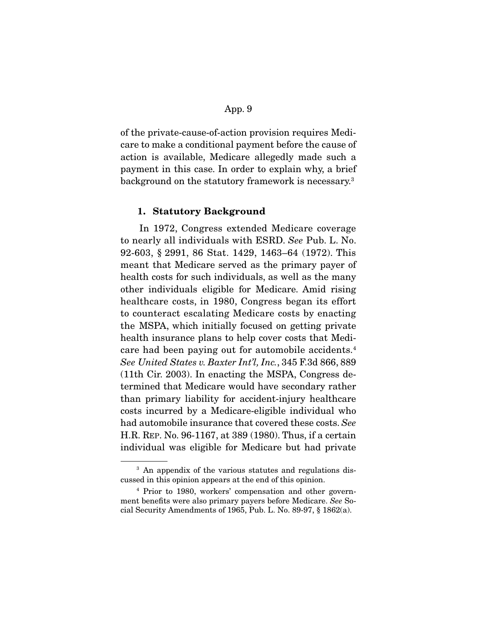of the private-cause-of-action provision requires Medicare to make a conditional payment before the cause of action is available, Medicare allegedly made such a payment in this case. In order to explain why, a brief background on the statutory framework is necessary.3

#### **1. Statutory Background**

In 1972, Congress extended Medicare coverage to nearly all individuals with ESRD. *See* Pub. L. No. 92-603, § 2991, 86 Stat. 1429, 1463–64 (1972). This meant that Medicare served as the primary payer of health costs for such individuals, as well as the many other individuals eligible for Medicare. Amid rising healthcare costs, in 1980, Congress began its effort to counteract escalating Medicare costs by enacting the MSPA, which initially focused on getting private health insurance plans to help cover costs that Medicare had been paying out for automobile accidents.4 *See United States v. Baxter Int'l, Inc.*, 345 F.3d 866, 889 (11th Cir. 2003). In enacting the MSPA, Congress determined that Medicare would have secondary rather than primary liability for accident-injury healthcare costs incurred by a Medicare-eligible individual who had automobile insurance that covered these costs. *See*  H.R. REP. No. 96-1167, at 389 (1980). Thus, if a certain individual was eligible for Medicare but had private

<sup>&</sup>lt;sup>3</sup> An appendix of the various statutes and regulations discussed in this opinion appears at the end of this opinion.

<sup>4</sup> Prior to 1980, workers' compensation and other government benefits were also primary payers before Medicare. *See* Social Security Amendments of 1965, Pub. L. No. 89-97, § 1862(a).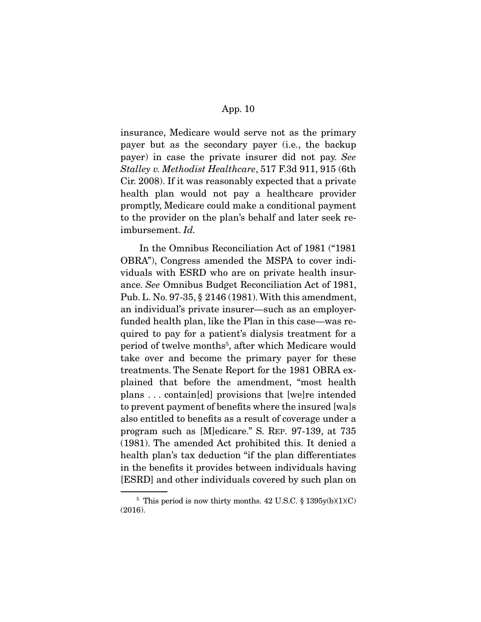insurance, Medicare would serve not as the primary payer but as the secondary payer (i.e., the backup payer) in case the private insurer did not pay. *See Stalley v. Methodist Healthcare*, 517 F.3d 911, 915 (6th Cir. 2008). If it was reasonably expected that a private health plan would not pay a healthcare provider promptly, Medicare could make a conditional payment to the provider on the plan's behalf and later seek reimbursement. *Id.*

 In the Omnibus Reconciliation Act of 1981 ("1981 OBRA"), Congress amended the MSPA to cover individuals with ESRD who are on private health insurance. *See* Omnibus Budget Reconciliation Act of 1981, Pub. L. No. 97-35, § 2146 (1981). With this amendment, an individual's private insurer—such as an employerfunded health plan, like the Plan in this case—was required to pay for a patient's dialysis treatment for a period of twelve months<sup>5</sup>, after which Medicare would take over and become the primary payer for these treatments. The Senate Report for the 1981 OBRA explained that before the amendment, "most health plans . . . contain[ed] provisions that [we]re intended to prevent payment of benefits where the insured [wa]s also entitled to benefits as a result of coverage under a program such as [M]edicare." S. REP. 97-139, at 735 (1981). The amended Act prohibited this. It denied a health plan's tax deduction "if the plan differentiates in the benefits it provides between individuals having [ESRD] and other individuals covered by such plan on

 $5$  This period is now thirty months. 42 U.S.C. § 1395y(b)(1)(C) (2016).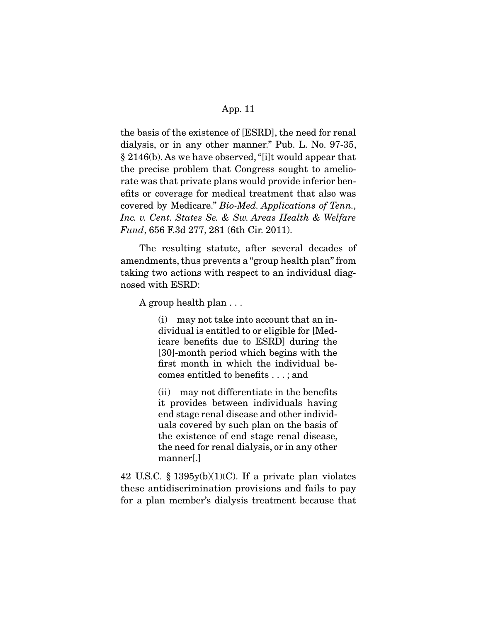the basis of the existence of [ESRD], the need for renal dialysis, or in any other manner." Pub. L. No. 97-35, § 2146(b). As we have observed, "[i]t would appear that the precise problem that Congress sought to ameliorate was that private plans would provide inferior benefits or coverage for medical treatment that also was covered by Medicare." *Bio-Med. Applications of Tenn., Inc. v. Cent. States Se. & Sw. Areas Health & Welfare Fund*, 656 F.3d 277, 281 (6th Cir. 2011).

 The resulting statute, after several decades of amendments, thus prevents a "group health plan" from taking two actions with respect to an individual diagnosed with ESRD:

A group health plan . . .

(i) may not take into account that an individual is entitled to or eligible for [Medicare benefits due to ESRD] during the [30]-month period which begins with the first month in which the individual becomes entitled to benefits . . . ; and

(ii) may not differentiate in the benefits it provides between individuals having end stage renal disease and other individuals covered by such plan on the basis of the existence of end stage renal disease, the need for renal dialysis, or in any other manner[.]

42 U.S.C.  $\S$  1395y(b)(1)(C). If a private plan violates these antidiscrimination provisions and fails to pay for a plan member's dialysis treatment because that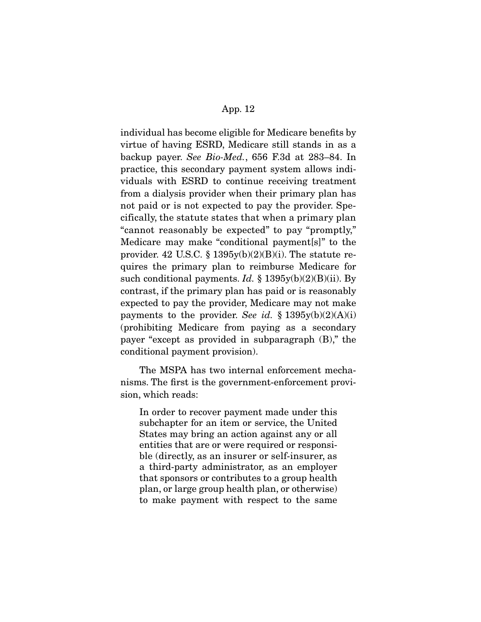individual has become eligible for Medicare benefits by virtue of having ESRD, Medicare still stands in as a backup payer. *See Bio-Med.*, 656 F.3d at 283–84. In practice, this secondary payment system allows individuals with ESRD to continue receiving treatment from a dialysis provider when their primary plan has not paid or is not expected to pay the provider. Specifically, the statute states that when a primary plan "cannot reasonably be expected" to pay "promptly," Medicare may make "conditional payment[s]" to the provider. 42 U.S.C.  $\S$  1395y(b)(2)(B)(i). The statute requires the primary plan to reimburse Medicare for such conditional payments. *Id.* § 1395y(b)(2)(B)(ii). By contrast, if the primary plan has paid or is reasonably expected to pay the provider, Medicare may not make payments to the provider. *See id.*  $\S$  1395y(b)(2)(A)(i) (prohibiting Medicare from paying as a secondary payer "except as provided in subparagraph (B)," the conditional payment provision).

 The MSPA has two internal enforcement mechanisms. The first is the government-enforcement provision, which reads:

In order to recover payment made under this subchapter for an item or service, the United States may bring an action against any or all entities that are or were required or responsible (directly, as an insurer or self-insurer, as a third-party administrator, as an employer that sponsors or contributes to a group health plan, or large group health plan, or otherwise) to make payment with respect to the same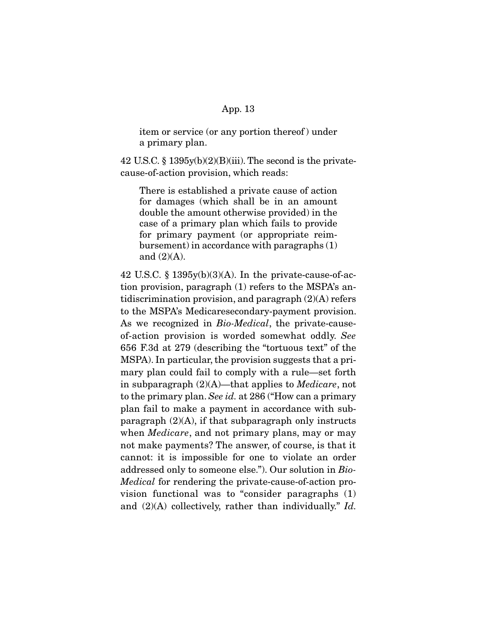item or service (or any portion thereof ) under a primary plan.

42 U.S.C.  $\S 1395y(b)(2)(B)(iii)$ . The second is the privatecause-of-action provision, which reads:

There is established a private cause of action for damages (which shall be in an amount double the amount otherwise provided) in the case of a primary plan which fails to provide for primary payment (or appropriate reimbursement) in accordance with paragraphs (1) and (2)(A).

42 U.S.C.  $\S 1395y(b)(3)(A)$ . In the private-cause-of-action provision, paragraph (1) refers to the MSPA's antidiscrimination provision, and paragraph  $(2)(A)$  refers to the MSPA's Medicaresecondary-payment provision. As we recognized in *Bio-Medical*, the private-causeof-action provision is worded somewhat oddly. *See*  656 F.3d at 279 (describing the "tortuous text" of the MSPA). In particular, the provision suggests that a primary plan could fail to comply with a rule—set forth in subparagraph (2)(A)—that applies to *Medicare*, not to the primary plan. *See id.* at 286 ("How can a primary plan fail to make a payment in accordance with subparagraph  $(2)(A)$ , if that subparagraph only instructs when *Medicare*, and not primary plans, may or may not make payments? The answer, of course, is that it cannot: it is impossible for one to violate an order addressed only to someone else."). Our solution in *Bio-Medical* for rendering the private-cause-of-action provision functional was to "consider paragraphs (1) and (2)(A) collectively, rather than individually." *Id.*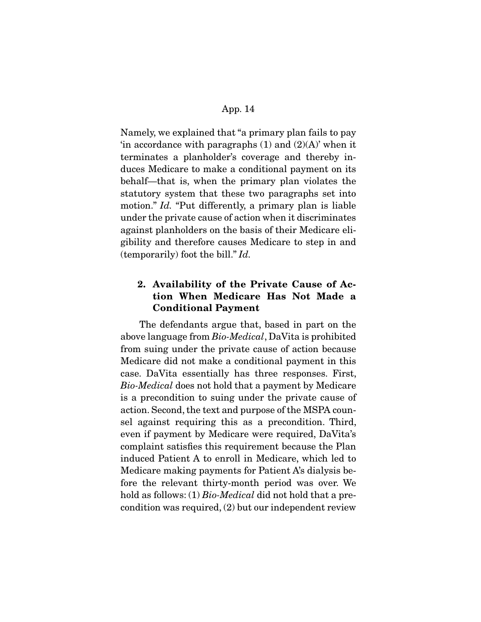Namely, we explained that "a primary plan fails to pay 'in accordance with paragraphs  $(1)$  and  $(2)(A)$ ' when it terminates a planholder's coverage and thereby induces Medicare to make a conditional payment on its behalf—that is, when the primary plan violates the statutory system that these two paragraphs set into motion." *Id.* "Put differently, a primary plan is liable under the private cause of action when it discriminates against planholders on the basis of their Medicare eligibility and therefore causes Medicare to step in and (temporarily) foot the bill." *Id.* 

# **2. Availability of the Private Cause of Action When Medicare Has Not Made a Conditional Payment**

The defendants argue that, based in part on the above language from *Bio-Medical*, DaVita is prohibited from suing under the private cause of action because Medicare did not make a conditional payment in this case. DaVita essentially has three responses. First, *Bio-Medical* does not hold that a payment by Medicare is a precondition to suing under the private cause of action. Second, the text and purpose of the MSPA counsel against requiring this as a precondition. Third, even if payment by Medicare were required, DaVita's complaint satisfies this requirement because the Plan induced Patient A to enroll in Medicare, which led to Medicare making payments for Patient A's dialysis before the relevant thirty-month period was over. We hold as follows: (1) *Bio-Medical* did not hold that a precondition was required, (2) but our independent review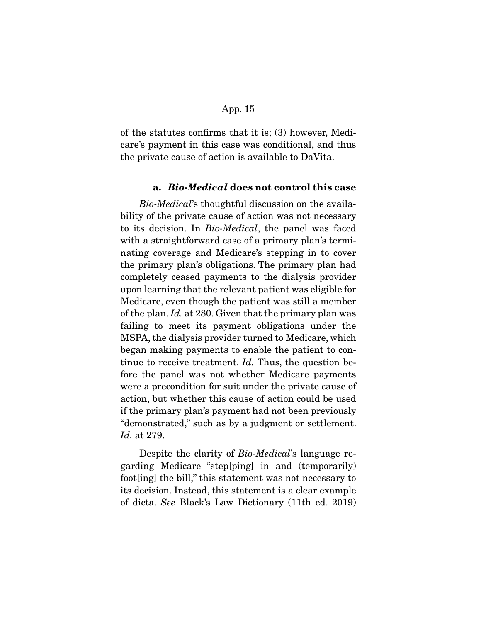of the statutes confirms that it is; (3) however, Medicare's payment in this case was conditional, and thus the private cause of action is available to DaVita.

## **a.** *Bio-Medical* **does not control this case**

*Bio-Medical*'s thoughtful discussion on the availability of the private cause of action was not necessary to its decision. In *Bio-Medical*, the panel was faced with a straightforward case of a primary plan's terminating coverage and Medicare's stepping in to cover the primary plan's obligations. The primary plan had completely ceased payments to the dialysis provider upon learning that the relevant patient was eligible for Medicare, even though the patient was still a member of the plan. *Id.* at 280. Given that the primary plan was failing to meet its payment obligations under the MSPA, the dialysis provider turned to Medicare, which began making payments to enable the patient to continue to receive treatment. *Id.* Thus, the question before the panel was not whether Medicare payments were a precondition for suit under the private cause of action, but whether this cause of action could be used if the primary plan's payment had not been previously "demonstrated," such as by a judgment or settlement. *Id.* at 279.

 Despite the clarity of *Bio-Medical*'s language regarding Medicare "step[ping] in and (temporarily) foot[ing] the bill," this statement was not necessary to its decision. Instead, this statement is a clear example of dicta. *See* Black's Law Dictionary (11th ed. 2019)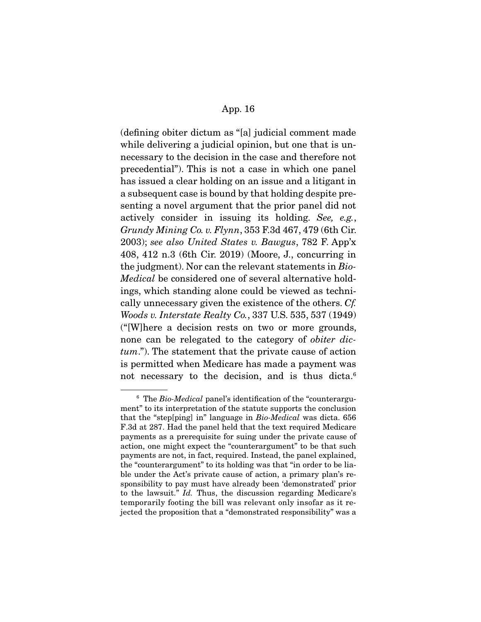(defining obiter dictum as "[a] judicial comment made while delivering a judicial opinion, but one that is unnecessary to the decision in the case and therefore not precedential"). This is not a case in which one panel has issued a clear holding on an issue and a litigant in a subsequent case is bound by that holding despite presenting a novel argument that the prior panel did not actively consider in issuing its holding. *See, e.g.*, *Grundy Mining Co. v. Flynn*, 353 F.3d 467, 479 (6th Cir. 2003); *see also United States v. Bawgus*, 782 F. App'x 408, 412 n.3 (6th Cir. 2019) (Moore, J., concurring in the judgment). Nor can the relevant statements in *Bio-Medical* be considered one of several alternative holdings, which standing alone could be viewed as technically unnecessary given the existence of the others. *Cf. Woods v. Interstate Realty Co.*, 337 U.S. 535, 537 (1949) ("[W]here a decision rests on two or more grounds, none can be relegated to the category of *obiter dictum*."). The statement that the private cause of action is permitted when Medicare has made a payment was not necessary to the decision, and is thus dicta.<sup>6</sup>

<sup>6</sup> The *Bio-Medical* panel's identification of the "counterargument" to its interpretation of the statute supports the conclusion that the "step[ping] in" language in *Bio-Medical* was dicta. 656 F.3d at 287. Had the panel held that the text required Medicare payments as a prerequisite for suing under the private cause of action, one might expect the "counterargument" to be that such payments are not, in fact, required. Instead, the panel explained, the "counterargument" to its holding was that "in order to be liable under the Act's private cause of action, a primary plan's responsibility to pay must have already been 'demonstrated' prior to the lawsuit." *Id.* Thus, the discussion regarding Medicare's temporarily footing the bill was relevant only insofar as it rejected the proposition that a "demonstrated responsibility" was a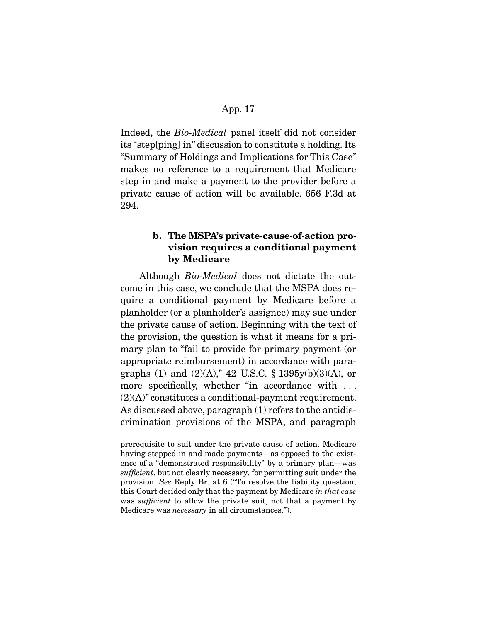Indeed, the *Bio-Medical* panel itself did not consider its "step[ping] in" discussion to constitute a holding. Its "Summary of Holdings and Implications for This Case" makes no reference to a requirement that Medicare step in and make a payment to the provider before a private cause of action will be available. 656 F.3d at 294.

# **b. The MSPA's private-cause-of-action provision requires a conditional payment by Medicare**

Although *Bio-Medical* does not dictate the outcome in this case, we conclude that the MSPA does require a conditional payment by Medicare before a planholder (or a planholder's assignee) may sue under the private cause of action. Beginning with the text of the provision, the question is what it means for a primary plan to "fail to provide for primary payment (or appropriate reimbursement) in accordance with paragraphs (1) and (2)(A)," 42 U.S.C. § 1395y(b)(3)(A), or more specifically, whether "in accordance with ... (2)(A)" constitutes a conditional-payment requirement. As discussed above, paragraph (1) refers to the antidiscrimination provisions of the MSPA, and paragraph

prerequisite to suit under the private cause of action. Medicare having stepped in and made payments—as opposed to the existence of a "demonstrated responsibility" by a primary plan—was *sufficient*, but not clearly necessary, for permitting suit under the provision. *See* Reply Br. at 6 ("To resolve the liability question, this Court decided only that the payment by Medicare *in that case*  was *sufficient* to allow the private suit, not that a payment by Medicare was *necessary* in all circumstances.").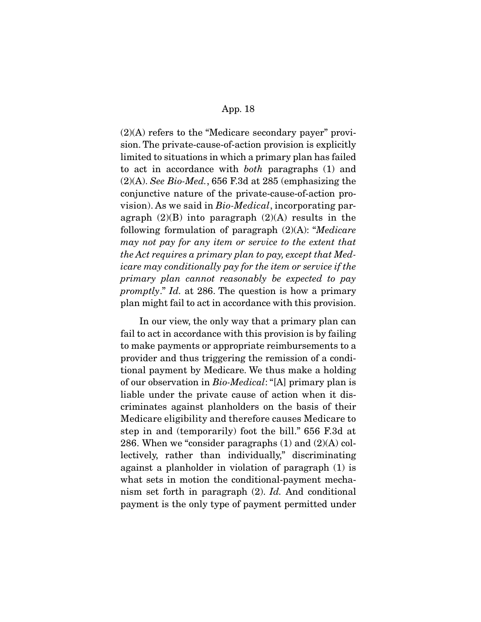$(2)(A)$  refers to the "Medicare secondary payer" provision. The private-cause-of-action provision is explicitly limited to situations in which a primary plan has failed to act in accordance with *both* paragraphs (1) and (2)(A). *See Bio-Med.*, 656 F.3d at 285 (emphasizing the conjunctive nature of the private-cause-of-action provision). As we said in *Bio-Medical*, incorporating paragraph  $(2)(B)$  into paragraph  $(2)(A)$  results in the following formulation of paragraph (2)(A): "*Medicare may not pay for any item or service to the extent that the Act requires a primary plan to pay, except that Medicare may conditionally pay for the item or service if the primary plan cannot reasonably be expected to pay promptly*." *Id.* at 286. The question is how a primary plan might fail to act in accordance with this provision.

 In our view, the only way that a primary plan can fail to act in accordance with this provision is by failing to make payments or appropriate reimbursements to a provider and thus triggering the remission of a conditional payment by Medicare. We thus make a holding of our observation in *Bio-Medical*: "[A] primary plan is liable under the private cause of action when it discriminates against planholders on the basis of their Medicare eligibility and therefore causes Medicare to step in and (temporarily) foot the bill." 656 F.3d at 286. When we "consider paragraphs (1) and (2)(A) collectively, rather than individually," discriminating against a planholder in violation of paragraph (1) is what sets in motion the conditional-payment mechanism set forth in paragraph (2). *Id.* And conditional payment is the only type of payment permitted under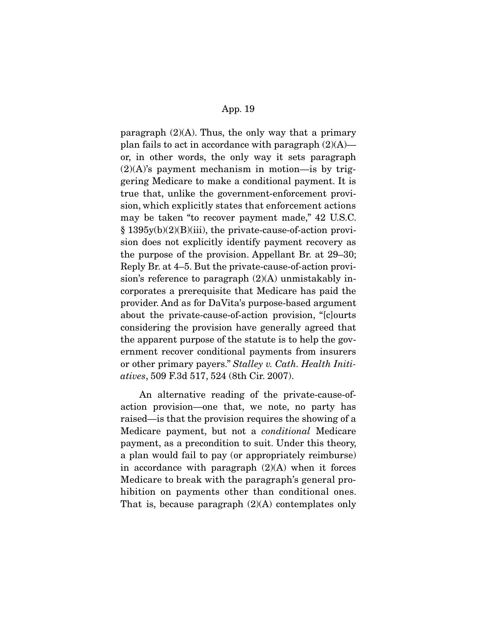paragraph  $(2)(A)$ . Thus, the only way that a primary plan fails to act in accordance with paragraph  $(2)(A)$  or, in other words, the only way it sets paragraph  $(2)(A)$ 's payment mechanism in motion—is by triggering Medicare to make a conditional payment. It is true that, unlike the government-enforcement provision, which explicitly states that enforcement actions may be taken "to recover payment made," 42 U.S.C. § 1395y(b)(2)(B)(iii), the private-cause-of-action provision does not explicitly identify payment recovery as the purpose of the provision. Appellant Br. at 29–30; Reply Br. at 4–5. But the private-cause-of-action provision's reference to paragraph  $(2)(A)$  unmistakably incorporates a prerequisite that Medicare has paid the provider. And as for DaVita's purpose-based argument about the private-cause-of-action provision, "[c]ourts considering the provision have generally agreed that the apparent purpose of the statute is to help the government recover conditional payments from insurers or other primary payers." *Stalley v. Cath. Health Initiatives*, 509 F.3d 517, 524 (8th Cir. 2007).

 An alternative reading of the private-cause-ofaction provision—one that, we note, no party has raised—is that the provision requires the showing of a Medicare payment, but not a *conditional* Medicare payment, as a precondition to suit. Under this theory, a plan would fail to pay (or appropriately reimburse) in accordance with paragraph  $(2)(A)$  when it forces Medicare to break with the paragraph's general prohibition on payments other than conditional ones. That is, because paragraph  $(2)(A)$  contemplates only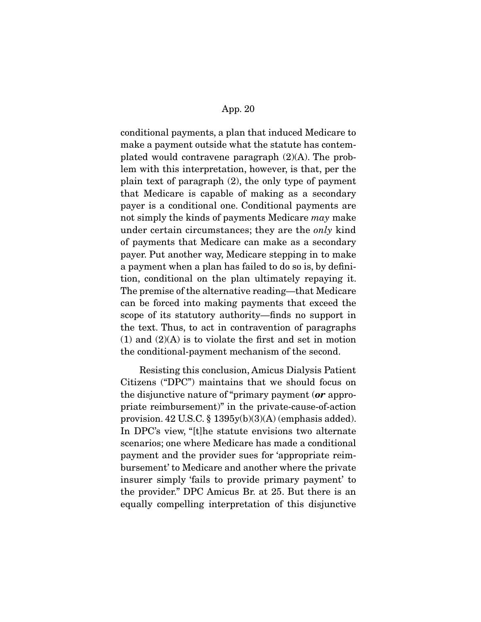conditional payments, a plan that induced Medicare to make a payment outside what the statute has contemplated would contravene paragraph (2)(A). The problem with this interpretation, however, is that, per the plain text of paragraph (2), the only type of payment that Medicare is capable of making as a secondary payer is a conditional one. Conditional payments are not simply the kinds of payments Medicare *may* make under certain circumstances; they are the *only* kind of payments that Medicare can make as a secondary payer. Put another way, Medicare stepping in to make a payment when a plan has failed to do so is, by definition, conditional on the plan ultimately repaying it. The premise of the alternative reading—that Medicare can be forced into making payments that exceed the scope of its statutory authority—finds no support in the text. Thus, to act in contravention of paragraphs  $(1)$  and  $(2)(A)$  is to violate the first and set in motion the conditional-payment mechanism of the second.

 Resisting this conclusion, Amicus Dialysis Patient Citizens ("DPC") maintains that we should focus on the disjunctive nature of "primary payment (*or* appropriate reimbursement)" in the private-cause-of-action provision. 42 U.S.C. §  $1395y(b)(3)(A)$  (emphasis added). In DPC's view, "[t]he statute envisions two alternate scenarios; one where Medicare has made a conditional payment and the provider sues for 'appropriate reimbursement' to Medicare and another where the private insurer simply 'fails to provide primary payment' to the provider." DPC Amicus Br. at 25. But there is an equally compelling interpretation of this disjunctive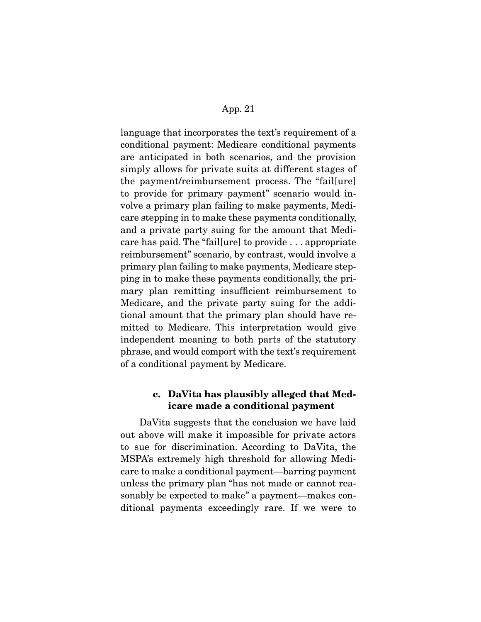language that incorporates the text's requirement of a conditional payment: Medicare conditional payments are anticipated in both scenarios, and the provision simply allows for private suits at different stages of the payment/reimbursement process. The "fail[ure] to provide for primary payment" scenario would involve a primary plan failing to make payments, Medicare stepping in to make these payments conditionally, and a private party suing for the amount that Medicare has paid. The "fail[ure] to provide . . . appropriate reimbursement" scenario, by contrast, would involve a primary plan failing to make payments, Medicare stepping in to make these payments conditionally, the primary plan remitting insufficient reimbursement to Medicare, and the private party suing for the additional amount that the primary plan should have remitted to Medicare. This interpretation would give independent meaning to both parts of the statutory phrase, and would comport with the text's requirement of a conditional payment by Medicare.

# **c. DaVita has plausibly alleged that Medicare made a conditional payment**

DaVita suggests that the conclusion we have laid out above will make it impossible for private actors to sue for discrimination. According to DaVita, the MSPA's extremely high threshold for allowing Medicare to make a conditional payment—barring payment unless the primary plan "has not made or cannot reasonably be expected to make" a payment—makes conditional payments exceedingly rare. If we were to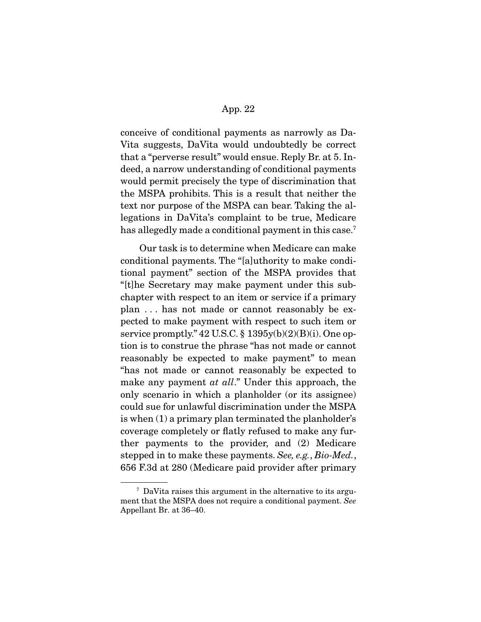conceive of conditional payments as narrowly as Da-Vita suggests, DaVita would undoubtedly be correct that a "perverse result" would ensue. Reply Br. at 5. Indeed, a narrow understanding of conditional payments would permit precisely the type of discrimination that the MSPA prohibits. This is a result that neither the text nor purpose of the MSPA can bear. Taking the allegations in DaVita's complaint to be true, Medicare has allegedly made a conditional payment in this case.<sup>7</sup>

 Our task is to determine when Medicare can make conditional payments. The "[a]uthority to make conditional payment" section of the MSPA provides that "[t]he Secretary may make payment under this subchapter with respect to an item or service if a primary plan . . . has not made or cannot reasonably be expected to make payment with respect to such item or service promptly."  $42$  U.S.C. §  $1395y(b)(2)(B)(i)$ . One option is to construe the phrase "has not made or cannot reasonably be expected to make payment" to mean "has not made or cannot reasonably be expected to make any payment *at all*." Under this approach, the only scenario in which a planholder (or its assignee) could sue for unlawful discrimination under the MSPA is when (1) a primary plan terminated the planholder's coverage completely or flatly refused to make any further payments to the provider, and (2) Medicare stepped in to make these payments. *See, e.g.*, *Bio-Med.*, 656 F.3d at 280 (Medicare paid provider after primary

<sup>7</sup> DaVita raises this argument in the alternative to its argument that the MSPA does not require a conditional payment. *See*  Appellant Br. at 36–40.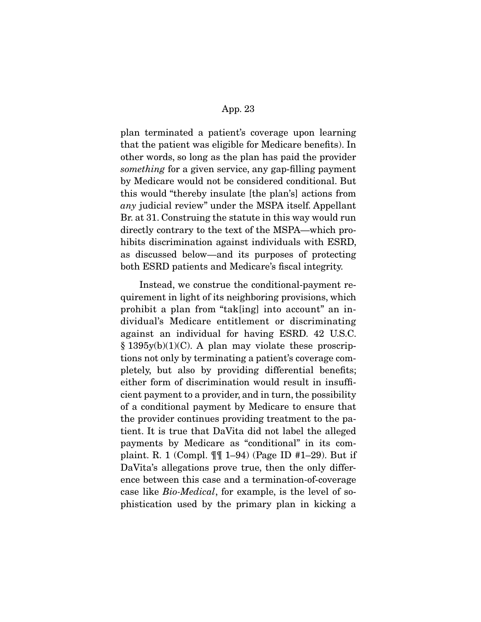plan terminated a patient's coverage upon learning that the patient was eligible for Medicare benefits). In other words, so long as the plan has paid the provider *something* for a given service, any gap-filling payment by Medicare would not be considered conditional. But this would "thereby insulate [the plan's] actions from *any* judicial review" under the MSPA itself. Appellant Br. at 31. Construing the statute in this way would run directly contrary to the text of the MSPA—which prohibits discrimination against individuals with ESRD, as discussed below—and its purposes of protecting both ESRD patients and Medicare's fiscal integrity.

 Instead, we construe the conditional-payment requirement in light of its neighboring provisions, which prohibit a plan from "tak[ing] into account" an individual's Medicare entitlement or discriminating against an individual for having ESRD. 42 U.S.C.  $§$  1395y(b)(1)(C). A plan may violate these proscriptions not only by terminating a patient's coverage completely, but also by providing differential benefits; either form of discrimination would result in insufficient payment to a provider, and in turn, the possibility of a conditional payment by Medicare to ensure that the provider continues providing treatment to the patient. It is true that DaVita did not label the alleged payments by Medicare as "conditional" in its complaint. R. 1 (Compl. ¶¶ 1–94) (Page ID #1–29). But if DaVita's allegations prove true, then the only difference between this case and a termination-of-coverage case like *Bio-Medical*, for example, is the level of sophistication used by the primary plan in kicking a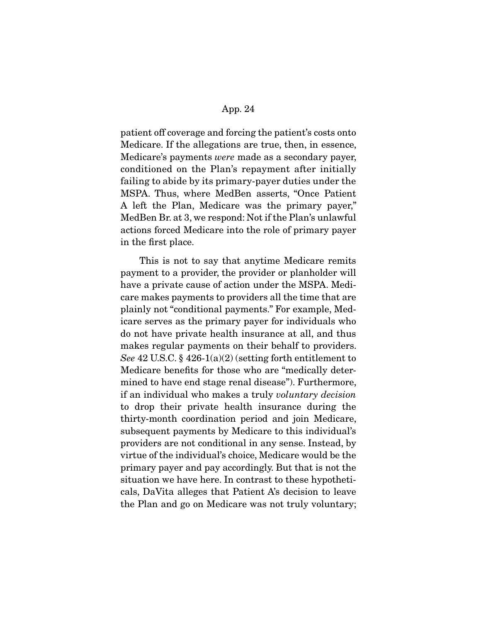patient off coverage and forcing the patient's costs onto Medicare. If the allegations are true, then, in essence, Medicare's payments *were* made as a secondary payer, conditioned on the Plan's repayment after initially failing to abide by its primary-payer duties under the MSPA. Thus, where MedBen asserts, "Once Patient A left the Plan, Medicare was the primary payer," MedBen Br. at 3, we respond: Not if the Plan's unlawful actions forced Medicare into the role of primary payer in the first place.

 This is not to say that anytime Medicare remits payment to a provider, the provider or planholder will have a private cause of action under the MSPA. Medicare makes payments to providers all the time that are plainly not "conditional payments." For example, Medicare serves as the primary payer for individuals who do not have private health insurance at all, and thus makes regular payments on their behalf to providers. *See* 42 U.S.C. § 426-1(a)(2) (setting forth entitlement to Medicare benefits for those who are "medically determined to have end stage renal disease"). Furthermore, if an individual who makes a truly *voluntary decision*  to drop their private health insurance during the thirty-month coordination period and join Medicare, subsequent payments by Medicare to this individual's providers are not conditional in any sense. Instead, by virtue of the individual's choice, Medicare would be the primary payer and pay accordingly. But that is not the situation we have here. In contrast to these hypotheticals, DaVita alleges that Patient A's decision to leave the Plan and go on Medicare was not truly voluntary;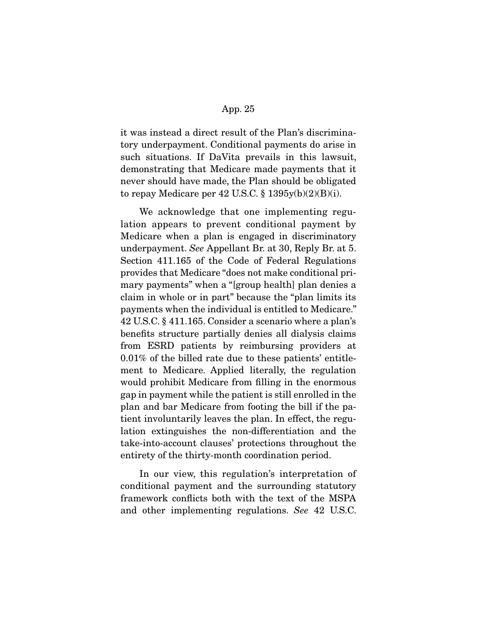it was instead a direct result of the Plan's discriminatory underpayment. Conditional payments do arise in such situations. If DaVita prevails in this lawsuit, demonstrating that Medicare made payments that it never should have made, the Plan should be obligated to repay Medicare per 42 U.S.C.  $\S$  1395y(b)(2)(B)(i).

 We acknowledge that one implementing regulation appears to prevent conditional payment by Medicare when a plan is engaged in discriminatory underpayment. *See* Appellant Br. at 30, Reply Br. at 5. Section 411.165 of the Code of Federal Regulations provides that Medicare "does not make conditional primary payments" when a "[group health] plan denies a claim in whole or in part" because the "plan limits its payments when the individual is entitled to Medicare." 42 U.S.C. § 411.165. Consider a scenario where a plan's benefits structure partially denies all dialysis claims from ESRD patients by reimbursing providers at 0.01% of the billed rate due to these patients' entitlement to Medicare. Applied literally, the regulation would prohibit Medicare from filling in the enormous gap in payment while the patient is still enrolled in the plan and bar Medicare from footing the bill if the patient involuntarily leaves the plan. In effect, the regulation extinguishes the non-differentiation and the take-into-account clauses' protections throughout the entirety of the thirty-month coordination period.

 In our view, this regulation's interpretation of conditional payment and the surrounding statutory framework conflicts both with the text of the MSPA and other implementing regulations. *See* 42 U.S.C.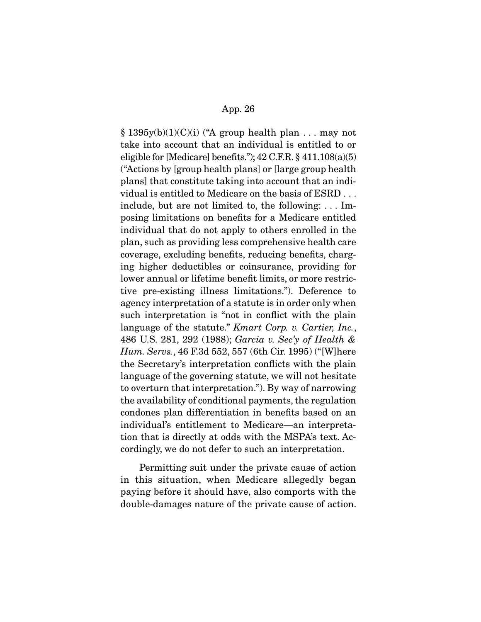$\S 1395y(b)(1)(C)(i)$  ("A group health plan ... may not take into account that an individual is entitled to or eligible for [Medicare] benefits.");  $42$  C.F.R.  $\S$   $411.108(a)(5)$ ("Actions by [group health plans] or [large group health plans] that constitute taking into account that an individual is entitled to Medicare on the basis of ESRD . . . include, but are not limited to, the following: . . . Imposing limitations on benefits for a Medicare entitled individual that do not apply to others enrolled in the plan, such as providing less comprehensive health care coverage, excluding benefits, reducing benefits, charging higher deductibles or coinsurance, providing for lower annual or lifetime benefit limits, or more restrictive pre-existing illness limitations."). Deference to agency interpretation of a statute is in order only when such interpretation is "not in conflict with the plain language of the statute." *Kmart Corp. v. Cartier, Inc.*, 486 U.S. 281, 292 (1988); *Garcia v. Sec'y of Health & Hum. Servs.*, 46 F.3d 552, 557 (6th Cir. 1995) ("[W]here the Secretary's interpretation conflicts with the plain language of the governing statute, we will not hesitate to overturn that interpretation."). By way of narrowing the availability of conditional payments, the regulation condones plan differentiation in benefits based on an individual's entitlement to Medicare—an interpretation that is directly at odds with the MSPA's text. Accordingly, we do not defer to such an interpretation.

 Permitting suit under the private cause of action in this situation, when Medicare allegedly began paying before it should have, also comports with the double-damages nature of the private cause of action.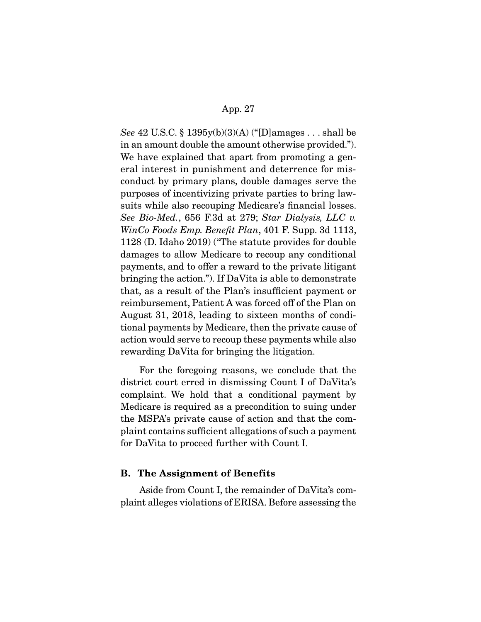*See* 42 U.S.C. § 1395y(b)(3)(A) ("[D]amages . . . shall be in an amount double the amount otherwise provided."). We have explained that apart from promoting a general interest in punishment and deterrence for misconduct by primary plans, double damages serve the purposes of incentivizing private parties to bring lawsuits while also recouping Medicare's financial losses. *See Bio-Med.*, 656 F.3d at 279; *Star Dialysis, LLC v. WinCo Foods Emp. Benefit Plan*, 401 F. Supp. 3d 1113, 1128 (D. Idaho 2019) ("The statute provides for double damages to allow Medicare to recoup any conditional payments, and to offer a reward to the private litigant bringing the action."). If DaVita is able to demonstrate that, as a result of the Plan's insufficient payment or reimbursement, Patient A was forced off of the Plan on August 31, 2018, leading to sixteen months of conditional payments by Medicare, then the private cause of action would serve to recoup these payments while also rewarding DaVita for bringing the litigation.

 For the foregoing reasons, we conclude that the district court erred in dismissing Count I of DaVita's complaint. We hold that a conditional payment by Medicare is required as a precondition to suing under the MSPA's private cause of action and that the complaint contains sufficient allegations of such a payment for DaVita to proceed further with Count I.

## **B. The Assignment of Benefits**

Aside from Count I, the remainder of DaVita's complaint alleges violations of ERISA. Before assessing the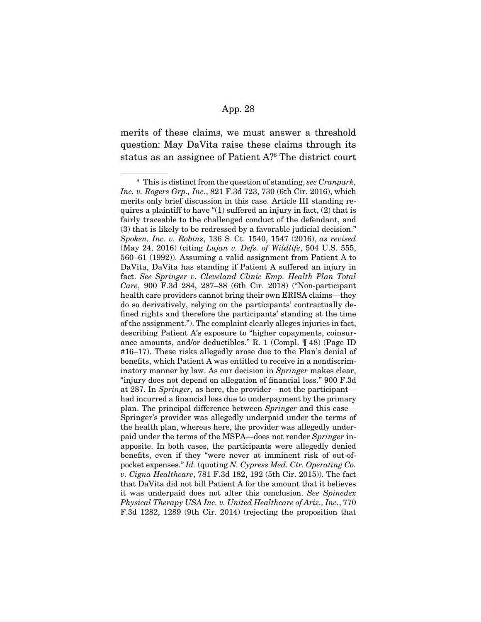merits of these claims, we must answer a threshold question: May DaVita raise these claims through its status as an assignee of Patient A?8 The district court

<sup>8</sup> This is distinct from the question of standing, *see Cranpark, Inc. v. Rogers Grp., Inc.*, 821 F.3d 723, 730 (6th Cir. 2016), which merits only brief discussion in this case. Article III standing requires a plaintiff to have "(1) suffered an injury in fact, (2) that is fairly traceable to the challenged conduct of the defendant, and (3) that is likely to be redressed by a favorable judicial decision." *Spoken, Inc. v. Robins*, 136 S. Ct. 1540, 1547 (2016), *as revised*  (May 24, 2016) (citing *Lujan v. Defs. of Wildlife*, 504 U.S. 555, 560–61 (1992)). Assuming a valid assignment from Patient A to DaVita, DaVita has standing if Patient A suffered an injury in fact. *See Springer v. Cleveland Clinic Emp. Health Plan Total Care*, 900 F.3d 284, 287–88 (6th Cir. 2018) ("Non-participant health care providers cannot bring their own ERISA claims—they do so derivatively, relying on the participants' contractually defined rights and therefore the participants' standing at the time of the assignment."). The complaint clearly alleges injuries in fact, describing Patient A's exposure to "higher copayments, coinsurance amounts, and/or deductibles." R. 1 (Compl. ¶ 48) (Page ID #16–17). These risks allegedly arose due to the Plan's denial of benefits, which Patient A was entitled to receive in a nondiscriminatory manner by law. As our decision in *Springer* makes clear, "injury does not depend on allegation of financial loss." 900 F.3d at 287. In *Springer*, as here, the provider—not the participant had incurred a financial loss due to underpayment by the primary plan. The principal difference between *Springer* and this case— Springer's provider was allegedly underpaid under the terms of the health plan, whereas here, the provider was allegedly underpaid under the terms of the MSPA—does not render *Springer* inapposite. In both cases, the participants were allegedly denied benefits, even if they "were never at imminent risk of out-ofpocket expenses." *Id.* (quoting *N. Cypress Med. Ctr. Operating Co. v. Cigna Healthcare*, 781 F.3d 182, 192 (5th Cir. 2015)). The fact that DaVita did not bill Patient A for the amount that it believes it was underpaid does not alter this conclusion. *See Spinedex Physical Therapy USA Inc. v. United Healthcare of Ariz., Inc.*, 770 F.3d 1282, 1289 (9th Cir. 2014) (rejecting the proposition that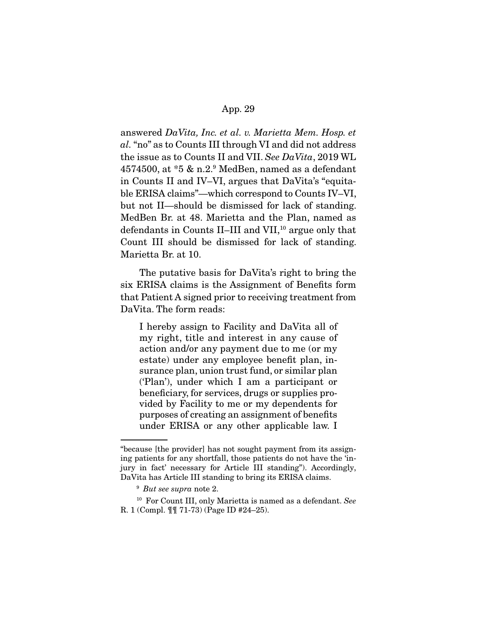answered *DaVita, Inc. et al. v. Marietta Mem. Hosp. et al.* "no" as to Counts III through VI and did not address the issue as to Counts II and VII. *See DaVita*, 2019 WL 4574500, at \*5 & n.2.9 MedBen, named as a defendant in Counts II and IV–VI, argues that DaVita's "equitable ERISA claims"—which correspond to Counts IV–VI, but not II—should be dismissed for lack of standing. MedBen Br. at 48. Marietta and the Plan, named as defendants in Counts II–III and VII,<sup>10</sup> argue only that Count III should be dismissed for lack of standing. Marietta Br. at 10.

 The putative basis for DaVita's right to bring the six ERISA claims is the Assignment of Benefits form that Patient A signed prior to receiving treatment from DaVita. The form reads:

I hereby assign to Facility and DaVita all of my right, title and interest in any cause of action and/or any payment due to me (or my estate) under any employee benefit plan, insurance plan, union trust fund, or similar plan ('Plan'), under which I am a participant or beneficiary, for services, drugs or supplies provided by Facility to me or my dependents for purposes of creating an assignment of benefits under ERISA or any other applicable law. I

<sup>&</sup>quot;because [the provider] has not sought payment from its assigning patients for any shortfall, those patients do not have the 'injury in fact' necessary for Article III standing"). Accordingly, DaVita has Article III standing to bring its ERISA claims.

<sup>9</sup> *But see supra* note 2.

<sup>10</sup> For Count III, only Marietta is named as a defendant. *See*  R. 1 (Compl. ¶¶ 71-73) (Page ID #24–25).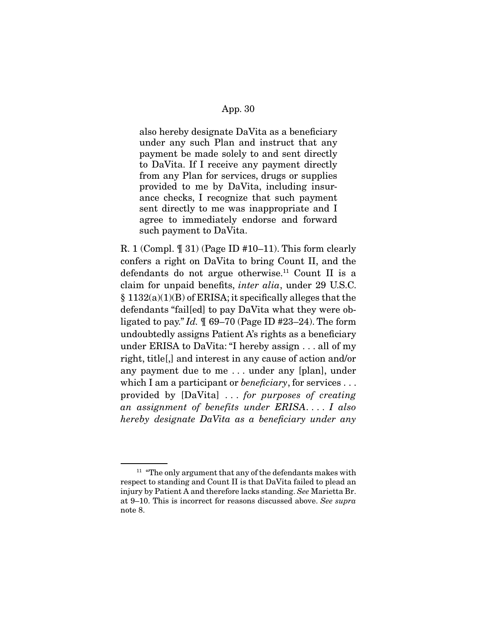also hereby designate DaVita as a beneficiary under any such Plan and instruct that any payment be made solely to and sent directly to DaVita. If I receive any payment directly from any Plan for services, drugs or supplies provided to me by DaVita, including insurance checks, I recognize that such payment sent directly to me was inappropriate and I agree to immediately endorse and forward such payment to DaVita.

R. 1 (Compl.  $\parallel$  31) (Page ID #10–11). This form clearly confers a right on DaVita to bring Count II, and the defendants do not argue otherwise.<sup>11</sup> Count II is a claim for unpaid benefits, *inter alia*, under 29 U.S.C. § 1132(a)(1)(B) of ERISA; it specifically alleges that the defendants "fail[ed] to pay DaVita what they were obligated to pay." *Id.* ¶ 69–70 (Page ID #23–24). The form undoubtedly assigns Patient A's rights as a beneficiary under ERISA to DaVita: "I hereby assign . . . all of my right, title[,] and interest in any cause of action and/or any payment due to me . . . under any [plan], under which I am a participant or *beneficiary*, for services . . . provided by [DaVita] . . . *for purposes of creating an assignment of benefits under ERISA*. . . . *I also hereby designate DaVita as a beneficiary under any* 

 $11$  "The only argument that any of the defendants makes with respect to standing and Count II is that DaVita failed to plead an injury by Patient A and therefore lacks standing. *See* Marietta Br. at 9–10. This is incorrect for reasons discussed above. *See supra*  note 8.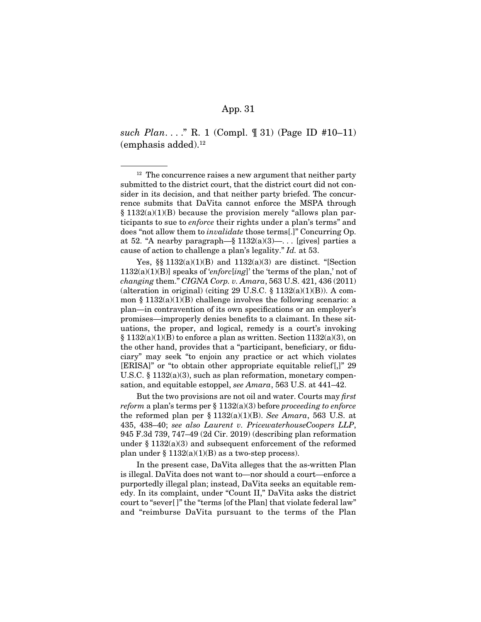*such Plan*. . . ." R. 1 (Compl. ¶ 31) (Page ID #10–11)  $(emphasis added).<sup>12</sup>$ 

Yes,  $\S$  1132(a)(1)(B) and 1132(a)(3) are distinct. "[Section 1132(a)(1)(B)] speaks of '*enforc*[*ing*]' the 'terms of the plan,' not of *changing* them." *CIGNA Corp. v. Amara*, 563 U.S. 421, 436 (2011) (alteration in original) (citing 29 U.S.C.  $\S$  1132(a)(1)(B)). A common § 1132(a)(1)(B) challenge involves the following scenario: a plan—in contravention of its own specifications or an employer's promises—improperly denies benefits to a claimant. In these situations, the proper, and logical, remedy is a court's invoking  $\S 1132(a)(1)(B)$  to enforce a plan as written. Section  $1132(a)(3)$ , on the other hand, provides that a "participant, beneficiary, or fiduciary" may seek "to enjoin any practice or act which violates [ERISA]" or "to obtain other appropriate equitable relief[,]" 29 U.S.C. § 1132(a)(3), such as plan reformation, monetary compensation, and equitable estoppel, *see Amara*, 563 U.S. at 441–42.

 But the two provisions are not oil and water. Courts may *first reform* a plan's terms per § 1132(a)(3) before *proceeding to enforce*  the reformed plan per § 1132(a)(1)(B). *See Amara*, 563 U.S. at 435, 438–40; *see also Laurent v. PricewaterhouseCoopers LLP*, 945 F.3d 739, 747–49 (2d Cir. 2019) (describing plan reformation under § 1132(a)(3) and subsequent enforcement of the reformed plan under  $\S 1132(a)(1)(B)$  as a two-step process).

 In the present case, DaVita alleges that the as-written Plan is illegal. DaVita does not want to—nor should a court—enforce a purportedly illegal plan; instead, DaVita seeks an equitable remedy. In its complaint, under "Count II," DaVita asks the district court to "sever[ ]" the "terms [of the Plan] that violate federal law" and "reimburse DaVita pursuant to the terms of the Plan

 $12$  The concurrence raises a new argument that neither party submitted to the district court, that the district court did not consider in its decision, and that neither party briefed. The concurrence submits that DaVita cannot enforce the MSPA through  $§ 1132(a)(1)(B)$  because the provision merely "allows plan participants to sue to *enforce* their rights under a plan's terms" and does "not allow them to *invalidate* those terms[.]" Concurring Op. at 52. "A nearby paragraph—§  $1132(a)(3)$ —... [gives] parties a cause of action to challenge a plan's legality." *Id.* at 53.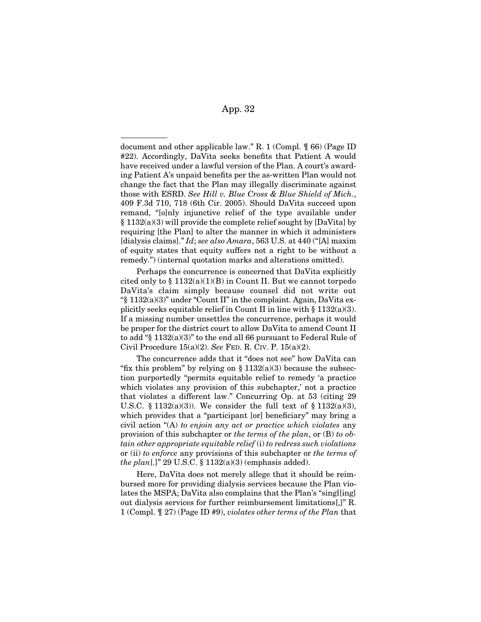document and other applicable law." R. 1 (Compl. ¶ 66) (Page ID #22). Accordingly, DaVita seeks benefits that Patient A would have received under a lawful version of the Plan. A court's awarding Patient A's unpaid benefits per the as-written Plan would not change the fact that the Plan may illegally discriminate against those with ESRD. *See Hill v. Blue Cross & Blue Shield of Mich.*, 409 F.3d 710, 718 (6th Cir. 2005). Should DaVita succeed upon remand, "[o]nly injunctive relief of the type available under § 1132(a)(3) will provide the complete relief sought by [DaVita] by requiring [the Plan] to alter the manner in which it administers [dialysis claims]." *Id*; *see also Amara*, 563 U.S. at 440 ("[A] maxim of equity states that equity suffers not a right to be without a remedy.") (internal quotation marks and alterations omitted).

 Perhaps the concurrence is concerned that DaVita explicitly cited only to  $\S 1132(a)(1)(B)$  in Count II. But we cannot torpedo DaVita's claim simply because counsel did not write out  $\frac{1}{2}$  1132(a)(3)" under "Count II" in the complaint. Again, DaVita explicitly seeks equitable relief in Count II in line with  $\S 1132(a)(3)$ . If a missing number unsettles the concurrence, perhaps it would be proper for the district court to allow DaVita to amend Count II to add "§ 1132(a)(3)" to the end all 66 pursuant to Federal Rule of Civil Procedure 15(a)(2). *See* FED. R. CIV. P. 15(a)(2).

 The concurrence adds that it "does not see" how DaVita can "fix this problem" by relying on  $\S 1132(a)(3)$  because the subsection purportedly "permits equitable relief to remedy 'a practice which violates any provision of this subchapter,' not a practice that violates a different law." Concurring Op. at 53 (citing 29 U.S.C. § 1132(a)(3)). We consider the full text of § 1132(a)(3), which provides that a "participant [or] beneficiary" may bring a civil action "(A) *to enjoin any act or practice which violates* any provision of this subchapter or *the terms of the plan*, or (B) *to obtain other appropriate equitable relief* (i) *to redress such violations*  or (ii) *to enforce* any provisions of this subchapter or *the terms of the plan*[.]" 29 U.S.C. § 1132(a)(3) (emphasis added).

 Here, DaVita does not merely allege that it should be reimbursed more for providing dialysis services because the Plan violates the MSPA; DaVita also complains that the Plan's "singl[ing] out dialysis services for further reimbursement limitations[,]" R. 1 (Compl. ¶ 27) (Page ID #9), *violates other terms of the Plan* that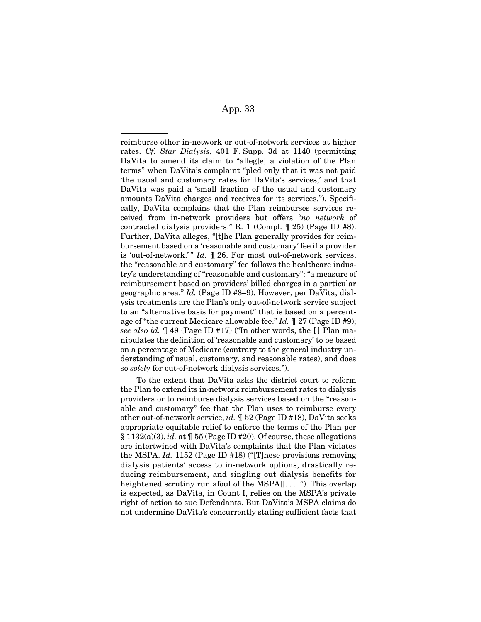reimburse other in-network or out-of-network services at higher rates. *Cf. Star Dialysis*, 401 F. Supp. 3d at 1140 (permitting DaVita to amend its claim to "alleg[e] a violation of the Plan terms" when DaVita's complaint "pled only that it was not paid 'the usual and customary rates for DaVita's services,' and that DaVita was paid a 'small fraction of the usual and customary amounts DaVita charges and receives for its services."). Specifically, DaVita complains that the Plan reimburses services received from in-network providers but offers "*no network* of contracted dialysis providers." R. 1 (Compl. ¶ 25) (Page ID #8). Further, DaVita alleges, "[t]he Plan generally provides for reimbursement based on a 'reasonable and customary' fee if a provider is 'out-of-network.'" *Id.*  $\mathbb{I}$  26. For most out-of-network services, the "reasonable and customary" fee follows the healthcare industry's understanding of "reasonable and customary": "a measure of reimbursement based on providers' billed charges in a particular geographic area." *Id.* (Page ID #8–9). However, per DaVita, dialysis treatments are the Plan's only out-of-network service subject to an "alternative basis for payment" that is based on a percentage of "the current Medicare allowable fee." *Id.* ¶ 27 (Page ID #9); *see also id.* ¶ 49 (Page ID #17) ("In other words, the [ ] Plan manipulates the definition of 'reasonable and customary' to be based on a percentage of Medicare (contrary to the general industry understanding of usual, customary, and reasonable rates), and does so *solely* for out-of-network dialysis services.").

 To the extent that DaVita asks the district court to reform the Plan to extend its in-network reimbursement rates to dialysis providers or to reimburse dialysis services based on the "reasonable and customary" fee that the Plan uses to reimburse every other out-of-network service, *id.* ¶ 52 (Page ID #18), DaVita seeks appropriate equitable relief to enforce the terms of the Plan per §  $1132(a)(3)$ , *id.* at  $\llbracket 55$  (Page ID #20). Of course, these allegations are intertwined with DaVita's complaints that the Plan violates the MSPA. *Id.* 1152 (Page ID #18) ("[T]hese provisions removing dialysis patients' access to in-network options, drastically reducing reimbursement, and singling out dialysis benefits for heightened scrutiny run afoul of the MSPA[]...."). This overlap is expected, as DaVita, in Count I, relies on the MSPA's private right of action to sue Defendants. But DaVita's MSPA claims do not undermine DaVita's concurrently stating sufficient facts that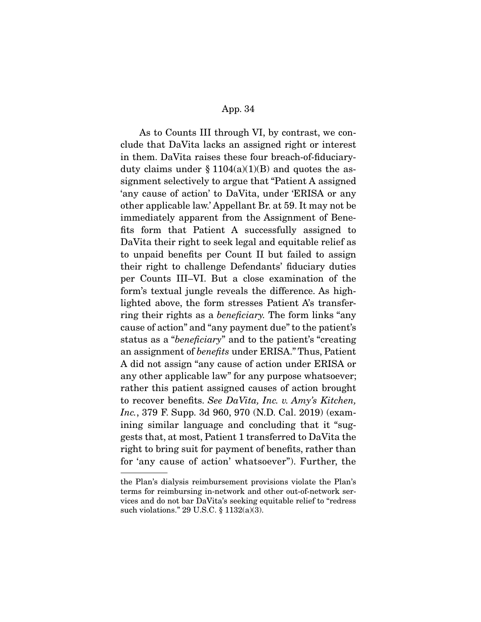As to Counts III through VI, by contrast, we conclude that DaVita lacks an assigned right or interest in them. DaVita raises these four breach-of-fiduciaryduty claims under  $\S 1104(a)(1)(B)$  and quotes the assignment selectively to argue that "Patient A assigned 'any cause of action' to DaVita, under 'ERISA or any other applicable law.' Appellant Br. at 59. It may not be immediately apparent from the Assignment of Benefits form that Patient A successfully assigned to DaVita their right to seek legal and equitable relief as to unpaid benefits per Count II but failed to assign their right to challenge Defendants' fiduciary duties per Counts III–VI. But a close examination of the form's textual jungle reveals the difference. As highlighted above, the form stresses Patient A's transferring their rights as a *beneficiary.* The form links "any cause of action" and "any payment due" to the patient's status as a "*beneficiary*" and to the patient's "creating an assignment of *benefits* under ERISA." Thus, Patient A did not assign "any cause of action under ERISA or any other applicable law" for any purpose whatsoever; rather this patient assigned causes of action brought to recover benefits. *See DaVita, Inc. v. Amy's Kitchen, Inc.*, 379 F. Supp. 3d 960, 970 (N.D. Cal. 2019) (examining similar language and concluding that it "suggests that, at most, Patient 1 transferred to DaVita the right to bring suit for payment of benefits, rather than for 'any cause of action' whatsoever"). Further, the

the Plan's dialysis reimbursement provisions violate the Plan's terms for reimbursing in-network and other out-of-network services and do not bar DaVita's seeking equitable relief to "redress such violations." 29 U.S.C. § 1132(a)(3).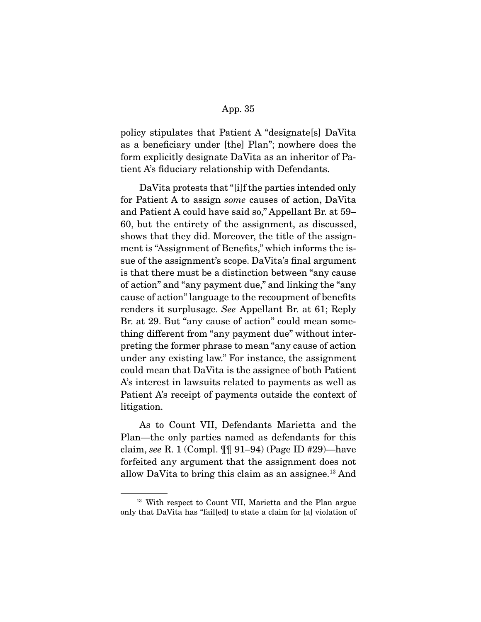policy stipulates that Patient A "designate[s] DaVita as a beneficiary under [the] Plan"; nowhere does the form explicitly designate DaVita as an inheritor of Patient A's fiduciary relationship with Defendants.

 DaVita protests that "[i]f the parties intended only for Patient A to assign *some* causes of action, DaVita and Patient A could have said so," Appellant Br. at 59– 60, but the entirety of the assignment, as discussed, shows that they did. Moreover, the title of the assignment is "Assignment of Benefits," which informs the issue of the assignment's scope. DaVita's final argument is that there must be a distinction between "any cause of action" and "any payment due," and linking the "any cause of action" language to the recoupment of benefits renders it surplusage. *See* Appellant Br. at 61; Reply Br. at 29. But "any cause of action" could mean something different from "any payment due" without interpreting the former phrase to mean "any cause of action under any existing law." For instance, the assignment could mean that DaVita is the assignee of both Patient A's interest in lawsuits related to payments as well as Patient A's receipt of payments outside the context of litigation.

 As to Count VII, Defendants Marietta and the Plan—the only parties named as defendants for this claim, *see* R. 1 (Compl. ¶¶ 91–94) (Page ID #29)—have forfeited any argument that the assignment does not allow DaVita to bring this claim as an assignee.13 And

<sup>&</sup>lt;sup>13</sup> With respect to Count VII, Marietta and the Plan argue only that DaVita has "fail[ed] to state a claim for [a] violation of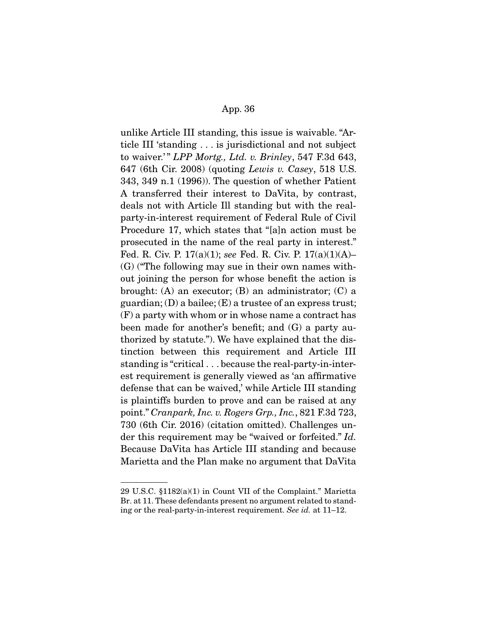unlike Article III standing, this issue is waivable. "Article III 'standing . . . is jurisdictional and not subject to waiver.' " *LPP Mortg., Ltd. v. Brinley*, 547 F.3d 643, 647 (6th Cir. 2008) (quoting *Lewis v. Casey*, 518 U.S. 343, 349 n.1 (1996)). The question of whether Patient A transferred their interest to DaVita, by contrast, deals not with Article Ill standing but with the realparty-in-interest requirement of Federal Rule of Civil Procedure 17, which states that "[a]n action must be prosecuted in the name of the real party in interest." Fed. R. Civ. P. 17(a)(1); *see* Fed. R. Civ. P. 17(a)(1)(A)– (G) ("The following may sue in their own names without joining the person for whose benefit the action is brought: (A) an executor; (B) an administrator; (C) a guardian; (D) a bailee;  $(E)$  a trustee of an express trust; (F) a party with whom or in whose name a contract has been made for another's benefit; and (G) a party authorized by statute."). We have explained that the distinction between this requirement and Article III standing is "critical . . . because the real-party-in-interest requirement is generally viewed as 'an affirmative defense that can be waived,' while Article III standing is plaintiffs burden to prove and can be raised at any point." *Cranpark, Inc. v. Rogers Grp., Inc.*, 821 F.3d 723, 730 (6th Cir. 2016) (citation omitted). Challenges under this requirement may be "waived or forfeited." *Id.*  Because DaVita has Article III standing and because Marietta and the Plan make no argument that DaVita

<sup>29</sup> U.S.C. §1182(a)(1) in Count VII of the Complaint." Marietta Br. at 11. These defendants present no argument related to standing or the real-party-in-interest requirement. *See id.* at 11–12.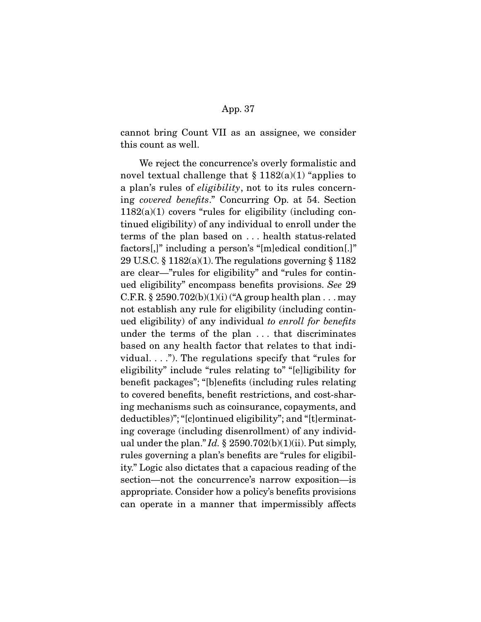cannot bring Count VII as an assignee, we consider this count as well.

 We reject the concurrence's overly formalistic and novel textual challenge that  $\S 1182(a)(1)$  "applies to a plan's rules of *eligibility*, not to its rules concerning *covered benefits*." Concurring Op. at 54. Section  $1182(a)(1)$  covers "rules for eligibility (including continued eligibility) of any individual to enroll under the terms of the plan based on . . . health status-related factors[,]" including a person's "[m]edical condition[.]" 29 U.S.C. § 1182(a)(1). The regulations governing § 1182 are clear—"rules for eligibility" and "rules for continued eligibility" encompass benefits provisions. *See* 29 C.F.R. § 2590.702 $(b)(1)(i)$  ("A group health plan . . . may not establish any rule for eligibility (including continued eligibility) of any individual *to enroll for benefits*  under the terms of the plan . . . that discriminates based on any health factor that relates to that individual. . . ."). The regulations specify that "rules for eligibility" include "rules relating to" "[e]ligibility for benefit packages"; "[b]enefits (including rules relating to covered benefits, benefit restrictions, and cost-sharing mechanisms such as coinsurance, copayments, and deductibles)"; "[c]ontinued eligibility"; and "[t]erminating coverage (including disenrollment) of any individual under the plan." *Id.* § 2590.702(b)(1)(ii). Put simply, rules governing a plan's benefits are "rules for eligibility." Logic also dictates that a capacious reading of the section—not the concurrence's narrow exposition—is appropriate. Consider how a policy's benefits provisions can operate in a manner that impermissibly affects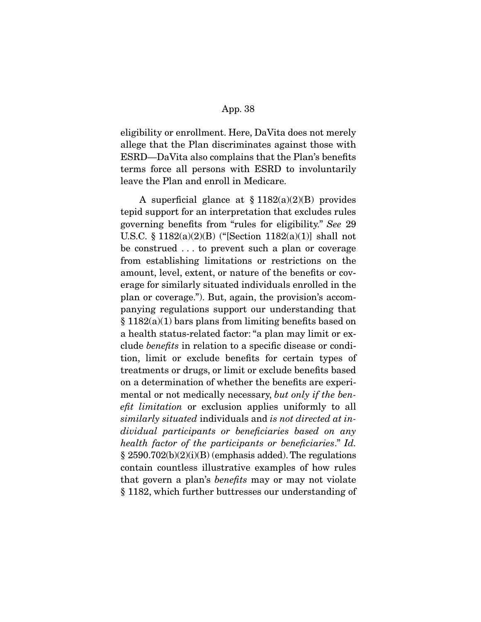eligibility or enrollment. Here, DaVita does not merely allege that the Plan discriminates against those with ESRD—DaVita also complains that the Plan's benefits terms force all persons with ESRD to involuntarily leave the Plan and enroll in Medicare.

A superficial glance at  $\S 1182(a)(2)(B)$  provides tepid support for an interpretation that excludes rules governing benefits from "rules for eligibility." *See* 29 U.S.C. § 1182(a)(2)(B) ("[Section 1182(a)(1)] shall not be construed . . . to prevent such a plan or coverage from establishing limitations or restrictions on the amount, level, extent, or nature of the benefits or coverage for similarly situated individuals enrolled in the plan or coverage."). But, again, the provision's accompanying regulations support our understanding that  $\S 1182(a)(1)$  bars plans from limiting benefits based on a health status-related factor: "a plan may limit or exclude *benefits* in relation to a specific disease or condition, limit or exclude benefits for certain types of treatments or drugs, or limit or exclude benefits based on a determination of whether the benefits are experimental or not medically necessary, *but only if the benefit limitation* or exclusion applies uniformly to all *similarly situated* individuals and *is not directed at individual participants or beneficiaries based on any health factor of the participants or beneficiaries*." *Id.*   $\S 2590.702(b)(2)(i)(B)$  (emphasis added). The regulations contain countless illustrative examples of how rules that govern a plan's *benefits* may or may not violate § 1182, which further buttresses our understanding of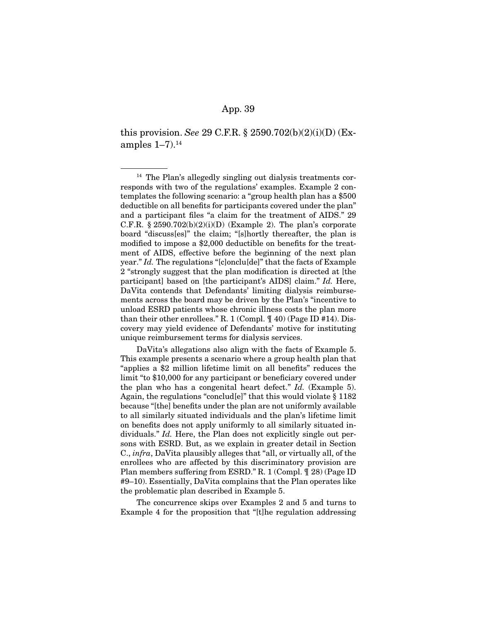this provision. *See* 29 C.F.R. § 2590.702(b)(2)(i)(D) (Examples  $1-7$ ).<sup>14</sup>

 DaVita's allegations also align with the facts of Example 5. This example presents a scenario where a group health plan that "applies a \$2 million lifetime limit on all benefits" reduces the limit "to \$10,000 for any participant or beneficiary covered under the plan who has a congenital heart defect." *Id.* (Example 5). Again, the regulations "conclud[e]" that this would violate § 1182 because "[the] benefits under the plan are not uniformly available to all similarly situated individuals and the plan's lifetime limit on benefits does not apply uniformly to all similarly situated individuals." *Id.* Here, the Plan does not explicitly single out persons with ESRD. But, as we explain in greater detail in Section C., *infra*, DaVita plausibly alleges that "all, or virtually all, of the enrollees who are affected by this discriminatory provision are Plan members suffering from ESRD." R. 1 (Compl. ¶ 28) (Page ID #9–10). Essentially, DaVita complains that the Plan operates like the problematic plan described in Example 5.

 The concurrence skips over Examples 2 and 5 and turns to Example 4 for the proposition that "[t]he regulation addressing

<sup>&</sup>lt;sup>14</sup> The Plan's allegedly singling out dialysis treatments corresponds with two of the regulations' examples. Example 2 contemplates the following scenario: a "group health plan has a \$500 deductible on all benefits for participants covered under the plan" and a participant files "a claim for the treatment of AIDS." 29 C.F.R.  $\S 2590.702(b)(2)(i)(D)$  (Example 2). The plan's corporate board "discuss[es]" the claim; "[s]hortly thereafter, the plan is modified to impose a \$2,000 deductible on benefits for the treatment of AIDS, effective before the beginning of the next plan year." *Id.* The regulations "[c]onclu[de]" that the facts of Example 2 "strongly suggest that the plan modification is directed at [the participant] based on [the participant's AIDS] claim." *Id.* Here, DaVita contends that Defendants' limiting dialysis reimbursements across the board may be driven by the Plan's "incentive to unload ESRD patients whose chronic illness costs the plan more than their other enrollees." R. 1 (Compl. ¶ 40) (Page ID #14). Discovery may yield evidence of Defendants' motive for instituting unique reimbursement terms for dialysis services.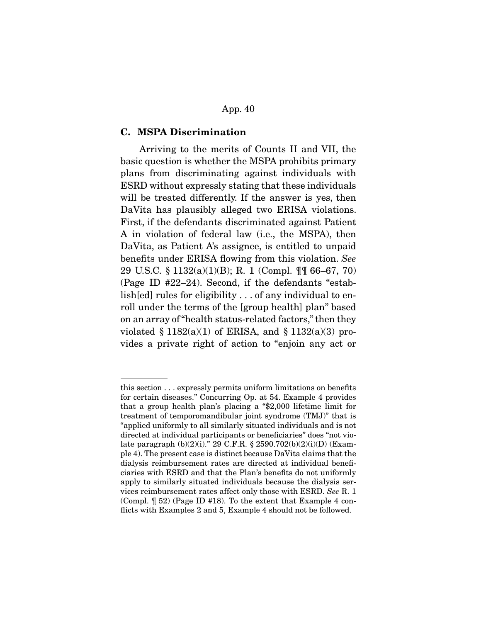#### **C. MSPA Discrimination**

Arriving to the merits of Counts II and VII, the basic question is whether the MSPA prohibits primary plans from discriminating against individuals with ESRD without expressly stating that these individuals will be treated differently. If the answer is yes, then DaVita has plausibly alleged two ERISA violations. First, if the defendants discriminated against Patient A in violation of federal law (i.e., the MSPA), then DaVita, as Patient A's assignee, is entitled to unpaid benefits under ERISA flowing from this violation. *See*  29 U.S.C. § 1132(a)(1)(B); R. 1 (Compl. ¶¶ 66–67, 70) (Page ID #22–24). Second, if the defendants "establish[ed] rules for eligibility . . . of any individual to enroll under the terms of the [group health] plan" based on an array of "health status-related factors," then they violated  $\S 1182(a)(1)$  of ERISA, and  $\S 1132(a)(3)$  provides a private right of action to "enjoin any act or

this section . . . expressly permits uniform limitations on benefits for certain diseases." Concurring Op. at 54. Example 4 provides that a group health plan's placing a "\$2,000 lifetime limit for treatment of temporomandibular joint syndrome (TMJ)" that is "applied uniformly to all similarly situated individuals and is not directed at individual participants or beneficiaries" does "not violate paragraph (b)(2)(i)." 29 C.F.R. § 2590.702(b)(2)(i)(D) (Example 4). The present case is distinct because DaVita claims that the dialysis reimbursement rates are directed at individual beneficiaries with ESRD and that the Plan's benefits do not uniformly apply to similarly situated individuals because the dialysis services reimbursement rates affect only those with ESRD. *See* R. 1 (Compl. ¶ 52) (Page ID #18). To the extent that Example 4 conflicts with Examples 2 and 5, Example 4 should not be followed.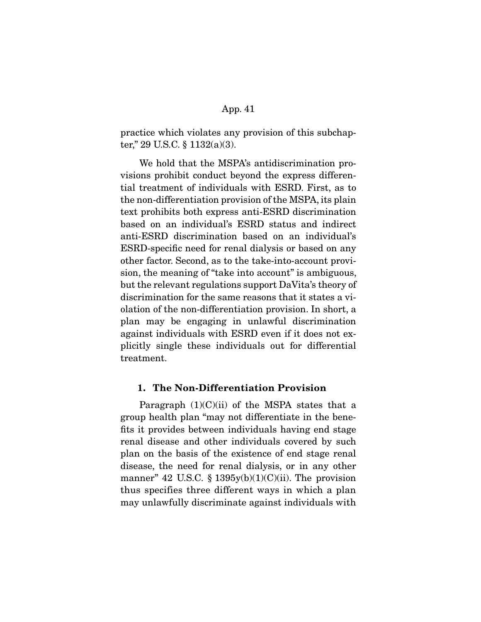practice which violates any provision of this subchapter," 29 U.S.C. § 1132(a)(3).

 We hold that the MSPA's antidiscrimination provisions prohibit conduct beyond the express differential treatment of individuals with ESRD. First, as to the non-differentiation provision of the MSPA, its plain text prohibits both express anti-ESRD discrimination based on an individual's ESRD status and indirect anti-ESRD discrimination based on an individual's ESRD-specific need for renal dialysis or based on any other factor. Second, as to the take-into-account provision, the meaning of "take into account" is ambiguous, but the relevant regulations support DaVita's theory of discrimination for the same reasons that it states a violation of the non-differentiation provision. In short, a plan may be engaging in unlawful discrimination against individuals with ESRD even if it does not explicitly single these individuals out for differential treatment.

### **1. The Non-Differentiation Provision**

Paragraph  $(1)(C)(ii)$  of the MSPA states that a group health plan "may not differentiate in the benefits it provides between individuals having end stage renal disease and other individuals covered by such plan on the basis of the existence of end stage renal disease, the need for renal dialysis, or in any other manner" 42 U.S.C. § 1395y(b)(1)(C)(ii). The provision thus specifies three different ways in which a plan may unlawfully discriminate against individuals with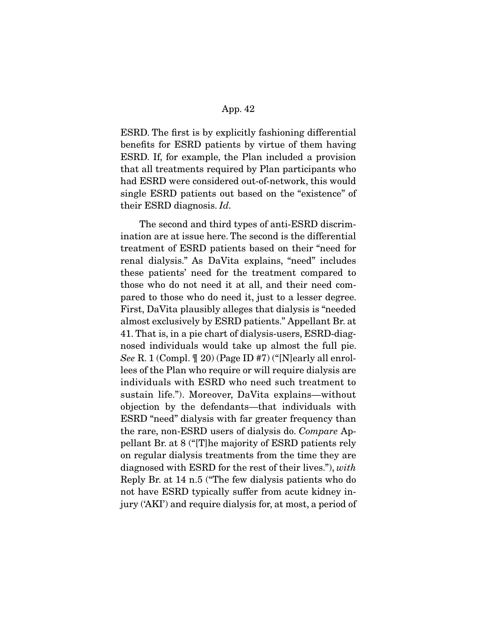ESRD. The first is by explicitly fashioning differential benefits for ESRD patients by virtue of them having ESRD. If, for example, the Plan included a provision that all treatments required by Plan participants who had ESRD were considered out-of-network, this would single ESRD patients out based on the "existence" of their ESRD diagnosis. *Id.*

 The second and third types of anti-ESRD discrimination are at issue here. The second is the differential treatment of ESRD patients based on their "need for renal dialysis." As DaVita explains, "need" includes these patients' need for the treatment compared to those who do not need it at all, and their need compared to those who do need it, just to a lesser degree. First, DaVita plausibly alleges that dialysis is "needed almost exclusively by ESRD patients." Appellant Br. at 41. That is, in a pie chart of dialysis-users, ESRD-diagnosed individuals would take up almost the full pie. *See* R. 1 (Compl. ¶ 20) (Page ID #7) ("[N]early all enrollees of the Plan who require or will require dialysis are individuals with ESRD who need such treatment to sustain life."). Moreover, DaVita explains—without objection by the defendants—that individuals with ESRD "need" dialysis with far greater frequency than the rare, non-ESRD users of dialysis do. *Compare* Appellant Br. at 8 ("[T]he majority of ESRD patients rely on regular dialysis treatments from the time they are diagnosed with ESRD for the rest of their lives."), *with*  Reply Br. at 14 n.5 ("The few dialysis patients who do not have ESRD typically suffer from acute kidney injury ('AKI') and require dialysis for, at most, a period of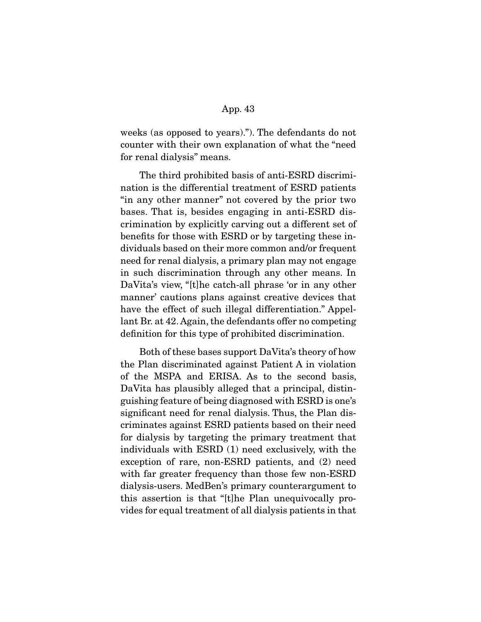weeks (as opposed to years)."). The defendants do not counter with their own explanation of what the "need for renal dialysis" means.

 The third prohibited basis of anti-ESRD discrimination is the differential treatment of ESRD patients "in any other manner" not covered by the prior two bases. That is, besides engaging in anti-ESRD discrimination by explicitly carving out a different set of benefits for those with ESRD or by targeting these individuals based on their more common and/or frequent need for renal dialysis, a primary plan may not engage in such discrimination through any other means. In DaVita's view, "[t]he catch-all phrase 'or in any other manner' cautions plans against creative devices that have the effect of such illegal differentiation." Appellant Br. at 42. Again, the defendants offer no competing definition for this type of prohibited discrimination.

 Both of these bases support DaVita's theory of how the Plan discriminated against Patient A in violation of the MSPA and ERISA. As to the second basis, DaVita has plausibly alleged that a principal, distinguishing feature of being diagnosed with ESRD is one's significant need for renal dialysis. Thus, the Plan discriminates against ESRD patients based on their need for dialysis by targeting the primary treatment that individuals with ESRD (1) need exclusively, with the exception of rare, non-ESRD patients, and (2) need with far greater frequency than those few non-ESRD dialysis-users. MedBen's primary counterargument to this assertion is that "[t]he Plan unequivocally provides for equal treatment of all dialysis patients in that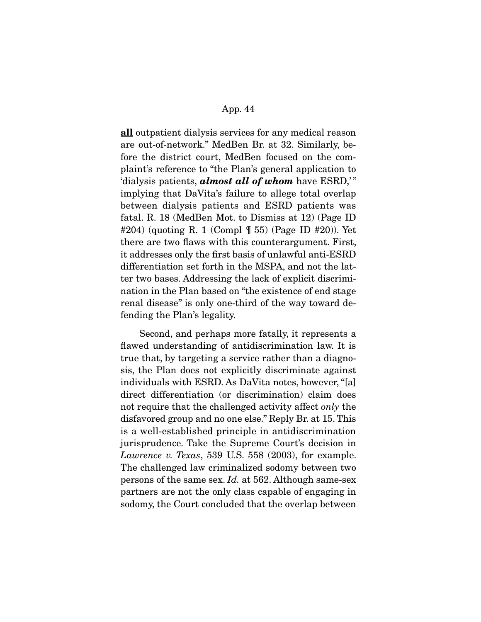**all** outpatient dialysis services for any medical reason are out-of-network." MedBen Br. at 32. Similarly, before the district court, MedBen focused on the complaint's reference to "the Plan's general application to 'dialysis patients, *almost all of whom* have ESRD,' " implying that DaVita's failure to allege total overlap between dialysis patients and ESRD patients was fatal. R. 18 (MedBen Mot. to Dismiss at 12) (Page ID #204) (quoting R. 1 (Compl ¶ 55) (Page ID #20)). Yet there are two flaws with this counterargument. First, it addresses only the first basis of unlawful anti-ESRD differentiation set forth in the MSPA, and not the latter two bases. Addressing the lack of explicit discrimination in the Plan based on "the existence of end stage renal disease" is only one-third of the way toward defending the Plan's legality.

 Second, and perhaps more fatally, it represents a flawed understanding of antidiscrimination law. It is true that, by targeting a service rather than a diagnosis, the Plan does not explicitly discriminate against individuals with ESRD. As DaVita notes, however, "[a] direct differentiation (or discrimination) claim does not require that the challenged activity affect *only* the disfavored group and no one else." Reply Br. at 15. This is a well-established principle in antidiscrimination jurisprudence. Take the Supreme Court's decision in *Lawrence v. Texas*, 539 U.S. 558 (2003), for example. The challenged law criminalized sodomy between two persons of the same sex. *Id.* at 562. Although same-sex partners are not the only class capable of engaging in sodomy, the Court concluded that the overlap between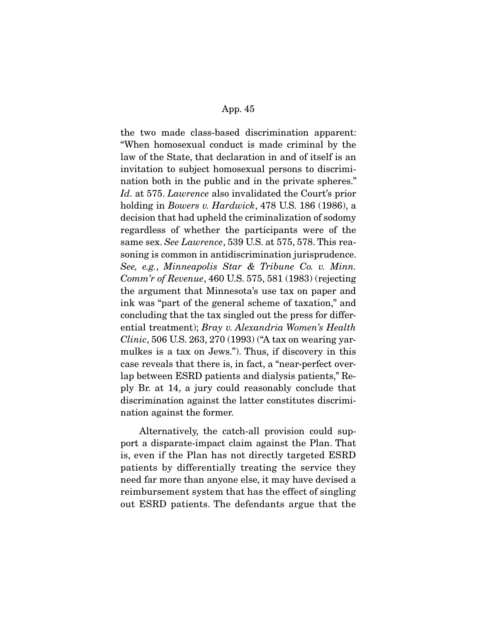the two made class-based discrimination apparent: "When homosexual conduct is made criminal by the law of the State, that declaration in and of itself is an invitation to subject homosexual persons to discrimination both in the public and in the private spheres." *Id.* at 575. *Lawrence* also invalidated the Court's prior holding in *Bowers v. Hardwick*, 478 U.S. 186 (1986), a decision that had upheld the criminalization of sodomy regardless of whether the participants were of the same sex. *See Lawrence*, 539 U.S. at 575, 578. This reasoning is common in antidiscrimination jurisprudence. *See, e.g.*, *Minneapolis Star & Tribune Co. v. Minn. Comm'r of Revenue*, 460 U.S. 575, 581 (1983) (rejecting the argument that Minnesota's use tax on paper and ink was "part of the general scheme of taxation," and concluding that the tax singled out the press for differential treatment); *Bray v. Alexandria Women's Health Clinic*, 506 U.S. 263, 270 (1993) ("A tax on wearing yarmulkes is a tax on Jews."). Thus, if discovery in this case reveals that there is, in fact, a "near-perfect overlap between ESRD patients and dialysis patients," Reply Br. at 14, a jury could reasonably conclude that discrimination against the latter constitutes discrimination against the former.

 Alternatively, the catch-all provision could support a disparate-impact claim against the Plan. That is, even if the Plan has not directly targeted ESRD patients by differentially treating the service they need far more than anyone else, it may have devised a reimbursement system that has the effect of singling out ESRD patients. The defendants argue that the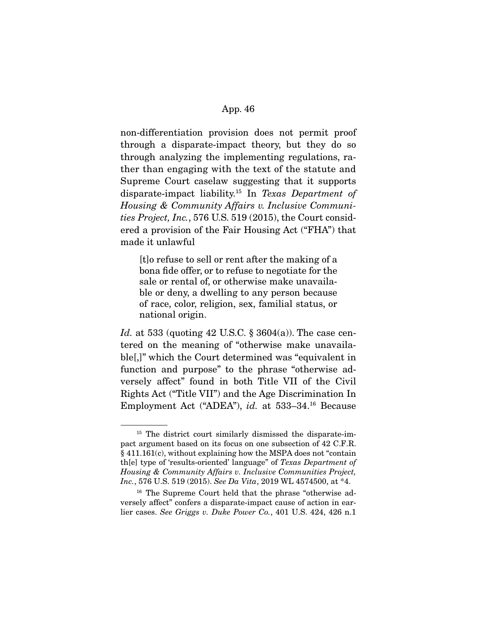non-differentiation provision does not permit proof through a disparate-impact theory, but they do so through analyzing the implementing regulations, rather than engaging with the text of the statute and Supreme Court caselaw suggesting that it supports disparate-impact liability.15 In *Texas Department of Housing & Community Affairs v. Inclusive Communities Project, Inc.*, 576 U.S. 519 (2015), the Court considered a provision of the Fair Housing Act ("FHA") that made it unlawful

[t]o refuse to sell or rent after the making of a bona fide offer, or to refuse to negotiate for the sale or rental of, or otherwise make unavailable or deny, a dwelling to any person because of race, color, religion, sex, familial status, or national origin.

*Id.* at 533 (quoting 42 U.S.C. § 3604(a)). The case centered on the meaning of "otherwise make unavailable[,]" which the Court determined was "equivalent in function and purpose" to the phrase "otherwise adversely affect" found in both Title VII of the Civil Rights Act ("Title VII") and the Age Discrimination In Employment Act ("ADEA"), *id.* at 533–34.16 Because

<sup>&</sup>lt;sup>15</sup> The district court similarly dismissed the disparate-impact argument based on its focus on one subsection of 42 C.F.R. § 411.161(c), without explaining how the MSPA does not "contain th[e] type of 'results-oriented' language" of *Texas Department of Housing & Community Affairs v. Inclusive Communities Project, Inc.*, 576 U.S. 519 (2015). *See Da Vita*, 2019 WL 4574500, at \*4.

<sup>16</sup> The Supreme Court held that the phrase "otherwise adversely affect" confers a disparate-impact cause of action in earlier cases. *See Griggs v. Duke Power Co.*, 401 U.S. 424, 426 n.1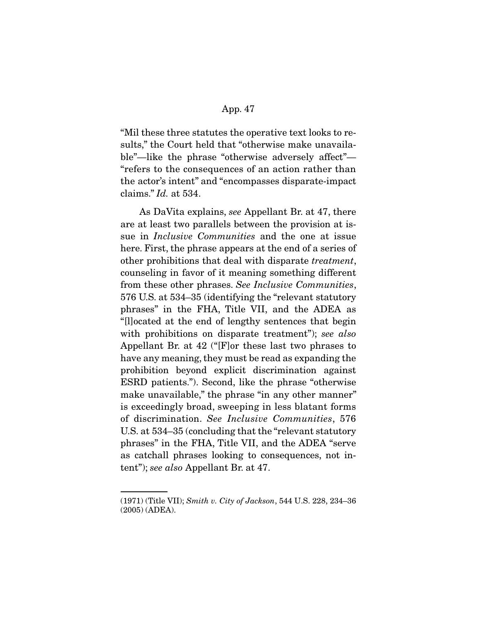"Mil these three statutes the operative text looks to results," the Court held that "otherwise make unavailable"—like the phrase "otherwise adversely affect"— "refers to the consequences of an action rather than the actor's intent" and "encompasses disparate-impact claims." *Id.* at 534.

As DaVita explains, *see* Appellant Br. at 47, there are at least two parallels between the provision at issue in *Inclusive Communities* and the one at issue here. First, the phrase appears at the end of a series of other prohibitions that deal with disparate *treatment*, counseling in favor of it meaning something different from these other phrases. *See Inclusive Communities*, 576 U.S. at 534–35 (identifying the "relevant statutory phrases" in the FHA, Title VII, and the ADEA as "[l]ocated at the end of lengthy sentences that begin with prohibitions on disparate treatment"); *see also*  Appellant Br. at 42 ("[F]or these last two phrases to have any meaning, they must be read as expanding the prohibition beyond explicit discrimination against ESRD patients."). Second, like the phrase "otherwise make unavailable," the phrase "in any other manner" is exceedingly broad, sweeping in less blatant forms of discrimination. *See Inclusive Communities*, 576 U.S. at 534–35 (concluding that the "relevant statutory phrases" in the FHA, Title VII, and the ADEA "serve as catchall phrases looking to consequences, not intent"); *see also* Appellant Br. at 47.

<sup>(1971) (</sup>Title VII); *Smith v. City of Jackson*, 544 U.S. 228, 234–36 (2005) (ADEA).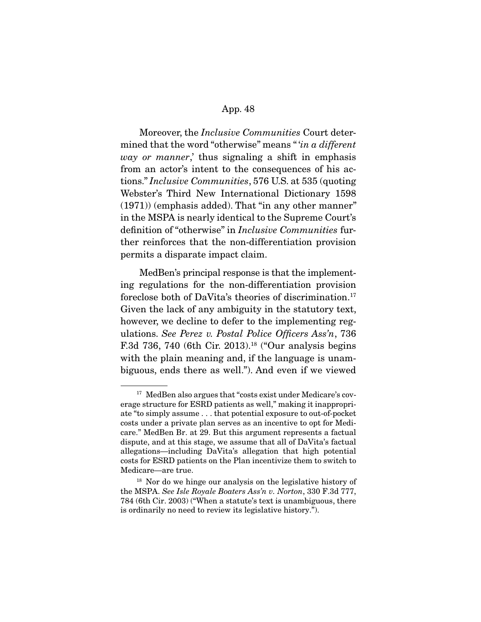Moreover, the *Inclusive Communities* Court determined that the word "otherwise" means " '*in a different way or manner*,' thus signaling a shift in emphasis from an actor's intent to the consequences of his actions." *Inclusive Communities*, 576 U.S. at 535 (quoting Webster's Third New International Dictionary 1598 (1971)) (emphasis added). That "in any other manner" in the MSPA is nearly identical to the Supreme Court's definition of "otherwise" in *Inclusive Communities* further reinforces that the non-differentiation provision permits a disparate impact claim.

 MedBen's principal response is that the implementing regulations for the non-differentiation provision foreclose both of DaVita's theories of discrimination.<sup>17</sup> Given the lack of any ambiguity in the statutory text, however, we decline to defer to the implementing regulations. *See Perez v. Postal Police Officers Ass'n*, 736 F.3d 736, 740 (6th Cir. 2013).<sup>18</sup> ("Our analysis begins with the plain meaning and, if the language is unambiguous, ends there as well."). And even if we viewed

<sup>&</sup>lt;sup>17</sup> MedBen also argues that "costs exist under Medicare's coverage structure for ESRD patients as well," making it inappropriate "to simply assume . . . that potential exposure to out-of-pocket costs under a private plan serves as an incentive to opt for Medicare." MedBen Br. at 29. But this argument represents a factual dispute, and at this stage, we assume that all of DaVita's factual allegations—including DaVita's allegation that high potential costs for ESRD patients on the Plan incentivize them to switch to Medicare—are true.

<sup>&</sup>lt;sup>18</sup> Nor do we hinge our analysis on the legislative history of the MSPA. *See Isle Royale Boaters Ass'n v. Norton*, 330 F.3d 777, 784 (6th Cir. 2003) ("When a statute's text is unambiguous, there is ordinarily no need to review its legislative history.").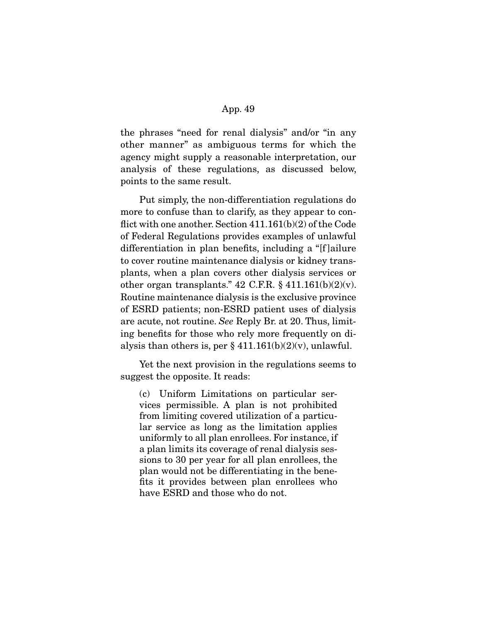the phrases "need for renal dialysis" and/or "in any other manner" as ambiguous terms for which the agency might supply a reasonable interpretation, our analysis of these regulations, as discussed below, points to the same result.

 Put simply, the non-differentiation regulations do more to confuse than to clarify, as they appear to conflict with one another. Section 411.161(b)(2) of the Code of Federal Regulations provides examples of unlawful differentiation in plan benefits, including a "[f ]ailure to cover routine maintenance dialysis or kidney transplants, when a plan covers other dialysis services or other organ transplants."  $42$  C.F.R.  $\S$   $411.161(b)(2)(v)$ . Routine maintenance dialysis is the exclusive province of ESRD patients; non-ESRD patient uses of dialysis are acute, not routine. *See* Reply Br. at 20. Thus, limiting benefits for those who rely more frequently on dialysis than others is, per  $\S 411.161(b)(2)(v)$ , unlawful.

 Yet the next provision in the regulations seems to suggest the opposite. It reads:

(c) Uniform Limitations on particular services permissible. A plan is not prohibited from limiting covered utilization of a particular service as long as the limitation applies uniformly to all plan enrollees. For instance, if a plan limits its coverage of renal dialysis sessions to 30 per year for all plan enrollees, the plan would not be differentiating in the benefits it provides between plan enrollees who have ESRD and those who do not.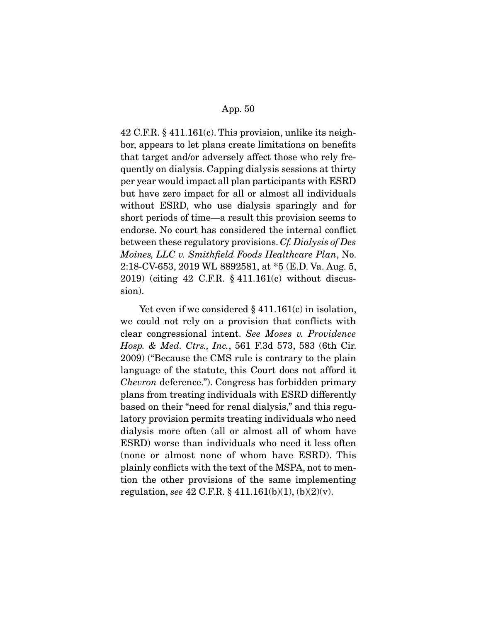42 C.F.R. § 411.161(c). This provision, unlike its neighbor, appears to let plans create limitations on benefits that target and/or adversely affect those who rely frequently on dialysis. Capping dialysis sessions at thirty per year would impact all plan participants with ESRD but have zero impact for all or almost all individuals without ESRD, who use dialysis sparingly and for short periods of time—a result this provision seems to endorse. No court has considered the internal conflict between these regulatory provisions. *Cf. Dialysis of Des Moines, LLC v. Smithfield Foods Healthcare Plan*, No. 2:18-CV-653, 2019 WL 8892581, at \*5 (E.D. Va. Aug. 5, 2019) (citing 42 C.F.R. § 411.161(c) without discussion).

Yet even if we considered  $\S 411.161(c)$  in isolation, we could not rely on a provision that conflicts with clear congressional intent. *See Moses v. Providence Hosp. & Med. Ctrs., Inc.*, 561 F.3d 573, 583 (6th Cir. 2009) ("Because the CMS rule is contrary to the plain language of the statute, this Court does not afford it *Chevron* deference."). Congress has forbidden primary plans from treating individuals with ESRD differently based on their "need for renal dialysis," and this regulatory provision permits treating individuals who need dialysis more often (all or almost all of whom have ESRD) worse than individuals who need it less often (none or almost none of whom have ESRD). This plainly conflicts with the text of the MSPA, not to mention the other provisions of the same implementing regulation, *see* 42 C.F.R. § 411.161(b)(1), (b)(2)(v).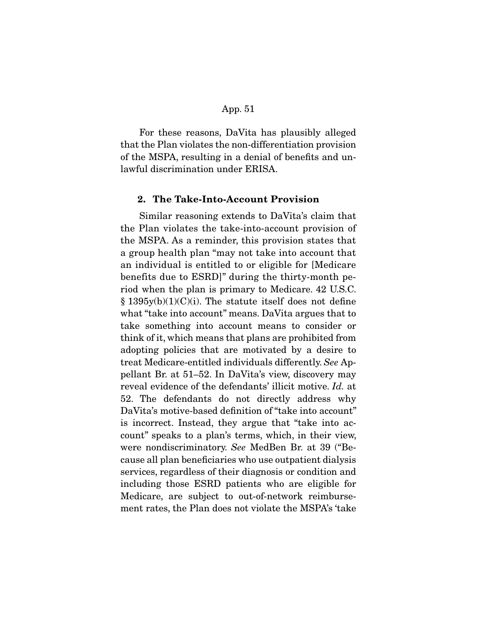For these reasons, DaVita has plausibly alleged that the Plan violates the non-differentiation provision of the MSPA, resulting in a denial of benefits and unlawful discrimination under ERISA.

#### **2. The Take-Into-Account Provision**

Similar reasoning extends to DaVita's claim that the Plan violates the take-into-account provision of the MSPA. As a reminder, this provision states that a group health plan "may not take into account that an individual is entitled to or eligible for [Medicare benefits due to ESRD]" during the thirty-month period when the plan is primary to Medicare. 42 U.S.C.  $\S 1395y(b)(1)(C)(i)$ . The statute itself does not define what "take into account" means. DaVita argues that to take something into account means to consider or think of it, which means that plans are prohibited from adopting policies that are motivated by a desire to treat Medicare-entitled individuals differently. *See* Appellant Br. at 51–52. In DaVita's view, discovery may reveal evidence of the defendants' illicit motive. *Id.* at 52. The defendants do not directly address why DaVita's motive-based definition of "take into account" is incorrect. Instead, they argue that "take into account" speaks to a plan's terms, which, in their view, were nondiscriminatory. *See* MedBen Br. at 39 ("Because all plan beneficiaries who use outpatient dialysis services, regardless of their diagnosis or condition and including those ESRD patients who are eligible for Medicare, are subject to out-of-network reimbursement rates, the Plan does not violate the MSPA's 'take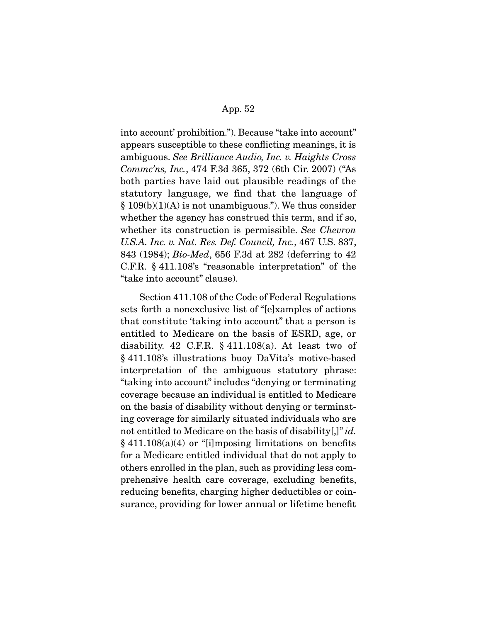into account' prohibition."). Because "take into account" appears susceptible to these conflicting meanings, it is ambiguous. *See Brilliance Audio, Inc. v. Haights Cross Commc'ns, Inc.*, 474 F.3d 365, 372 (6th Cir. 2007) ("As both parties have laid out plausible readings of the statutory language, we find that the language of  $§ 109(b)(1)(A)$  is not unambiguous."). We thus consider whether the agency has construed this term, and if so, whether its construction is permissible. *See Chevron U.S.A. Inc. v. Nat. Res. Def. Council, Inc.*, 467 U.S. 837, 843 (1984); *Bio-Med*, 656 F.3d at 282 (deferring to 42 C.F.R. § 411.108's "reasonable interpretation" of the "take into account" clause).

 Section 411.108 of the Code of Federal Regulations sets forth a nonexclusive list of "[e]xamples of actions that constitute 'taking into account" that a person is entitled to Medicare on the basis of ESRD, age, or disability. 42 C.F.R.  $\S$  411.108(a). At least two of § 411.108's illustrations buoy DaVita's motive-based interpretation of the ambiguous statutory phrase: "taking into account" includes "denying or terminating coverage because an individual is entitled to Medicare on the basis of disability without denying or terminating coverage for similarly situated individuals who are not entitled to Medicare on the basis of disability[,]" *id.*   $§ 411.108(a)(4)$  or "[i]mposing limitations on benefits for a Medicare entitled individual that do not apply to others enrolled in the plan, such as providing less comprehensive health care coverage, excluding benefits, reducing benefits, charging higher deductibles or coinsurance, providing for lower annual or lifetime benefit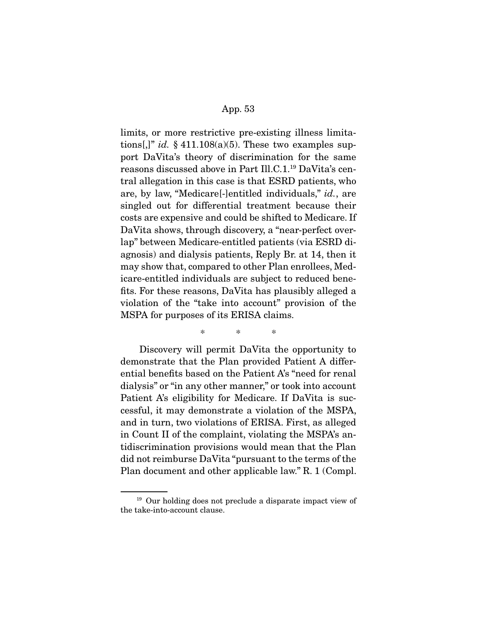limits, or more restrictive pre-existing illness limitations[,]" *id.*  $\S$  411.108(a)(5). These two examples support DaVita's theory of discrimination for the same reasons discussed above in Part Ill.C.1.19 DaVita's central allegation in this case is that ESRD patients, who are, by law, "Medicare[-]entitled individuals," *id.*, are singled out for differential treatment because their costs are expensive and could be shifted to Medicare. If DaVita shows, through discovery, a "near-perfect overlap" between Medicare-entitled patients (via ESRD diagnosis) and dialysis patients, Reply Br. at 14, then it may show that, compared to other Plan enrollees, Medicare-entitled individuals are subject to reduced benefits. For these reasons, DaVita has plausibly alleged a violation of the "take into account" provision of the MSPA for purposes of its ERISA claims.

\* \* \*

 Discovery will permit DaVita the opportunity to demonstrate that the Plan provided Patient A differential benefits based on the Patient A's "need for renal dialysis" or "in any other manner," or took into account Patient A's eligibility for Medicare. If DaVita is successful, it may demonstrate a violation of the MSPA, and in turn, two violations of ERISA. First, as alleged in Count II of the complaint, violating the MSPA's antidiscrimination provisions would mean that the Plan did not reimburse DaVita "pursuant to the terms of the Plan document and other applicable law." R. 1 (Compl.

<sup>&</sup>lt;sup>19</sup> Our holding does not preclude a disparate impact view of the take-into-account clause.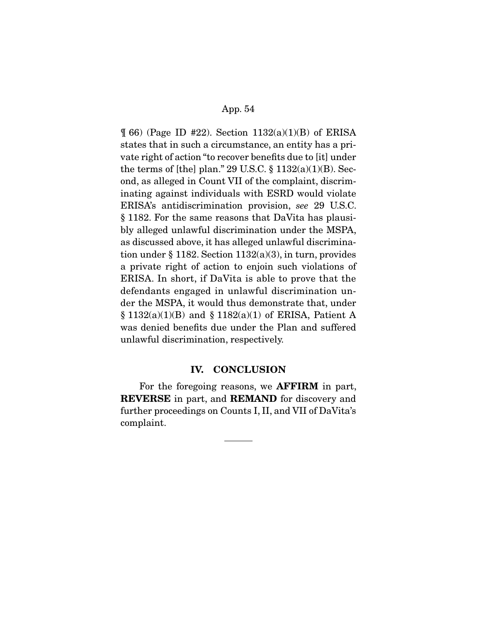$\parallel$  66) (Page ID #22). Section 1132(a)(1)(B) of ERISA states that in such a circumstance, an entity has a private right of action "to recover benefits due to [it] under the terms of [the] plan." 29 U.S.C.  $\S$  1132(a)(1)(B). Second, as alleged in Count VII of the complaint, discriminating against individuals with ESRD would violate ERISA's antidiscrimination provision, *see* 29 U.S.C. § 1182. For the same reasons that DaVita has plausibly alleged unlawful discrimination under the MSPA, as discussed above, it has alleged unlawful discrimination under § 1182. Section 1132(a)(3), in turn, provides a private right of action to enjoin such violations of ERISA. In short, if DaVita is able to prove that the defendants engaged in unlawful discrimination under the MSPA, it would thus demonstrate that, under § 1132(a)(1)(B) and § 1182(a)(1) of ERISA, Patient A was denied benefits due under the Plan and suffered unlawful discrimination, respectively.

#### **IV. CONCLUSION**

For the foregoing reasons, we **AFFIRM** in part, **REVERSE** in part, and **REMAND** for discovery and further proceedings on Counts I, II, and VII of DaVita's complaint.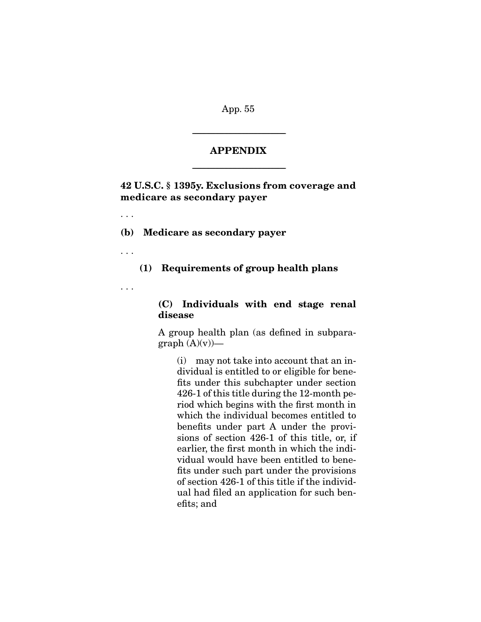#### **APPENDIX**

-----------------------------------------------------------------------

-----------------------------------------------------------------------

**42 U.S.C. § 1395y. Exclusions from coverage and medicare as secondary payer** 

**(b) Medicare as secondary payer** 

. . .

. . .

# **(1) Requirements of group health plans**

. . .

# **(C) Individuals with end stage renal disease**

A group health plan (as defined in subpara $graph (A)(v)$ —

(i) may not take into account that an individual is entitled to or eligible for benefits under this subchapter under section 426-1 of this title during the 12-month period which begins with the first month in which the individual becomes entitled to benefits under part A under the provisions of section 426-1 of this title, or, if earlier, the first month in which the individual would have been entitled to benefits under such part under the provisions of section 426-1 of this title if the individual had filed an application for such benefits; and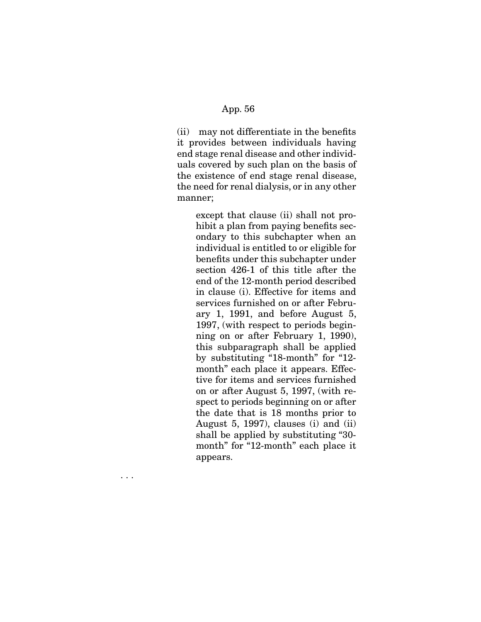(ii) may not differentiate in the benefits it provides between individuals having end stage renal disease and other individuals covered by such plan on the basis of the existence of end stage renal disease, the need for renal dialysis, or in any other manner;

> except that clause (ii) shall not prohibit a plan from paying benefits secondary to this subchapter when an individual is entitled to or eligible for benefits under this subchapter under section 426-1 of this title after the end of the 12-month period described in clause (i). Effective for items and services furnished on or after February 1, 1991, and before August 5, 1997, (with respect to periods beginning on or after February 1, 1990), this subparagraph shall be applied by substituting "18-month" for "12 month" each place it appears. Effective for items and services furnished on or after August 5, 1997, (with respect to periods beginning on or after the date that is 18 months prior to August 5, 1997), clauses (i) and (ii) shall be applied by substituting "30 month" for "12-month" each place it appears.

. . .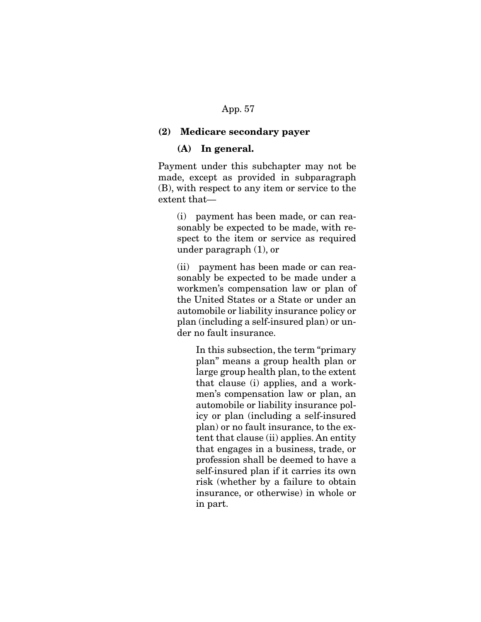#### **(2) Medicare secondary payer**

#### **(A) In general.**

Payment under this subchapter may not be made, except as provided in subparagraph (B), with respect to any item or service to the extent that—

(i) payment has been made, or can reasonably be expected to be made, with respect to the item or service as required under paragraph (1), or

(ii) payment has been made or can reasonably be expected to be made under a workmen's compensation law or plan of the United States or a State or under an automobile or liability insurance policy or plan (including a self-insured plan) or under no fault insurance.

> In this subsection, the term "primary plan" means a group health plan or large group health plan, to the extent that clause (i) applies, and a workmen's compensation law or plan, an automobile or liability insurance policy or plan (including a self-insured plan) or no fault insurance, to the extent that clause (ii) applies. An entity that engages in a business, trade, or profession shall be deemed to have a self-insured plan if it carries its own risk (whether by a failure to obtain insurance, or otherwise) in whole or in part.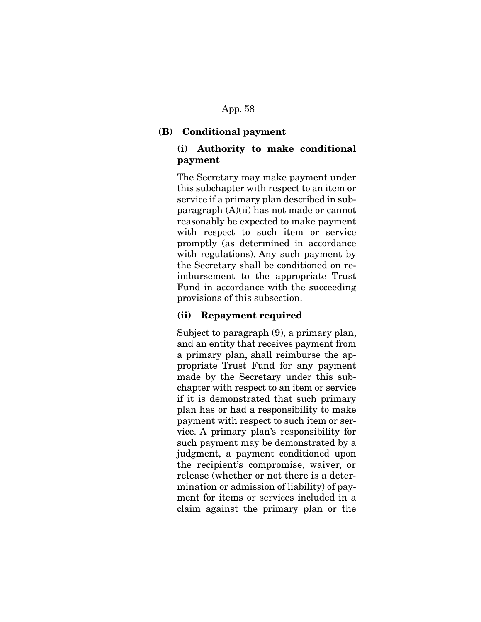### **(B) Conditional payment**

# **(i) Authority to make conditional payment**

The Secretary may make payment under this subchapter with respect to an item or service if a primary plan described in subparagraph (A)(ii) has not made or cannot reasonably be expected to make payment with respect to such item or service promptly (as determined in accordance with regulations). Any such payment by the Secretary shall be conditioned on reimbursement to the appropriate Trust Fund in accordance with the succeeding provisions of this subsection.

### **(ii) Repayment required**

Subject to paragraph (9), a primary plan, and an entity that receives payment from a primary plan, shall reimburse the appropriate Trust Fund for any payment made by the Secretary under this subchapter with respect to an item or service if it is demonstrated that such primary plan has or had a responsibility to make payment with respect to such item or service. A primary plan's responsibility for such payment may be demonstrated by a judgment, a payment conditioned upon the recipient's compromise, waiver, or release (whether or not there is a determination or admission of liability) of payment for items or services included in a claim against the primary plan or the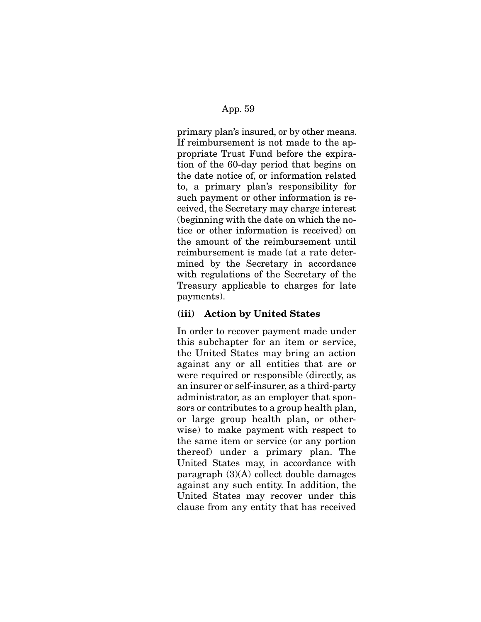primary plan's insured, or by other means. If reimbursement is not made to the appropriate Trust Fund before the expiration of the 60-day period that begins on the date notice of, or information related to, a primary plan's responsibility for such payment or other information is received, the Secretary may charge interest (beginning with the date on which the notice or other information is received) on the amount of the reimbursement until reimbursement is made (at a rate determined by the Secretary in accordance with regulations of the Secretary of the Treasury applicable to charges for late payments).

# **(iii) Action by United States**

In order to recover payment made under this subchapter for an item or service, the United States may bring an action against any or all entities that are or were required or responsible (directly, as an insurer or self-insurer, as a third-party administrator, as an employer that sponsors or contributes to a group health plan, or large group health plan, or otherwise) to make payment with respect to the same item or service (or any portion thereof) under a primary plan. The United States may, in accordance with paragraph (3)(A) collect double damages against any such entity. In addition, the United States may recover under this clause from any entity that has received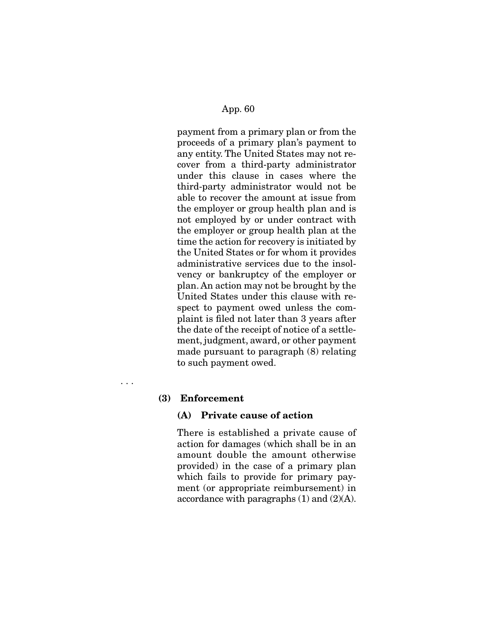payment from a primary plan or from the proceeds of a primary plan's payment to any entity. The United States may not recover from a third-party administrator under this clause in cases where the third-party administrator would not be able to recover the amount at issue from the employer or group health plan and is not employed by or under contract with the employer or group health plan at the time the action for recovery is initiated by the United States or for whom it provides administrative services due to the insolvency or bankruptcy of the employer or plan. An action may not be brought by the United States under this clause with respect to payment owed unless the complaint is filed not later than 3 years after the date of the receipt of notice of a settlement, judgment, award, or other payment made pursuant to paragraph (8) relating to such payment owed.

. . .

## **(3) Enforcement**

## **(A) Private cause of action**

There is established a private cause of action for damages (which shall be in an amount double the amount otherwise provided) in the case of a primary plan which fails to provide for primary payment (or appropriate reimbursement) in accordance with paragraphs  $(1)$  and  $(2)(A)$ .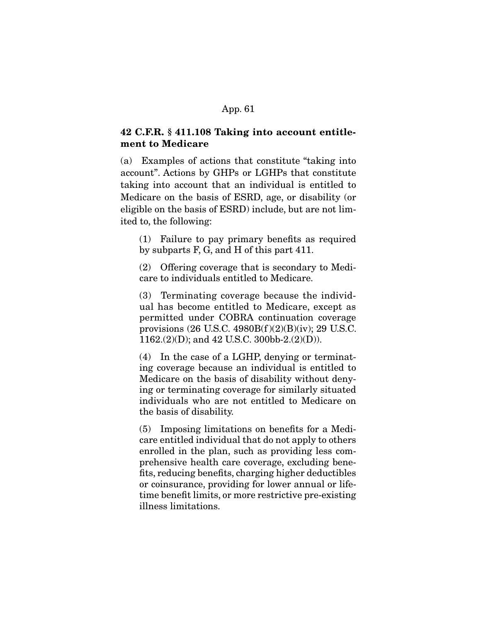# **42 C.F.R. § 411.108 Taking into account entitlement to Medicare**

(a) Examples of actions that constitute "taking into account". Actions by GHPs or LGHPs that constitute taking into account that an individual is entitled to Medicare on the basis of ESRD, age, or disability (or eligible on the basis of ESRD) include, but are not limited to, the following:

(1) Failure to pay primary benefits as required by subparts F, G, and H of this part 411.

(2) Offering coverage that is secondary to Medicare to individuals entitled to Medicare.

(3) Terminating coverage because the individual has become entitled to Medicare, except as permitted under COBRA continuation coverage provisions (26 U.S.C. 4980B(f )(2)(B)(iv); 29 U.S.C. 1162.(2)(D); and 42 U.S.C. 300bb-2.(2)(D)).

(4) In the case of a LGHP, denying or terminating coverage because an individual is entitled to Medicare on the basis of disability without denying or terminating coverage for similarly situated individuals who are not entitled to Medicare on the basis of disability.

(5) Imposing limitations on benefits for a Medicare entitled individual that do not apply to others enrolled in the plan, such as providing less comprehensive health care coverage, excluding benefits, reducing benefits, charging higher deductibles or coinsurance, providing for lower annual or lifetime benefit limits, or more restrictive pre-existing illness limitations.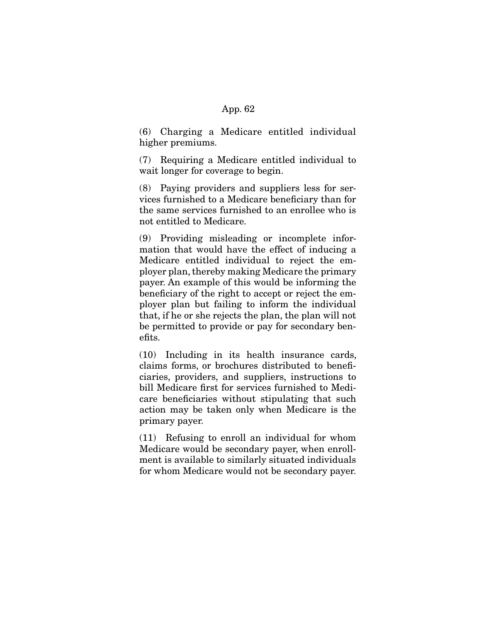(6) Charging a Medicare entitled individual higher premiums.

(7) Requiring a Medicare entitled individual to wait longer for coverage to begin.

(8) Paying providers and suppliers less for services furnished to a Medicare beneficiary than for the same services furnished to an enrollee who is not entitled to Medicare.

(9) Providing misleading or incomplete information that would have the effect of inducing a Medicare entitled individual to reject the employer plan, thereby making Medicare the primary payer. An example of this would be informing the beneficiary of the right to accept or reject the employer plan but failing to inform the individual that, if he or she rejects the plan, the plan will not be permitted to provide or pay for secondary benefits.

(10) Including in its health insurance cards, claims forms, or brochures distributed to beneficiaries, providers, and suppliers, instructions to bill Medicare first for services furnished to Medicare beneficiaries without stipulating that such action may be taken only when Medicare is the primary payer.

(11) Refusing to enroll an individual for whom Medicare would be secondary payer, when enrollment is available to similarly situated individuals for whom Medicare would not be secondary payer.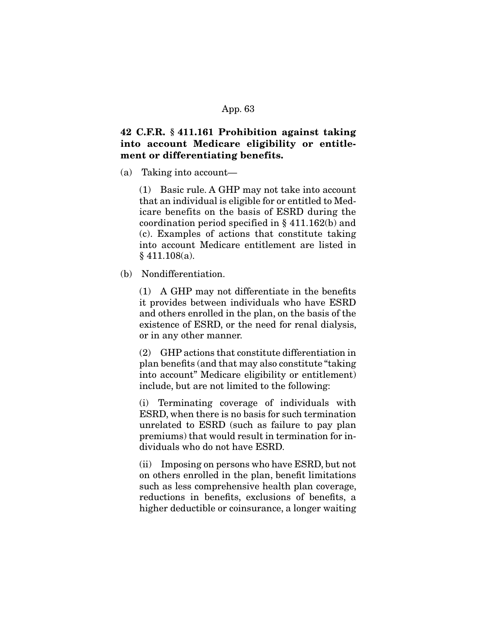# **42 C.F.R. § 411.161 Prohibition against taking into account Medicare eligibility or entitlement or differentiating benefits.**

(a) Taking into account—

(1) Basic rule. A GHP may not take into account that an individual is eligible for or entitled to Medicare benefits on the basis of ESRD during the coordination period specified in § 411.162(b) and (c). Examples of actions that constitute taking into account Medicare entitlement are listed in § 411.108(a).

(b) Nondifferentiation.

(1) A GHP may not differentiate in the benefits it provides between individuals who have ESRD and others enrolled in the plan, on the basis of the existence of ESRD, or the need for renal dialysis, or in any other manner.

(2) GHP actions that constitute differentiation in plan benefits (and that may also constitute "taking into account" Medicare eligibility or entitlement) include, but are not limited to the following:

(i) Terminating coverage of individuals with ESRD, when there is no basis for such termination unrelated to ESRD (such as failure to pay plan premiums) that would result in termination for individuals who do not have ESRD.

(ii) Imposing on persons who have ESRD, but not on others enrolled in the plan, benefit limitations such as less comprehensive health plan coverage, reductions in benefits, exclusions of benefits, a higher deductible or coinsurance, a longer waiting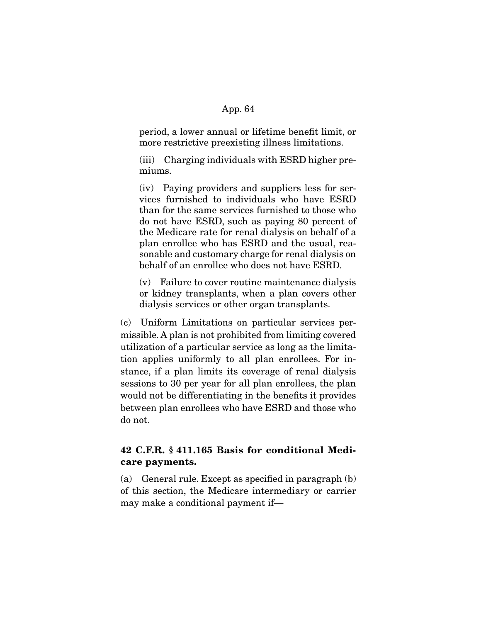period, a lower annual or lifetime benefit limit, or more restrictive preexisting illness limitations.

(iii) Charging individuals with ESRD higher premiums.

(iv) Paying providers and suppliers less for services furnished to individuals who have ESRD than for the same services furnished to those who do not have ESRD, such as paying 80 percent of the Medicare rate for renal dialysis on behalf of a plan enrollee who has ESRD and the usual, reasonable and customary charge for renal dialysis on behalf of an enrollee who does not have ESRD.

(v) Failure to cover routine maintenance dialysis or kidney transplants, when a plan covers other dialysis services or other organ transplants.

(c) Uniform Limitations on particular services permissible. A plan is not prohibited from limiting covered utilization of a particular service as long as the limitation applies uniformly to all plan enrollees. For instance, if a plan limits its coverage of renal dialysis sessions to 30 per year for all plan enrollees, the plan would not be differentiating in the benefits it provides between plan enrollees who have ESRD and those who do not.

# **42 C.F.R. § 411.165 Basis for conditional Medicare payments.**

(a) General rule. Except as specified in paragraph (b) of this section, the Medicare intermediary or carrier may make a conditional payment if—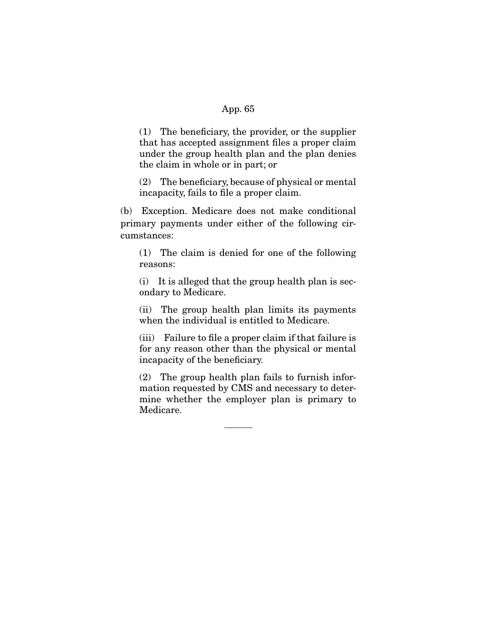(1) The beneficiary, the provider, or the supplier that has accepted assignment files a proper claim under the group health plan and the plan denies the claim in whole or in part; or

(2) The beneficiary, because of physical or mental incapacity, fails to file a proper claim.

(b) Exception. Medicare does not make conditional primary payments under either of the following circumstances:

(1) The claim is denied for one of the following reasons:

(i) It is alleged that the group health plan is secondary to Medicare.

(ii) The group health plan limits its payments when the individual is entitled to Medicare.

(iii) Failure to file a proper claim if that failure is for any reason other than the physical or mental incapacity of the beneficiary.

(2) The group health plan fails to furnish information requested by CMS and necessary to determine whether the employer plan is primary to Medicare.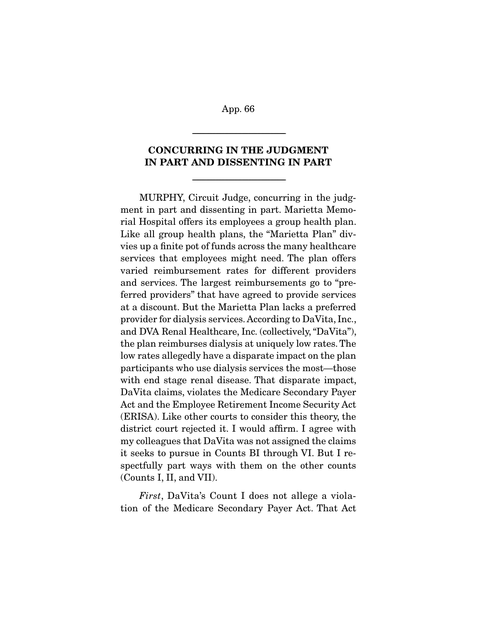-----------------------------------------------------------------------

# **CONCURRING IN THE JUDGMENT IN PART AND DISSENTING IN PART**

-----------------------------------------------------------------------

MURPHY, Circuit Judge, concurring in the judgment in part and dissenting in part. Marietta Memorial Hospital offers its employees a group health plan. Like all group health plans, the "Marietta Plan" divvies up a finite pot of funds across the many healthcare services that employees might need. The plan offers varied reimbursement rates for different providers and services. The largest reimbursements go to "preferred providers" that have agreed to provide services at a discount. But the Marietta Plan lacks a preferred provider for dialysis services. According to DaVita, Inc., and DVA Renal Healthcare, Inc. (collectively, "DaVita"), the plan reimburses dialysis at uniquely low rates. The low rates allegedly have a disparate impact on the plan participants who use dialysis services the most—those with end stage renal disease. That disparate impact, DaVita claims, violates the Medicare Secondary Payer Act and the Employee Retirement Income Security Act (ERISA). Like other courts to consider this theory, the district court rejected it. I would affirm. I agree with my colleagues that DaVita was not assigned the claims it seeks to pursue in Counts BI through VI. But I respectfully part ways with them on the other counts (Counts I, II, and VII).

*First*, DaVita's Count I does not allege a violation of the Medicare Secondary Payer Act. That Act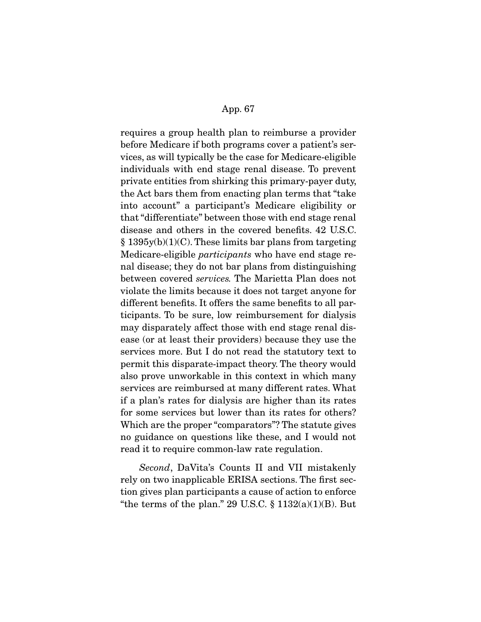requires a group health plan to reimburse a provider before Medicare if both programs cover a patient's services, as will typically be the case for Medicare-eligible individuals with end stage renal disease. To prevent private entities from shirking this primary-payer duty, the Act bars them from enacting plan terms that "take into account" a participant's Medicare eligibility or that "differentiate" between those with end stage renal disease and others in the covered benefits. 42 U.S.C. § 1395y(b)(1)(C). These limits bar plans from targeting Medicare-eligible *participants* who have end stage renal disease; they do not bar plans from distinguishing between covered *services.* The Marietta Plan does not violate the limits because it does not target anyone for different benefits. It offers the same benefits to all participants. To be sure, low reimbursement for dialysis may disparately affect those with end stage renal disease (or at least their providers) because they use the services more. But I do not read the statutory text to permit this disparate-impact theory. The theory would also prove unworkable in this context in which many services are reimbursed at many different rates. What if a plan's rates for dialysis are higher than its rates for some services but lower than its rates for others? Which are the proper "comparators"? The statute gives no guidance on questions like these, and I would not read it to require common-law rate regulation.

*Second*, DaVita's Counts II and VII mistakenly rely on two inapplicable ERISA sections. The first section gives plan participants a cause of action to enforce "the terms of the plan." 29 U.S.C.  $\S 1132(a)(1)(B)$ . But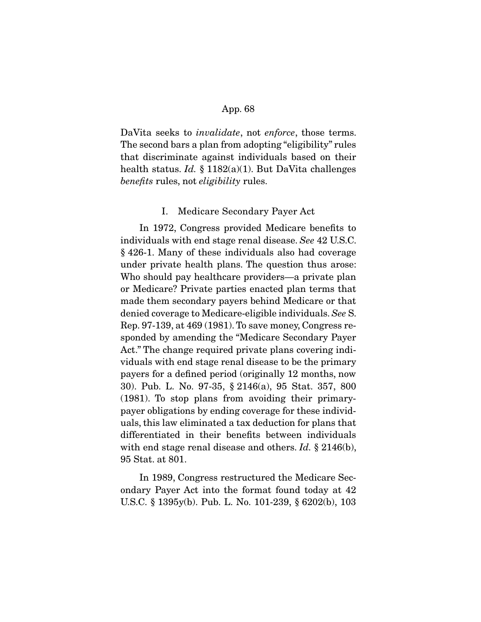DaVita seeks to *invalidate*, not *enforce*, those terms. The second bars a plan from adopting "eligibility" rules that discriminate against individuals based on their health status. *Id.* § 1182(a)(1). But DaVita challenges *benefits* rules, not *eligibility* rules.

### I. Medicare Secondary Payer Act

 In 1972, Congress provided Medicare benefits to individuals with end stage renal disease. *See* 42 U.S.C. § 426-1. Many of these individuals also had coverage under private health plans. The question thus arose: Who should pay healthcare providers—a private plan or Medicare? Private parties enacted plan terms that made them secondary payers behind Medicare or that denied coverage to Medicare-eligible individuals. *See* S. Rep. 97-139, at 469 (1981). To save money, Congress responded by amending the "Medicare Secondary Payer Act." The change required private plans covering individuals with end stage renal disease to be the primary payers for a defined period (originally 12 months, now 30). Pub. L. No. 97-35, § 2146(a), 95 Stat. 357, 800 (1981). To stop plans from avoiding their primarypayer obligations by ending coverage for these individuals, this law eliminated a tax deduction for plans that differentiated in their benefits between individuals with end stage renal disease and others. *Id.* § 2146(b), 95 Stat. at 801.

 In 1989, Congress restructured the Medicare Secondary Payer Act into the format found today at 42 U.S.C. § 1395y(b). Pub. L. No. 101-239, § 6202(b), 103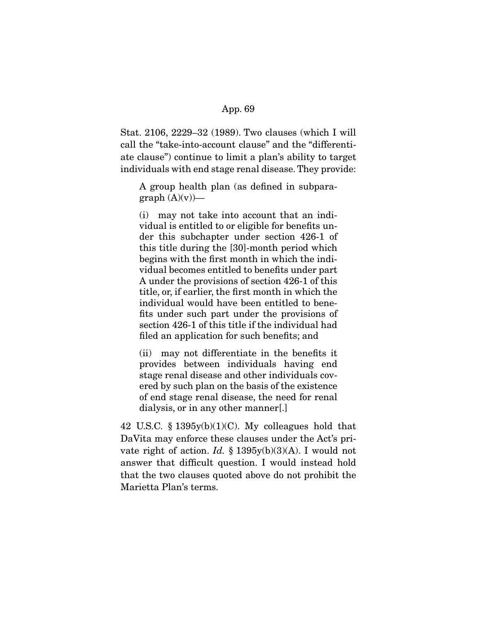Stat. 2106, 2229–32 (1989). Two clauses (which I will call the "take-into-account clause" and the "differentiate clause") continue to limit a plan's ability to target individuals with end stage renal disease. They provide:

A group health plan (as defined in subpara $graph (A)(v)$ —

(i) may not take into account that an individual is entitled to or eligible for benefits under this subchapter under section 426-1 of this title during the [30]-month period which begins with the first month in which the individual becomes entitled to benefits under part A under the provisions of section 426-1 of this title, or, if earlier, the first month in which the individual would have been entitled to benefits under such part under the provisions of section 426-1 of this title if the individual had filed an application for such benefits; and

(ii) may not differentiate in the benefits it provides between individuals having end stage renal disease and other individuals covered by such plan on the basis of the existence of end stage renal disease, the need for renal dialysis, or in any other manner[.]

42 U.S.C. § 1395y(b)(1)(C). My colleagues hold that DaVita may enforce these clauses under the Act's private right of action. *Id.* § 1395y(b)(3)(A). I would not answer that difficult question. I would instead hold that the two clauses quoted above do not prohibit the Marietta Plan's terms.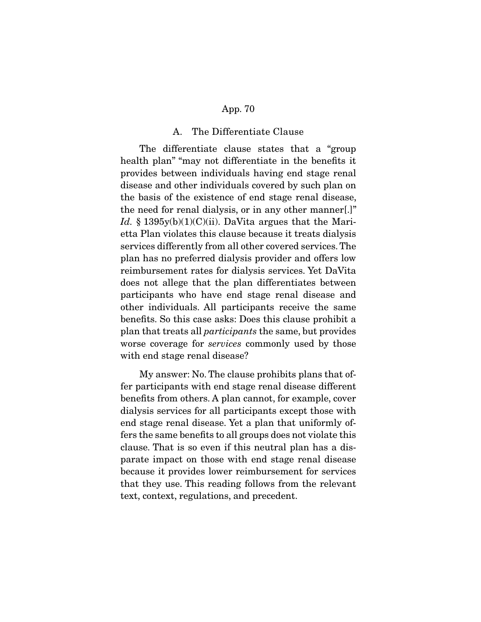## A. The Differentiate Clause

 The differentiate clause states that a "group health plan" "may not differentiate in the benefits it provides between individuals having end stage renal disease and other individuals covered by such plan on the basis of the existence of end stage renal disease, the need for renal dialysis, or in any other manner[.]" Id. § 1395y(b)(1)(C)(ii). DaVita argues that the Marietta Plan violates this clause because it treats dialysis services differently from all other covered services. The plan has no preferred dialysis provider and offers low reimbursement rates for dialysis services. Yet DaVita does not allege that the plan differentiates between participants who have end stage renal disease and other individuals. All participants receive the same benefits. So this case asks: Does this clause prohibit a plan that treats all *participants* the same, but provides worse coverage for *services* commonly used by those with end stage renal disease?

 My answer: No. The clause prohibits plans that offer participants with end stage renal disease different benefits from others. A plan cannot, for example, cover dialysis services for all participants except those with end stage renal disease. Yet a plan that uniformly offers the same benefits to all groups does not violate this clause. That is so even if this neutral plan has a disparate impact on those with end stage renal disease because it provides lower reimbursement for services that they use. This reading follows from the relevant text, context, regulations, and precedent.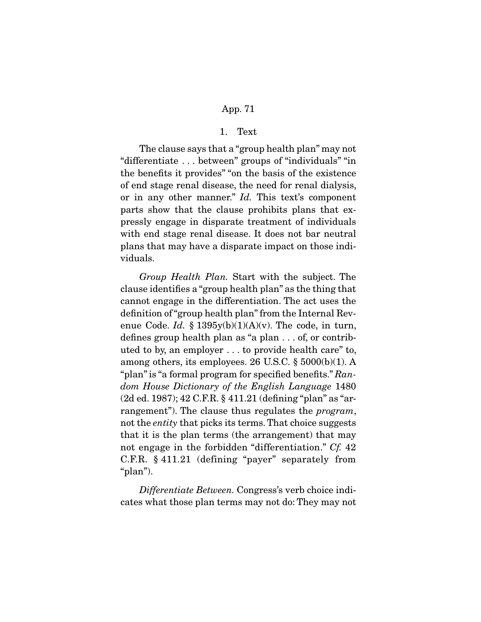### 1. Text

 The clause says that a "group health plan" may not "differentiate . . . between" groups of "individuals" "in the benefits it provides" "on the basis of the existence of end stage renal disease, the need for renal dialysis, or in any other manner." *Id.* This text's component parts show that the clause prohibits plans that expressly engage in disparate treatment of individuals with end stage renal disease. It does not bar neutral plans that may have a disparate impact on those individuals.

*Group Health Plan.* Start with the subject. The clause identifies a "group health plan" as the thing that cannot engage in the differentiation. The act uses the definition of "group health plan" from the Internal Revenue Code. *Id.* §  $1395y(b)(1)(A)(v)$ . The code, in turn, defines group health plan as "a plan . . . of, or contributed to by, an employer . . . to provide health care" to, among others, its employees. 26 U.S.C. § 5000(b)(1). A "plan" is "a formal program for specified benefits." *Random House Dictionary of the English Language* 1480 (2d ed. 1987); 42 C.F.R. § 411.21 (defining "plan" as "arrangement"). The clause thus regulates the *program*, not the *entity* that picks its terms. That choice suggests that it is the plan terms (the arrangement) that may not engage in the forbidden "differentiation." *Cf.* 42 C.F.R. § 411.21 (defining "payer" separately from "plan").

 *Differentiate Between.* Congress's verb choice indicates what those plan terms may not do: They may not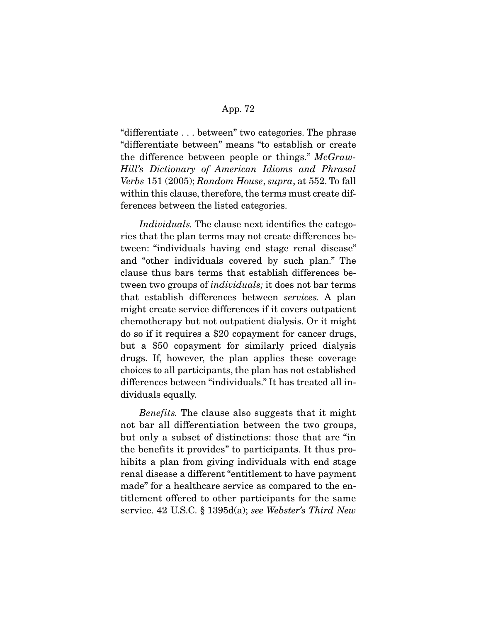"differentiate . . . between" two categories. The phrase "differentiate between" means "to establish or create the difference between people or things." *McGraw-Hill's Dictionary of American Idioms and Phrasal Verbs* 151 (2005); *Random House*, *supra*, at 552. To fall within this clause, therefore, the terms must create differences between the listed categories.

 *Individuals.* The clause next identifies the categories that the plan terms may not create differences between: "individuals having end stage renal disease" and "other individuals covered by such plan." The clause thus bars terms that establish differences between two groups of *individuals;* it does not bar terms that establish differences between *services.* A plan might create service differences if it covers outpatient chemotherapy but not outpatient dialysis. Or it might do so if it requires a \$20 copayment for cancer drugs, but a \$50 copayment for similarly priced dialysis drugs. If, however, the plan applies these coverage choices to all participants, the plan has not established differences between "individuals." It has treated all individuals equally.

*Benefits.* The clause also suggests that it might not bar all differentiation between the two groups, but only a subset of distinctions: those that are "in the benefits it provides" to participants. It thus prohibits a plan from giving individuals with end stage renal disease a different "entitlement to have payment made" for a healthcare service as compared to the entitlement offered to other participants for the same service. 42 U.S.C. § 1395d(a); *see Webster's Third New*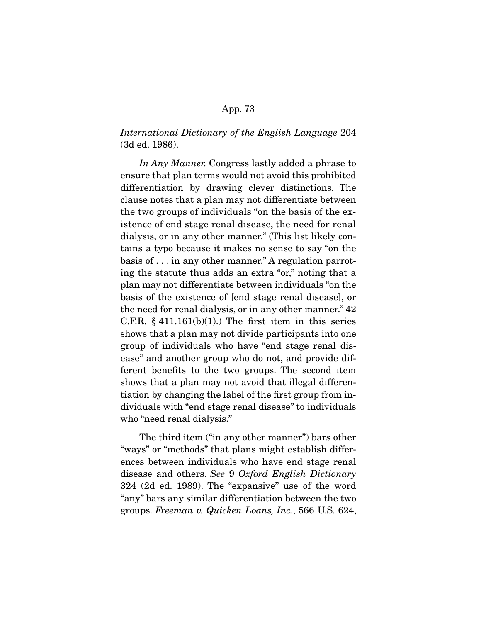*International Dictionary of the English Language* 204 (3d ed. 1986).

 *In Any Manner.* Congress lastly added a phrase to ensure that plan terms would not avoid this prohibited differentiation by drawing clever distinctions. The clause notes that a plan may not differentiate between the two groups of individuals "on the basis of the existence of end stage renal disease, the need for renal dialysis, or in any other manner." (This list likely contains a typo because it makes no sense to say "on the basis of . . . in any other manner." A regulation parroting the statute thus adds an extra "or," noting that a plan may not differentiate between individuals "on the basis of the existence of [end stage renal disease], or the need for renal dialysis, or in any other manner." 42 C.F.R.  $§$  411.161(b)(1).) The first item in this series shows that a plan may not divide participants into one group of individuals who have "end stage renal disease" and another group who do not, and provide different benefits to the two groups. The second item shows that a plan may not avoid that illegal differentiation by changing the label of the first group from individuals with "end stage renal disease" to individuals who "need renal dialysis."

 The third item ("in any other manner") bars other "ways" or "methods" that plans might establish differences between individuals who have end stage renal disease and others. *See* 9 *Oxford English Dictionary*  324 (2d ed. 1989). The "expansive" use of the word "any" bars any similar differentiation between the two groups. *Freeman v. Quicken Loans, Inc.*, 566 U.S. 624,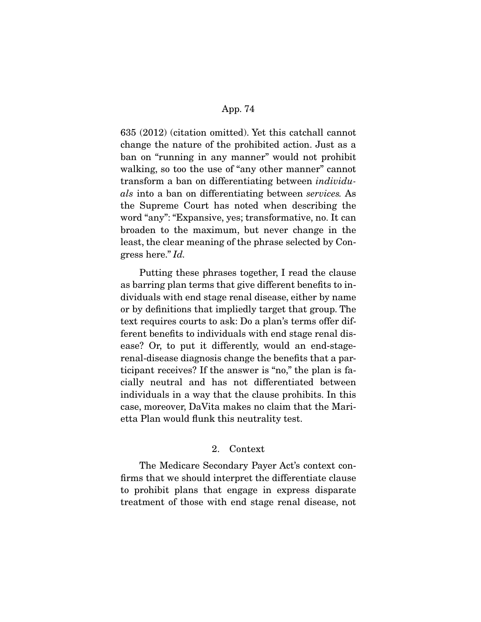635 (2012) (citation omitted). Yet this catchall cannot change the nature of the prohibited action. Just as a ban on "running in any manner" would not prohibit walking, so too the use of "any other manner" cannot transform a ban on differentiating between *individuals* into a ban on differentiating between *services.* As the Supreme Court has noted when describing the word "any": "Expansive, yes; transformative, no. It can broaden to the maximum, but never change in the least, the clear meaning of the phrase selected by Congress here." *Id.*

 Putting these phrases together, I read the clause as barring plan terms that give different benefits to individuals with end stage renal disease, either by name or by definitions that impliedly target that group. The text requires courts to ask: Do a plan's terms offer different benefits to individuals with end stage renal disease? Or, to put it differently, would an end-stagerenal-disease diagnosis change the benefits that a participant receives? If the answer is "no," the plan is facially neutral and has not differentiated between individuals in a way that the clause prohibits. In this case, moreover, DaVita makes no claim that the Marietta Plan would flunk this neutrality test.

# 2. Context

 The Medicare Secondary Payer Act's context confirms that we should interpret the differentiate clause to prohibit plans that engage in express disparate treatment of those with end stage renal disease, not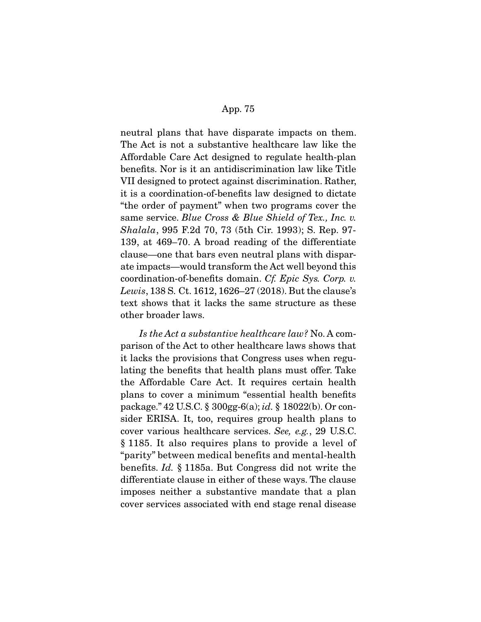neutral plans that have disparate impacts on them. The Act is not a substantive healthcare law like the Affordable Care Act designed to regulate health-plan benefits. Nor is it an antidiscrimination law like Title VII designed to protect against discrimination. Rather, it is a coordination-of-benefits law designed to dictate "the order of payment" when two programs cover the same service. *Blue Cross & Blue Shield of Tex., Inc. v. Shalala*, 995 F.2d 70, 73 (5th Cir. 1993); S. Rep. 97- 139, at 469–70. A broad reading of the differentiate clause—one that bars even neutral plans with disparate impacts—would transform the Act well beyond this coordination-of-benefits domain. *Cf. Epic Sys. Corp. v. Lewis*, 138 S. Ct. 1612, 1626–27 (2018). But the clause's text shows that it lacks the same structure as these other broader laws.

*Is the Act a substantive healthcare law?* No. A comparison of the Act to other healthcare laws shows that it lacks the provisions that Congress uses when regulating the benefits that health plans must offer. Take the Affordable Care Act. It requires certain health plans to cover a minimum "essential health benefits package." 42 U.S.C. § 300gg-6(a); *id.* § 18022(b). Or consider ERISA. It, too, requires group health plans to cover various healthcare services. *See, e.g.*, 29 U.S.C. § 1185. It also requires plans to provide a level of "parity" between medical benefits and mental-health benefits. *Id.* § 1185a. But Congress did not write the differentiate clause in either of these ways. The clause imposes neither a substantive mandate that a plan cover services associated with end stage renal disease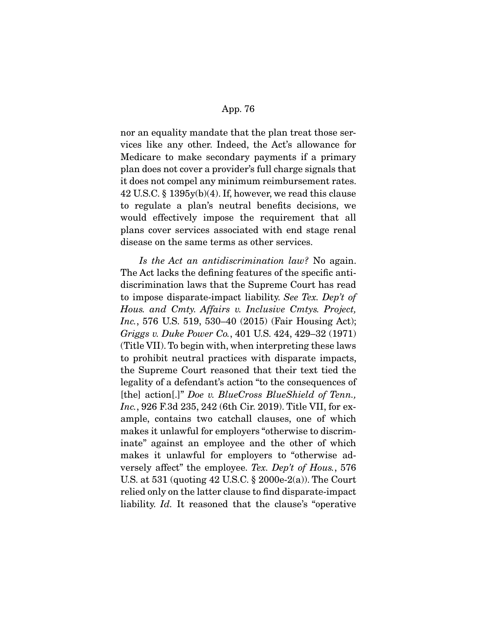nor an equality mandate that the plan treat those services like any other. Indeed, the Act's allowance for Medicare to make secondary payments if a primary plan does not cover a provider's full charge signals that it does not compel any minimum reimbursement rates. 42 U.S.C. § 1395y(b)(4). If, however, we read this clause to regulate a plan's neutral benefits decisions, we would effectively impose the requirement that all plans cover services associated with end stage renal disease on the same terms as other services.

 *Is the Act an antidiscrimination law?* No again. The Act lacks the defining features of the specific antidiscrimination laws that the Supreme Court has read to impose disparate-impact liability. *See Tex. Dep't of Hous. and Cmty. Affairs v. Inclusive Cmtys. Project, Inc.*, 576 U.S. 519, 530–40 (2015) (Fair Housing Act); *Griggs v. Duke Power Co.*, 401 U.S. 424, 429–32 (1971) (Title VII). To begin with, when interpreting these laws to prohibit neutral practices with disparate impacts, the Supreme Court reasoned that their text tied the legality of a defendant's action "to the consequences of [the] action[.]" *Doe v. BlueCross BlueShield of Tenn., Inc.*, 926 F.3d 235, 242 (6th Cir. 2019). Title VII, for example, contains two catchall clauses, one of which makes it unlawful for employers "otherwise to discriminate" against an employee and the other of which makes it unlawful for employers to "otherwise adversely affect" the employee. *Tex. Dep't of Hous.*, 576 U.S. at 531 (quoting 42 U.S.C. § 2000e-2(a)). The Court relied only on the latter clause to find disparate-impact liability. *Id.* It reasoned that the clause's "operative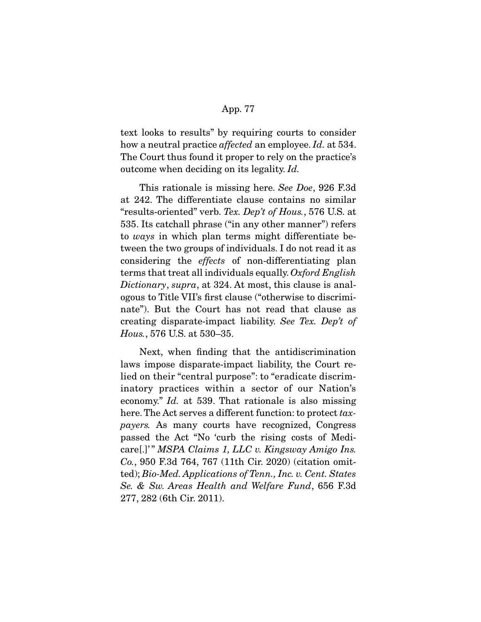text looks to results" by requiring courts to consider how a neutral practice *affected* an employee. *Id.* at 534. The Court thus found it proper to rely on the practice's outcome when deciding on its legality. *Id.* 

This rationale is missing here. *See Doe*, 926 F.3d at 242. The differentiate clause contains no similar "results-oriented" verb. *Tex. Dep't of Hous.*, 576 U.S. at 535. Its catchall phrase ("in any other manner") refers to *ways* in which plan terms might differentiate between the two groups of individuals. I do not read it as considering the *effects* of non-differentiating plan terms that treat all individuals equally. *Oxford English Dictionary*, *supra*, at 324. At most, this clause is analogous to Title VII's first clause ("otherwise to discriminate"). But the Court has not read that clause as creating disparate-impact liability. *See Tex. Dep't of Hous.*, 576 U.S. at 530–35.

 Next, when finding that the antidiscrimination laws impose disparate-impact liability, the Court relied on their "central purpose": to "eradicate discriminatory practices within a sector of our Nation's economy." *Id.* at 539. That rationale is also missing here. The Act serves a different function: to protect *taxpayers.* As many courts have recognized, Congress passed the Act "No 'curb the rising costs of Medicare[.]' " *MSPA Claims 1, LLC v. Kingsway Amigo Ins. Co.*, 950 F.3d 764, 767 (11th Cir. 2020) (citation omitted); *Bio-Med. Applications of Tenn., Inc. v. Cent. States Se. & Sw. Areas Health and Welfare Fund*, 656 F.3d 277, 282 (6th Cir. 2011).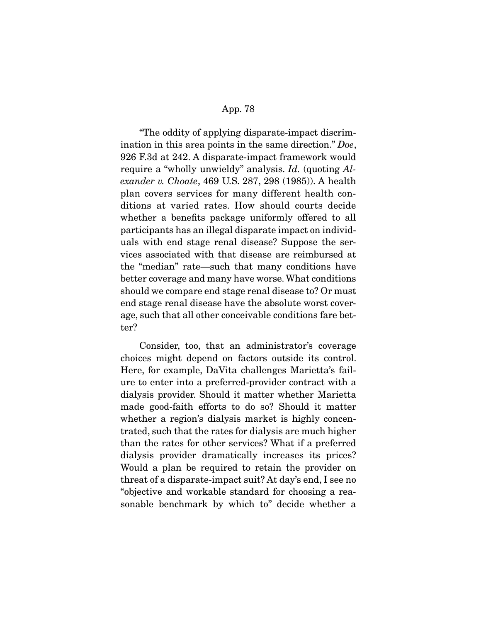"The oddity of applying disparate-impact discrimination in this area points in the same direction." *Doe*, 926 F.3d at 242. A disparate-impact framework would require a "wholly unwieldy" analysis. *Id.* (quoting *Alexander v. Choate*, 469 U.S. 287, 298 (1985)). A health plan covers services for many different health conditions at varied rates. How should courts decide whether a benefits package uniformly offered to all participants has an illegal disparate impact on individuals with end stage renal disease? Suppose the services associated with that disease are reimbursed at the "median" rate—such that many conditions have better coverage and many have worse. What conditions should we compare end stage renal disease to? Or must end stage renal disease have the absolute worst coverage, such that all other conceivable conditions fare better?

 Consider, too, that an administrator's coverage choices might depend on factors outside its control. Here, for example, DaVita challenges Marietta's failure to enter into a preferred-provider contract with a dialysis provider. Should it matter whether Marietta made good-faith efforts to do so? Should it matter whether a region's dialysis market is highly concentrated, such that the rates for dialysis are much higher than the rates for other services? What if a preferred dialysis provider dramatically increases its prices? Would a plan be required to retain the provider on threat of a disparate-impact suit? At day's end, I see no "objective and workable standard for choosing a reasonable benchmark by which to" decide whether a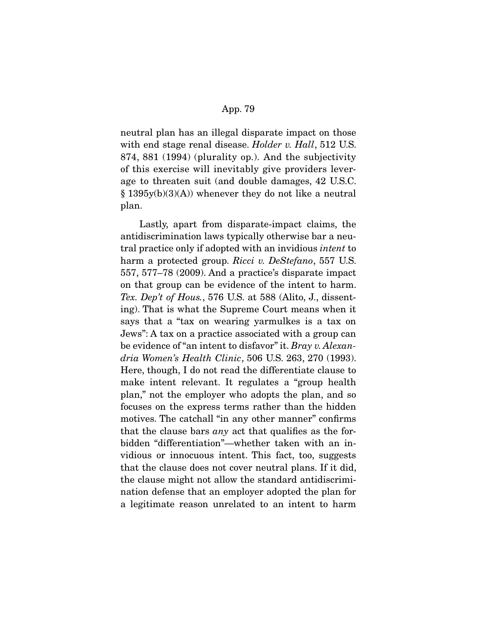neutral plan has an illegal disparate impact on those with end stage renal disease. *Holder v. Hall*, 512 U.S. 874, 881 (1994) (plurality op.). And the subjectivity of this exercise will inevitably give providers leverage to threaten suit (and double damages, 42 U.S.C. § 1395y(b)(3)(A)) whenever they do not like a neutral plan.

 Lastly, apart from disparate-impact claims, the antidiscrimination laws typically otherwise bar a neutral practice only if adopted with an invidious *intent* to harm a protected group. *Ricci v. DeStefano*, 557 U.S. 557, 577–78 (2009). And a practice's disparate impact on that group can be evidence of the intent to harm. *Tex. Dep't of Hous.*, 576 U.S. at 588 (Alito, J., dissenting). That is what the Supreme Court means when it says that a "tax on wearing yarmulkes is a tax on Jews": A tax on a practice associated with a group can be evidence of "an intent to disfavor" it. *Bray v. Alexandria Women's Health Clinic*, 506 U.S. 263, 270 (1993). Here, though, I do not read the differentiate clause to make intent relevant. It regulates a "group health plan," not the employer who adopts the plan, and so focuses on the express terms rather than the hidden motives. The catchall "in any other manner" confirms that the clause bars *any* act that qualifies as the forbidden "differentiation"—whether taken with an invidious or innocuous intent. This fact, too, suggests that the clause does not cover neutral plans. If it did, the clause might not allow the standard antidiscrimination defense that an employer adopted the plan for a legitimate reason unrelated to an intent to harm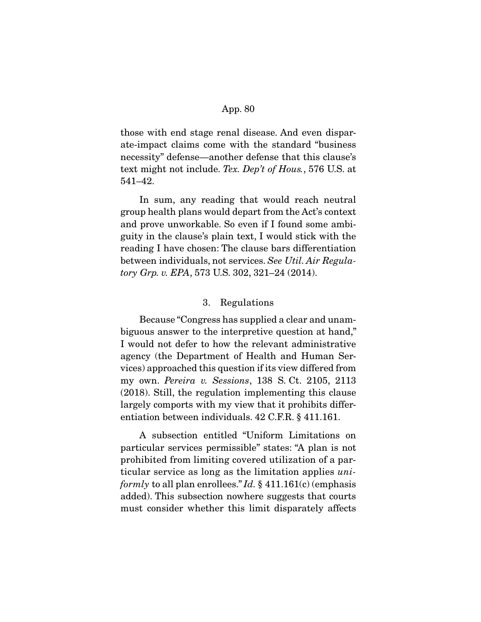those with end stage renal disease. And even disparate-impact claims come with the standard "business necessity" defense—another defense that this clause's text might not include. *Tex. Dep't of Hous.*, 576 U.S. at 541–42.

 In sum, any reading that would reach neutral group health plans would depart from the Act's context and prove unworkable. So even if I found some ambiguity in the clause's plain text, I would stick with the reading I have chosen: The clause bars differentiation between individuals, not services. *See Util. Air Regulatory Grp. v. EPA*, 573 U.S. 302, 321–24 (2014).

# 3. Regulations

 Because "Congress has supplied a clear and unambiguous answer to the interpretive question at hand," I would not defer to how the relevant administrative agency (the Department of Health and Human Services) approached this question if its view differed from my own. *Pereira v. Sessions*, 138 S. Ct. 2105, 2113 (2018). Still, the regulation implementing this clause largely comports with my view that it prohibits differentiation between individuals. 42 C.F.R. § 411.161.

 A subsection entitled "Uniform Limitations on particular services permissible" states: "A plan is not prohibited from limiting covered utilization of a particular service as long as the limitation applies *uniformly* to all plan enrollees." *Id.* § 411.161(c) (emphasis added). This subsection nowhere suggests that courts must consider whether this limit disparately affects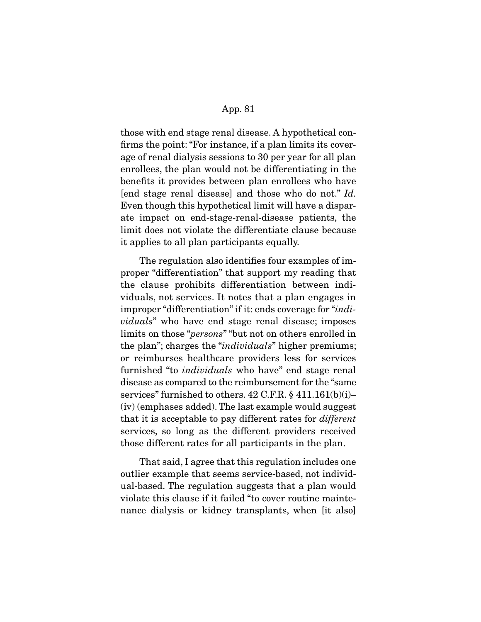those with end stage renal disease. A hypothetical confirms the point: "For instance, if a plan limits its coverage of renal dialysis sessions to 30 per year for all plan enrollees, the plan would not be differentiating in the benefits it provides between plan enrollees who have [end stage renal disease] and those who do not." *Id.*  Even though this hypothetical limit will have a disparate impact on end-stage-renal-disease patients, the limit does not violate the differentiate clause because it applies to all plan participants equally.

 The regulation also identifies four examples of improper "differentiation" that support my reading that the clause prohibits differentiation between individuals, not services. It notes that a plan engages in improper "differentiation" if it: ends coverage for "*individuals*" who have end stage renal disease; imposes limits on those "*persons*" "but not on others enrolled in the plan"; charges the "*individuals*" higher premiums; or reimburses healthcare providers less for services furnished "to *individuals* who have" end stage renal disease as compared to the reimbursement for the "same services" furnished to others. 42 C.F.R. § 411.161(b)(i)– (iv) (emphases added). The last example would suggest that it is acceptable to pay different rates for *different*  services, so long as the different providers received those different rates for all participants in the plan.

 That said, I agree that this regulation includes one outlier example that seems service-based, not individual-based. The regulation suggests that a plan would violate this clause if it failed "to cover routine maintenance dialysis or kidney transplants, when [it also]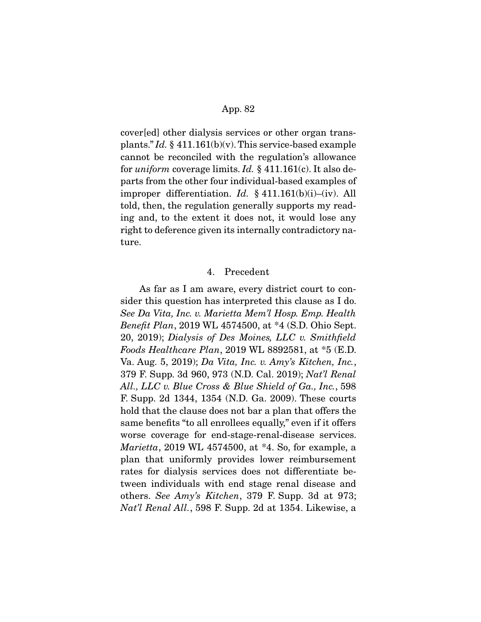cover[ed] other dialysis services or other organ transplants." *Id.* § 411.161(b)(v). This service-based example cannot be reconciled with the regulation's allowance for *uniform* coverage limits. *Id.* § 411.161(c). It also departs from the other four individual-based examples of improper differentiation. *Id.* § 411.161(b)(i)–(iv). All told, then, the regulation generally supports my reading and, to the extent it does not, it would lose any right to deference given its internally contradictory nature.

### 4. Precedent

 As far as I am aware, every district court to consider this question has interpreted this clause as I do. *See Da Vita, Inc. v. Marietta Mem'l Hosp. Emp. Health Benefit Plan*, 2019 WL 4574500, at \*4 (S.D. Ohio Sept. 20, 2019); *Dialysis of Des Moines, LLC v. Smithfield Foods Healthcare Plan*, 2019 WL 8892581, at \*5 (E.D. Va. Aug. 5, 2019); *Da Vita, Inc. v. Amy's Kitchen, Inc.*, 379 F. Supp. 3d 960, 973 (N.D. Cal. 2019); *Nat'l Renal All., LLC v. Blue Cross & Blue Shield of Ga., Inc.*, 598 F. Supp. 2d 1344, 1354 (N.D. Ga. 2009). These courts hold that the clause does not bar a plan that offers the same benefits "to all enrollees equally," even if it offers worse coverage for end-stage-renal-disease services. *Marietta*, 2019 WL 4574500, at \*4. So, for example, a plan that uniformly provides lower reimbursement rates for dialysis services does not differentiate between individuals with end stage renal disease and others. *See Amy's Kitchen*, 379 F. Supp. 3d at 973; *Nat'l Renal All.*, 598 F. Supp. 2d at 1354. Likewise, a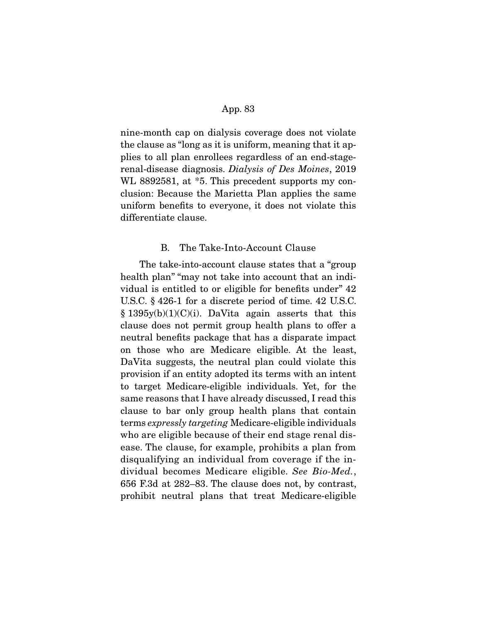nine-month cap on dialysis coverage does not violate the clause as "long as it is uniform, meaning that it applies to all plan enrollees regardless of an end-stagerenal-disease diagnosis. *Dialysis of Des Moines*, 2019 WL 8892581, at  $*5$ . This precedent supports my conclusion: Because the Marietta Plan applies the same uniform benefits to everyone, it does not violate this differentiate clause.

# B. The Take-Into-Account Clause

 The take-into-account clause states that a "group health plan" "may not take into account that an individual is entitled to or eligible for benefits under" 42 U.S.C. § 426-1 for a discrete period of time. 42 U.S.C.  $§ 1395y(b)(1)(C)(i)$ . DaVita again asserts that this clause does not permit group health plans to offer a neutral benefits package that has a disparate impact on those who are Medicare eligible. At the least, DaVita suggests, the neutral plan could violate this provision if an entity adopted its terms with an intent to target Medicare-eligible individuals. Yet, for the same reasons that I have already discussed, I read this clause to bar only group health plans that contain terms *expressly targeting* Medicare-eligible individuals who are eligible because of their end stage renal disease. The clause, for example, prohibits a plan from disqualifying an individual from coverage if the individual becomes Medicare eligible. *See Bio-Med.*, 656 F.3d at 282–83. The clause does not, by contrast, prohibit neutral plans that treat Medicare-eligible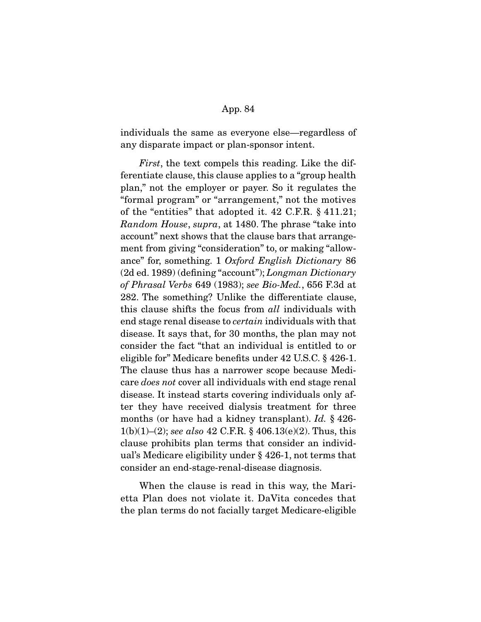individuals the same as everyone else—regardless of any disparate impact or plan-sponsor intent.

*First*, the text compels this reading. Like the differentiate clause, this clause applies to a "group health plan," not the employer or payer. So it regulates the "formal program" or "arrangement," not the motives of the "entities" that adopted it. 42 C.F.R. § 411.21; *Random House*, *supra*, at 1480. The phrase "take into account" next shows that the clause bars that arrangement from giving "consideration" to, or making "allowance" for, something. 1 *Oxford English Dictionary* 86 (2d ed. 1989) (defining "account"); *Longman Dictionary of Phrasal Verbs* 649 (1983); *see Bio-Med.*, 656 F.3d at 282. The something? Unlike the differentiate clause, this clause shifts the focus from *all* individuals with end stage renal disease to *certain* individuals with that disease. It says that, for 30 months, the plan may not consider the fact "that an individual is entitled to or eligible for" Medicare benefits under 42 U.S.C. § 426-1. The clause thus has a narrower scope because Medicare *does not* cover all individuals with end stage renal disease. It instead starts covering individuals only after they have received dialysis treatment for three months (or have had a kidney transplant). *Id.* § 426- 1(b)(1)–(2); *see also* 42 C.F.R. § 406.13(e)(2). Thus, this clause prohibits plan terms that consider an individual's Medicare eligibility under § 426-1, not terms that consider an end-stage-renal-disease diagnosis.

When the clause is read in this way, the Marietta Plan does not violate it. DaVita concedes that the plan terms do not facially target Medicare-eligible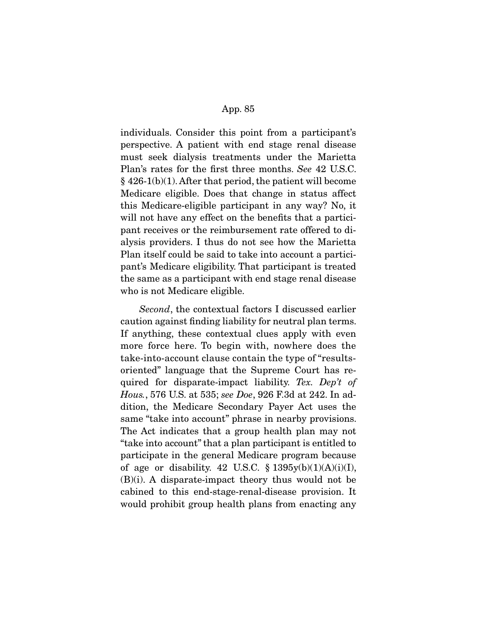individuals. Consider this point from a participant's perspective. A patient with end stage renal disease must seek dialysis treatments under the Marietta Plan's rates for the first three months. *See* 42 U.S.C. § 426-1(b)(1). After that period, the patient will become Medicare eligible. Does that change in status affect this Medicare-eligible participant in any way? No, it will not have any effect on the benefits that a participant receives or the reimbursement rate offered to dialysis providers. I thus do not see how the Marietta Plan itself could be said to take into account a participant's Medicare eligibility. That participant is treated the same as a participant with end stage renal disease who is not Medicare eligible.

*Second*, the contextual factors I discussed earlier caution against finding liability for neutral plan terms. If anything, these contextual clues apply with even more force here. To begin with, nowhere does the take-into-account clause contain the type of "resultsoriented" language that the Supreme Court has required for disparate-impact liability. *Tex. Dep't of Hous.*, 576 U.S. at 535; *see Doe*, 926 F.3d at 242. In addition, the Medicare Secondary Payer Act uses the same "take into account" phrase in nearby provisions. The Act indicates that a group health plan may not "take into account" that a plan participant is entitled to participate in the general Medicare program because of age or disability. 42 U.S.C.  $\S 1395y(b)(1)(A)(i)(I),$ (B)(i). A disparate-impact theory thus would not be cabined to this end-stage-renal-disease provision. It would prohibit group health plans from enacting any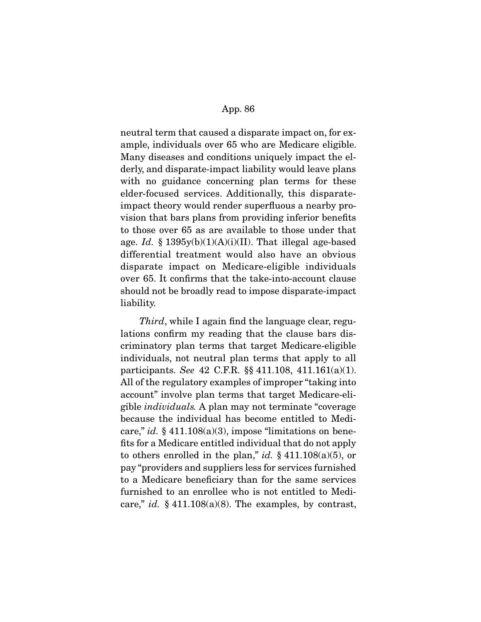neutral term that caused a disparate impact on, for example, individuals over 65 who are Medicare eligible. Many diseases and conditions uniquely impact the elderly, and disparate-impact liability would leave plans with no guidance concerning plan terms for these elder-focused services. Additionally, this disparateimpact theory would render superfluous a nearby provision that bars plans from providing inferior benefits to those over 65 as are available to those under that age. *Id.* § 1395y(b)(1)(A)(i)(II). That illegal age-based differential treatment would also have an obvious disparate impact on Medicare-eligible individuals over 65. It confirms that the take-into-account clause should not be broadly read to impose disparate-impact liability.

*Third*, while I again find the language clear, regulations confirm my reading that the clause bars discriminatory plan terms that target Medicare-eligible individuals, not neutral plan terms that apply to all participants. *See* 42 C.F.R. §§ 411.108, 411.161(a)(1). All of the regulatory examples of improper "taking into account" involve plan terms that target Medicare-eligible *individuals.* A plan may not terminate "coverage because the individual has become entitled to Medicare," *id.* § 411.108(a)(3), impose "limitations on benefits for a Medicare entitled individual that do not apply to others enrolled in the plan," *id.* § 411.108(a)(5), or pay "providers and suppliers less for services furnished to a Medicare beneficiary than for the same services furnished to an enrollee who is not entitled to Medicare," *id.*  $\S$  411.108(a)(8). The examples, by contrast,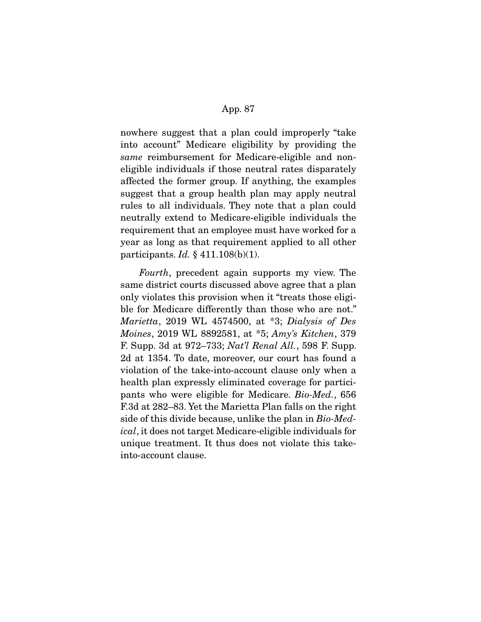nowhere suggest that a plan could improperly "take into account" Medicare eligibility by providing the *same* reimbursement for Medicare-eligible and noneligible individuals if those neutral rates disparately affected the former group. If anything, the examples suggest that a group health plan may apply neutral rules to all individuals. They note that a plan could neutrally extend to Medicare-eligible individuals the requirement that an employee must have worked for a year as long as that requirement applied to all other participants. *Id.* § 411.108(b)(1).

*Fourth*, precedent again supports my view. The same district courts discussed above agree that a plan only violates this provision when it "treats those eligible for Medicare differently than those who are not." *Marietta*, 2019 WL 4574500, at \*3; *Dialysis of Des Moines*, 2019 WL 8892581, at \*5; *Amy's Kitchen*, 379 F. Supp. 3d at 972–733; *Nat'l Renal All.*, 598 F. Supp. 2d at 1354. To date, moreover, our court has found a violation of the take-into-account clause only when a health plan expressly eliminated coverage for participants who were eligible for Medicare. *Bio-Med.*, 656 F.3d at 282–83. Yet the Marietta Plan falls on the right side of this divide because, unlike the plan in *Bio-Medical*, it does not target Medicare-eligible individuals for unique treatment. It thus does not violate this takeinto-account clause.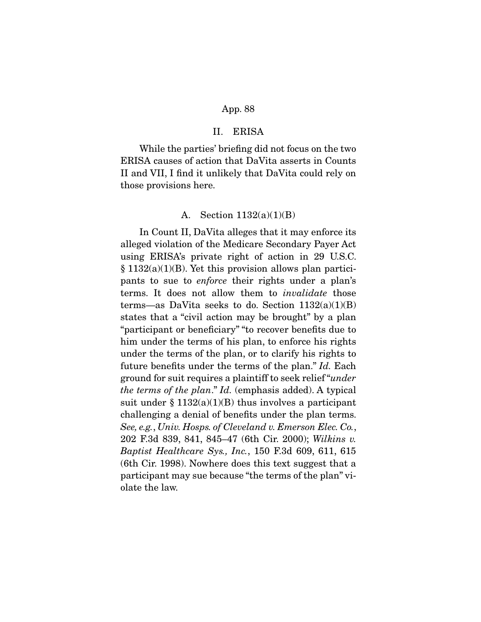# II. ERISA

 While the parties' briefing did not focus on the two ERISA causes of action that DaVita asserts in Counts II and VII, I find it unlikely that DaVita could rely on those provisions here.

## A. Section 1132(a)(1)(B)

 In Count II, DaVita alleges that it may enforce its alleged violation of the Medicare Secondary Payer Act using ERISA's private right of action in 29 U.S.C. § 1132(a)(1)(B). Yet this provision allows plan participants to sue to *enforce* their rights under a plan's terms. It does not allow them to *invalidate* those terms—as DaVita seeks to do. Section  $1132(a)(1)(B)$ states that a "civil action may be brought" by a plan "participant or beneficiary" "to recover benefits due to him under the terms of his plan, to enforce his rights under the terms of the plan, or to clarify his rights to future benefits under the terms of the plan." *Id.* Each ground for suit requires a plaintiff to seek relief "*under the terms of the plan*." *Id.* (emphasis added). A typical suit under  $§ 1132(a)(1)(B)$  thus involves a participant challenging a denial of benefits under the plan terms. *See, e.g.*, *Univ. Hosps. of Cleveland v. Emerson Elec. Co.*, 202 F.3d 839, 841, 845–47 (6th Cir. 2000); *Wilkins v. Baptist Healthcare Sys., Inc.*, 150 F.3d 609, 611, 615 (6th Cir. 1998). Nowhere does this text suggest that a participant may sue because "the terms of the plan" violate the law.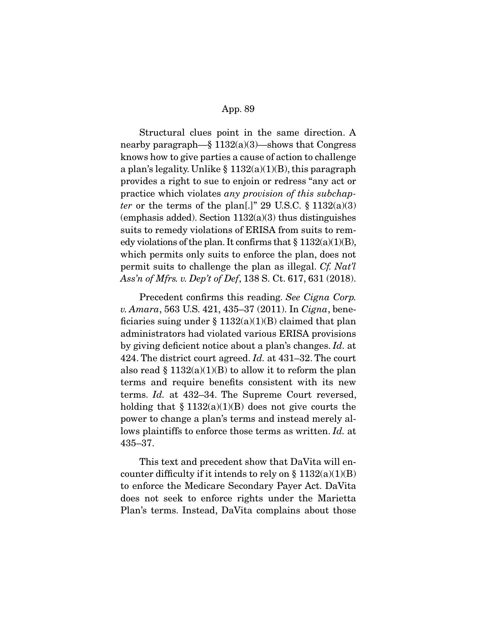Structural clues point in the same direction. A nearby paragraph— $\S 1132(a)(3)$ —shows that Congress knows how to give parties a cause of action to challenge a plan's legality. Unlike  $\S 1132(a)(1)(B)$ , this paragraph provides a right to sue to enjoin or redress "any act or practice which violates *any provision of this subchapter* or the terms of the plan[.]" 29 U.S.C.  $\S 1132(a)(3)$ (emphasis added). Section  $1132(a)(3)$  thus distinguishes suits to remedy violations of ERISA from suits to remedy violations of the plan. It confirms that  $\S 1132(a)(1)(B)$ , which permits only suits to enforce the plan, does not permit suits to challenge the plan as illegal. *Cf. Nat'l Ass'n of Mfrs. v. Dep't of Def*, 138 S. Ct. 617, 631 (2018).

 Precedent confirms this reading. *See Cigna Corp. v. Amara*, 563 U.S. 421, 435–37 (2011). In *Cigna*, beneficiaries suing under  $\S 1132(a)(1)(B)$  claimed that plan administrators had violated various ERISA provisions by giving deficient notice about a plan's changes. *Id.* at 424. The district court agreed. *Id.* at 431–32. The court also read  $\S 1132(a)(1)(B)$  to allow it to reform the plan terms and require benefits consistent with its new terms. *Id.* at 432–34. The Supreme Court reversed, holding that  $\S 1132(a)(1)(B)$  does not give courts the power to change a plan's terms and instead merely allows plaintiffs to enforce those terms as written. *Id.* at 435–37.

 This text and precedent show that DaVita will encounter difficulty if it intends to rely on §  $1132(a)(1)(B)$ to enforce the Medicare Secondary Payer Act. DaVita does not seek to enforce rights under the Marietta Plan's terms. Instead, DaVita complains about those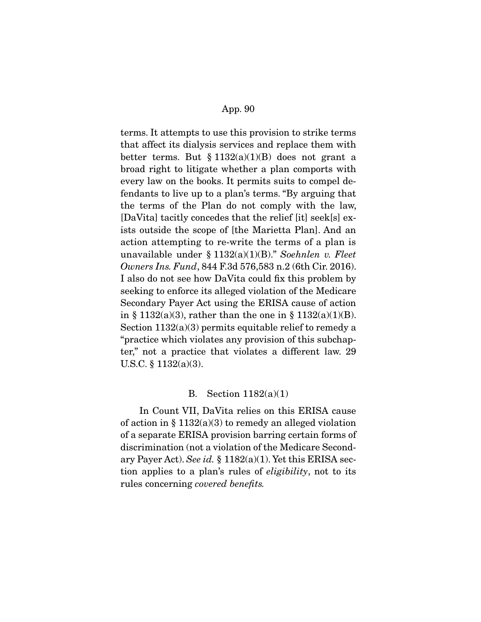terms. It attempts to use this provision to strike terms that affect its dialysis services and replace them with better terms. But  $\S 1132(a)(1)(B)$  does not grant a broad right to litigate whether a plan comports with every law on the books. It permits suits to compel defendants to live up to a plan's terms. "By arguing that the terms of the Plan do not comply with the law, [DaVita] tacitly concedes that the relief [it] seek[s] exists outside the scope of [the Marietta Plan]. And an action attempting to re-write the terms of a plan is unavailable under § 1132(a)(1)(B)." *Soehnlen v. Fleet Owners Ins. Fund*, 844 F.3d 576,583 n.2 (6th Cir. 2016). I also do not see how DaVita could fix this problem by seeking to enforce its alleged violation of the Medicare Secondary Payer Act using the ERISA cause of action in § 1132(a)(3), rather than the one in § 1132(a)(1)(B). Section 1132(a)(3) permits equitable relief to remedy a "practice which violates any provision of this subchapter," not a practice that violates a different law. 29 U.S.C. § 1132(a)(3).

#### B. Section 1182(a)(1)

 In Count VII, DaVita relies on this ERISA cause of action in  $\S 1132(a)(3)$  to remedy an alleged violation of a separate ERISA provision barring certain forms of discrimination (not a violation of the Medicare Secondary Payer Act). *See id.* § 1182(a)(1). Yet this ERISA section applies to a plan's rules of *eligibility*, not to its rules concerning *covered benefits.*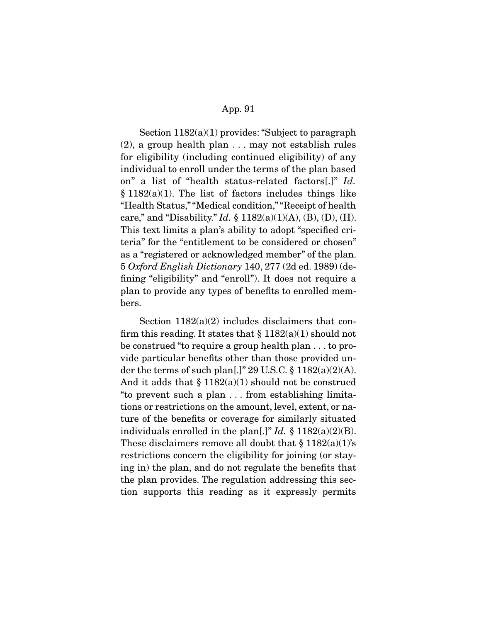Section  $1182(a)(1)$  provides: "Subject to paragraph" (2), a group health plan . . . may not establish rules for eligibility (including continued eligibility) of any individual to enroll under the terms of the plan based on" a list of "health status-related factors[.]" *Id.*   $§ 1182(a)(1)$ . The list of factors includes things like "Health Status," "Medical condition," "Receipt of health care," and "Disability." *Id.* § 1182(a)(1)(A), (B), (D), (H). This text limits a plan's ability to adopt "specified criteria" for the "entitlement to be considered or chosen" as a "registered or acknowledged member" of the plan. 5 *Oxford English Dictionary* 140, 277 (2d ed. 1989) (defining "eligibility" and "enroll"). It does not require a plan to provide any types of benefits to enrolled members.

Section  $1182(a)(2)$  includes disclaimers that confirm this reading. It states that  $\S 1182(a)(1)$  should not be construed "to require a group health plan . . . to provide particular benefits other than those provided under the terms of such plan[.]" 29 U.S.C.  $\S 1182(a)(2)(A)$ . And it adds that  $\S 1182(a)(1)$  should not be construed "to prevent such a plan . . . from establishing limitations or restrictions on the amount, level, extent, or nature of the benefits or coverage for similarly situated individuals enrolled in the plan[.]" *Id.*  $\S$  1182(a)(2)(B). These disclaimers remove all doubt that  $\S 1182(a)(1)$ 's restrictions concern the eligibility for joining (or staying in) the plan, and do not regulate the benefits that the plan provides. The regulation addressing this section supports this reading as it expressly permits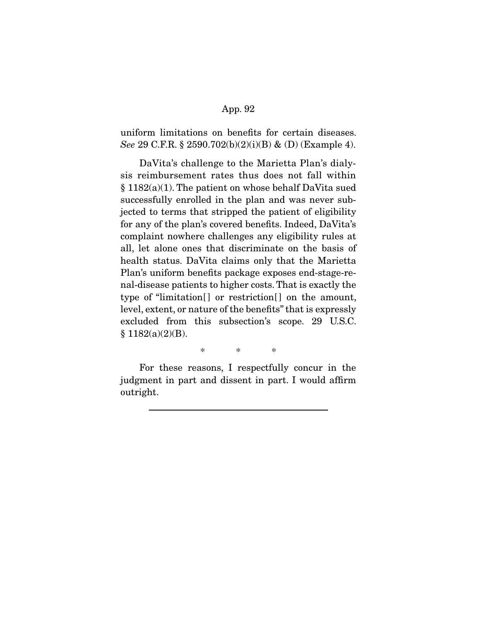uniform limitations on benefits for certain diseases. *See* 29 C.F.R. § 2590.702(b)(2)(i)(B) & (D) (Example 4).

 DaVita's challenge to the Marietta Plan's dialysis reimbursement rates thus does not fall within § 1182(a)(1). The patient on whose behalf DaVita sued successfully enrolled in the plan and was never subjected to terms that stripped the patient of eligibility for any of the plan's covered benefits. Indeed, DaVita's complaint nowhere challenges any eligibility rules at all, let alone ones that discriminate on the basis of health status. DaVita claims only that the Marietta Plan's uniform benefits package exposes end-stage-renal-disease patients to higher costs. That is exactly the type of "limitation[] or restriction[] on the amount, level, extent, or nature of the benefits" that is expressly excluded from this subsection's scope. 29 U.S.C.  $§ 1182(a)(2)(B).$ 

\* \* \*

 For these reasons, I respectfully concur in the judgment in part and dissent in part. I would affirm outright.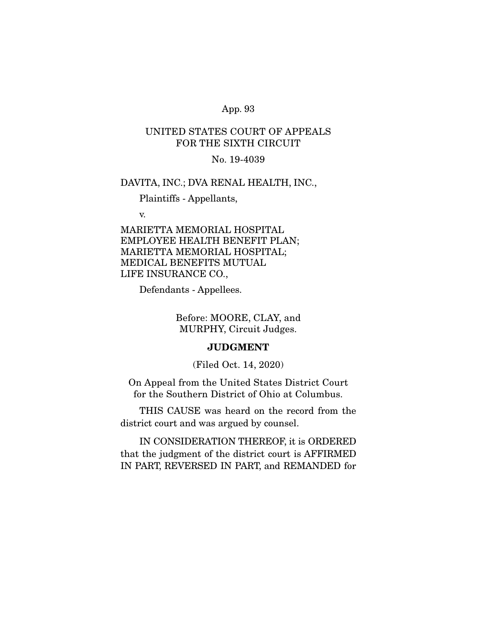# UNITED STATES COURT OF APPEALS FOR THE SIXTH CIRCUIT

# No. 19-4039

# DAVITA, INC.; DVA RENAL HEALTH, INC.,

Plaintiffs - Appellants,

v.

MARIETTA MEMORIAL HOSPITAL EMPLOYEE HEALTH BENEFIT PLAN; MARIETTA MEMORIAL HOSPITAL; MEDICAL BENEFITS MUTUAL LIFE INSURANCE CO.,

Defendants - Appellees.

Before: MOORE, CLAY, and MURPHY, Circuit Judges.

# **JUDGMENT**

(Filed Oct. 14, 2020)

On Appeal from the United States District Court for the Southern District of Ohio at Columbus.

 THIS CAUSE was heard on the record from the district court and was argued by counsel.

 IN CONSIDERATION THEREOF, it is ORDERED that the judgment of the district court is AFFIRMED IN PART, REVERSED IN PART, and REMANDED for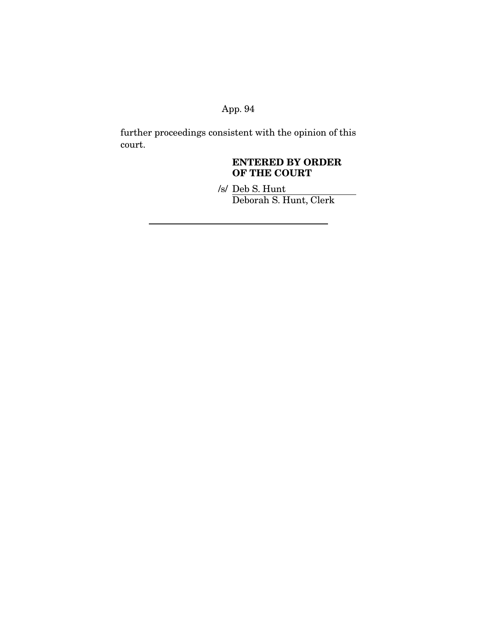further proceedings consistent with the opinion of this court.

# **ENTERED BY ORDER OF THE COURT**

/s/ Deb S. Hunt Deborah S. Hunt, Clerk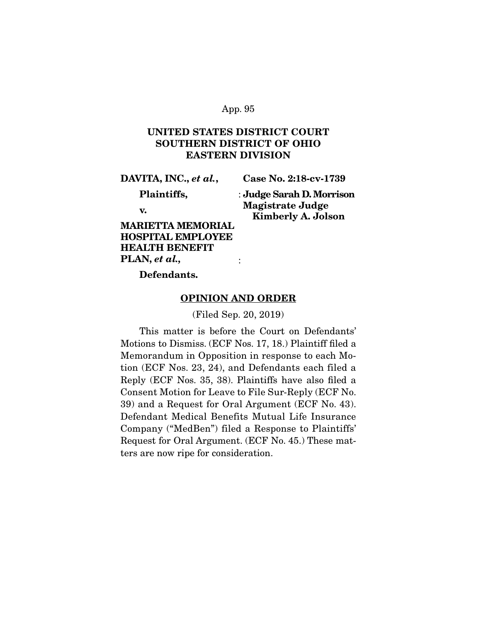# **UNITED STATES DISTRICT COURT SOUTHERN DISTRICT OF OHIO EASTERN DIVISION**

**DAVITA, INC.,** *et al.***,** 

**Case No. 2:18-cv-1739** 

 **Plaintiffs,** 

: **Judge Sarah D. Morrison Magistrate Judge Kimberly A. Jolson** 

 **v.** 

**MARIETTA MEMORIAL HOSPITAL EMPLOYEE HEALTH BENEFIT PLAN,** *et al.,*

 **Defendants.** 

#### **OPINION AND ORDER**

:

(Filed Sep. 20, 2019)

This matter is before the Court on Defendants' Motions to Dismiss. (ECF Nos. 17, 18.) Plaintiff filed a Memorandum in Opposition in response to each Motion (ECF Nos. 23, 24), and Defendants each filed a Reply (ECF Nos. 35, 38). Plaintiffs have also filed a Consent Motion for Leave to File Sur-Reply (ECF No. 39) and a Request for Oral Argument (ECF No. 43). Defendant Medical Benefits Mutual Life Insurance Company ("MedBen") filed a Response to Plaintiffs' Request for Oral Argument. (ECF No. 45.) These matters are now ripe for consideration.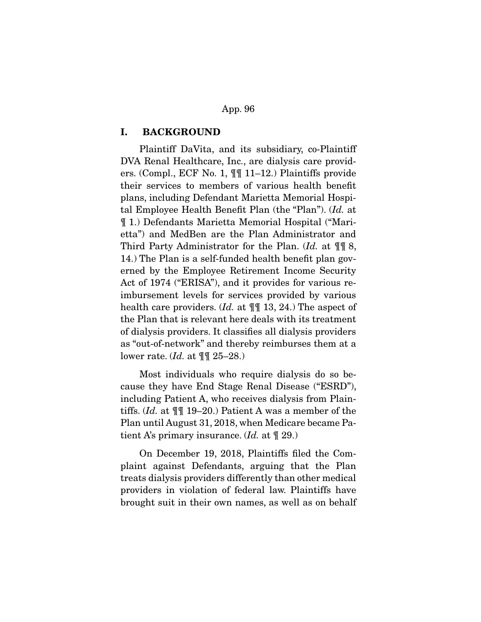# **I. BACKGROUND**

Plaintiff DaVita, and its subsidiary, co-Plaintiff DVA Renal Healthcare, Inc., are dialysis care providers. (Compl., ECF No. 1, ¶¶ 11–12.) Plaintiffs provide their services to members of various health benefit plans, including Defendant Marietta Memorial Hospital Employee Health Benefit Plan (the "Plan"). (Id. at ¶ 1.) Defendants Marietta Memorial Hospital ("Marietta") and MedBen are the Plan Administrator and Third Party Administrator for the Plan.  $Id$ . at  $\P\P$  8, 14.) The Plan is a self-funded health benefit plan governed by the Employee Retirement Income Security Act of 1974 ("ERISA"), and it provides for various reimbursement levels for services provided by various health care providers.  $Id.$  at  $\P$  13, 24.) The aspect of the Plan that is relevant here deals with its treatment of dialysis providers. It classifies all dialysis providers as "out-of-network" and thereby reimburses them at a lower rate.  $Id.$  at  $\P$   $\mathbb{I}$  25–28.)

 Most individuals who require dialysis do so because they have End Stage Renal Disease ("ESRD"), including Patient A, who receives dialysis from Plaintiffs. (Id. at ¶¶ 19–20.) Patient A was a member of the Plan until August 31, 2018, when Medicare became Patient A's primary insurance.  $Id$ . at  $\P$  29.)

 On December 19, 2018, Plaintiffs filed the Complaint against Defendants, arguing that the Plan treats dialysis providers differently than other medical providers in violation of federal law. Plaintiffs have brought suit in their own names, as well as on behalf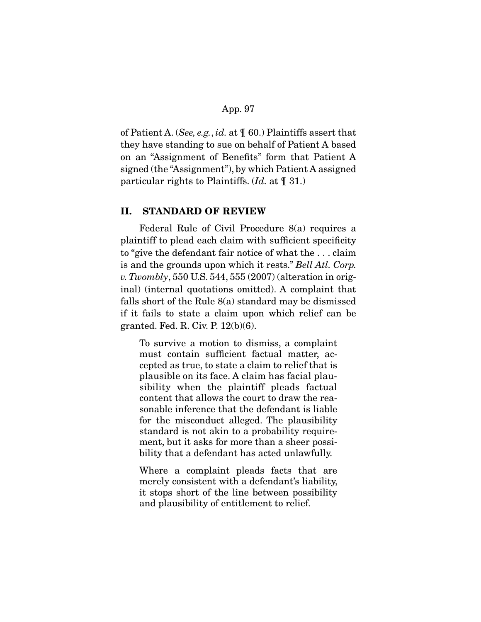of Patient A. (See, e.g., id. at  $\P$  60.) Plaintiffs assert that they have standing to sue on behalf of Patient A based on an "Assignment of Benefits" form that Patient A signed (the "Assignment"), by which Patient A assigned particular rights to Plaintiffs.  $(Id. 31. 0)$ 

# **II. STANDARD OF REVIEW**

Federal Rule of Civil Procedure 8(a) requires a plaintiff to plead each claim with sufficient specificity to "give the defendant fair notice of what the . . . claim is and the grounds upon which it rests." Bell Atl. Corp. v. Twombly, 550 U.S. 544, 555  $(2007)$  (alteration in original) (internal quotations omitted). A complaint that falls short of the Rule 8(a) standard may be dismissed if it fails to state a claim upon which relief can be granted. Fed. R. Civ. P. 12(b)(6).

To survive a motion to dismiss, a complaint must contain sufficient factual matter, accepted as true, to state a claim to relief that is plausible on its face. A claim has facial plausibility when the plaintiff pleads factual content that allows the court to draw the reasonable inference that the defendant is liable for the misconduct alleged. The plausibility standard is not akin to a probability requirement, but it asks for more than a sheer possibility that a defendant has acted unlawfully.

Where a complaint pleads facts that are merely consistent with a defendant's liability, it stops short of the line between possibility and plausibility of entitlement to relief.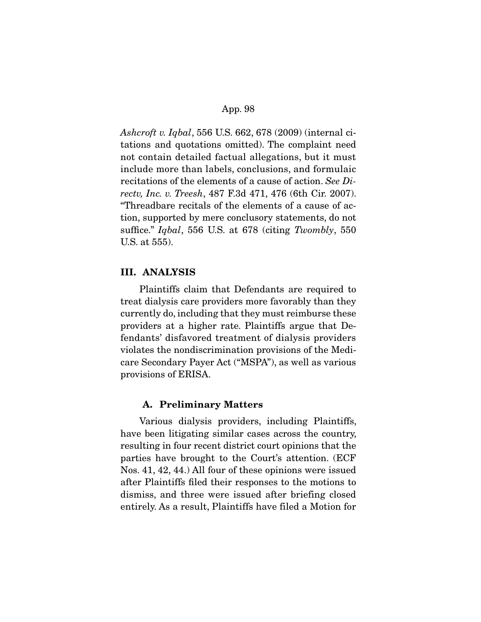Ashcroft v. Iqbal, 556 U.S. 662, 678 (2009) (internal citations and quotations omitted). The complaint need not contain detailed factual allegations, but it must include more than labels, conclusions, and formulaic recitations of the elements of a cause of action. See Directv, Inc. v. Treesh, 487 F.3d 471, 476 (6th Cir. 2007). "Threadbare recitals of the elements of a cause of action, supported by mere conclusory statements, do not suffice." Iqbal, 556 U.S. at 678 (citing Twombly, 550) U.S. at 555).

# **III. ANALYSIS**

Plaintiffs claim that Defendants are required to treat dialysis care providers more favorably than they currently do, including that they must reimburse these providers at a higher rate. Plaintiffs argue that Defendants' disfavored treatment of dialysis providers violates the nondiscrimination provisions of the Medicare Secondary Payer Act ("MSPA"), as well as various provisions of ERISA.

#### **A. Preliminary Matters**

Various dialysis providers, including Plaintiffs, have been litigating similar cases across the country, resulting in four recent district court opinions that the parties have brought to the Court's attention. (ECF Nos. 41, 42, 44.) All four of these opinions were issued after Plaintiffs filed their responses to the motions to dismiss, and three were issued after briefing closed entirely. As a result, Plaintiffs have filed a Motion for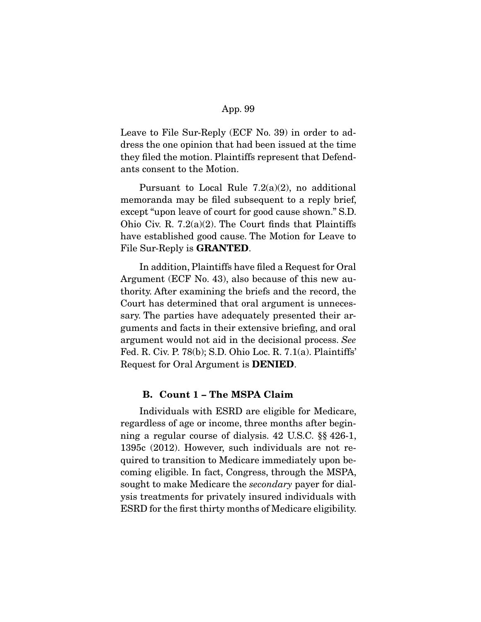Leave to File Sur-Reply (ECF No. 39) in order to address the one opinion that had been issued at the time they filed the motion. Plaintiffs represent that Defendants consent to the Motion.

 Pursuant to Local Rule 7.2(a)(2), no additional memoranda may be filed subsequent to a reply brief, except "upon leave of court for good cause shown." S.D. Ohio Civ. R. 7.2(a)(2). The Court finds that Plaintiffs have established good cause. The Motion for Leave to File Sur-Reply is **GRANTED**.

 In addition, Plaintiffs have filed a Request for Oral Argument (ECF No. 43), also because of this new authority. After examining the briefs and the record, the Court has determined that oral argument is unnecessary. The parties have adequately presented their arguments and facts in their extensive briefing, and oral argument would not aid in the decisional process. See Fed. R. Civ. P. 78(b); S.D. Ohio Loc. R. 7.1(a). Plaintiffs' Request for Oral Argument is **DENIED**.

# **B. Count 1 – The MSPA Claim**

Individuals with ESRD are eligible for Medicare, regardless of age or income, three months after beginning a regular course of dialysis. 42 U.S.C. §§ 426-1, 1395c (2012). However, such individuals are not required to transition to Medicare immediately upon becoming eligible. In fact, Congress, through the MSPA, sought to make Medicare the secondary payer for dialysis treatments for privately insured individuals with ESRD for the first thirty months of Medicare eligibility.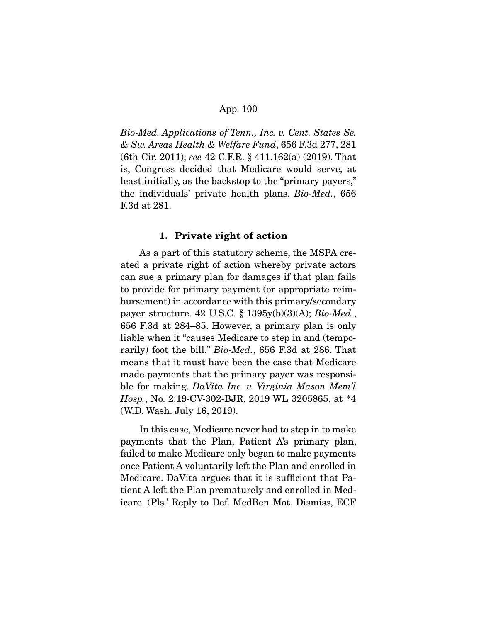Bio-Med. Applications of Tenn., Inc. v. Cent. States Se. & Sw. Areas Health & Welfare Fund, 656 F.3d 277, 281 (6th Cir. 2011); see 42 C.F.R. § 411.162(a) (2019). That is, Congress decided that Medicare would serve, at least initially, as the backstop to the "primary payers," the individuals' private health plans. Bio-Med., 656 F.3d at 281.

#### **1. Private right of action**

As a part of this statutory scheme, the MSPA created a private right of action whereby private actors can sue a primary plan for damages if that plan fails to provide for primary payment (or appropriate reimbursement) in accordance with this primary/secondary payer structure. 42 U.S.C.  $\S 1395y(b)(3)(A); Bio-Med.,$ 656 F.3d at 284–85. However, a primary plan is only liable when it "causes Medicare to step in and (temporarily) foot the bill." Bio-Med., 656 F.3d at 286. That means that it must have been the case that Medicare made payments that the primary payer was responsible for making. DaVita Inc. v. Virginia Mason Mem'l Hosp., No. 2:19-CV-302-BJR, 2019 WL 3205865, at \*4 (W.D. Wash. July 16, 2019).

 In this case, Medicare never had to step in to make payments that the Plan, Patient A's primary plan, failed to make Medicare only began to make payments once Patient A voluntarily left the Plan and enrolled in Medicare. DaVita argues that it is sufficient that Patient A left the Plan prematurely and enrolled in Medicare. (Pls.' Reply to Def. MedBen Mot. Dismiss, ECF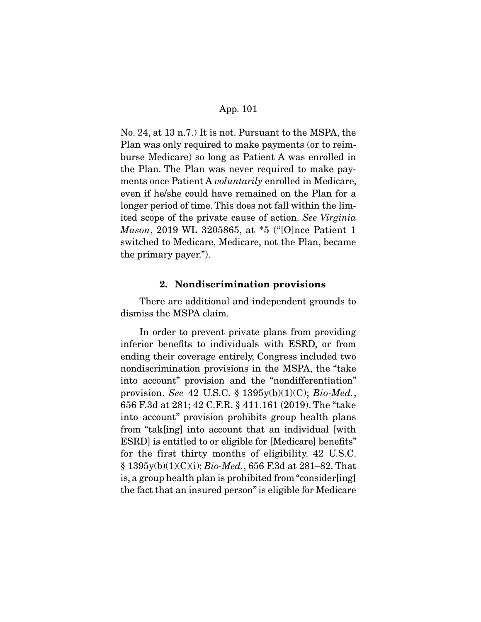No. 24, at 13 n.7.) It is not. Pursuant to the MSPA, the Plan was only required to make payments (or to reimburse Medicare) so long as Patient A was enrolled in the Plan. The Plan was never required to make payments once Patient A *voluntarily* enrolled in Medicare, even if he/she could have remained on the Plan for a longer period of time. This does not fall within the limited scope of the private cause of action. See Virginia Mason, 2019 WL 3205865, at \*5 ("[O]nce Patient 1 switched to Medicare, Medicare, not the Plan, became the primary payer.").

# **2. Nondiscrimination provisions**

There are additional and independent grounds to dismiss the MSPA claim.

 In order to prevent private plans from providing inferior benefits to individuals with ESRD, or from ending their coverage entirely, Congress included two nondiscrimination provisions in the MSPA, the "take into account" provision and the "nondifferentiation" provision. See 42 U.S.C.  $\S 1395y(b)(1)(C)$ ; Bio-Med., 656 F.3d at 281; 42 C.F.R. § 411.161 (2019). The "take into account" provision prohibits group health plans from "tak[ing] into account that an individual [with ESRD] is entitled to or eligible for [Medicare] benefits" for the first thirty months of eligibility. 42 U.S.C. § 1395y(b)(1)(C)(i); Bio-Med., 656 F.3d at 281–82. That is, a group health plan is prohibited from "consider[ing] the fact that an insured person" is eligible for Medicare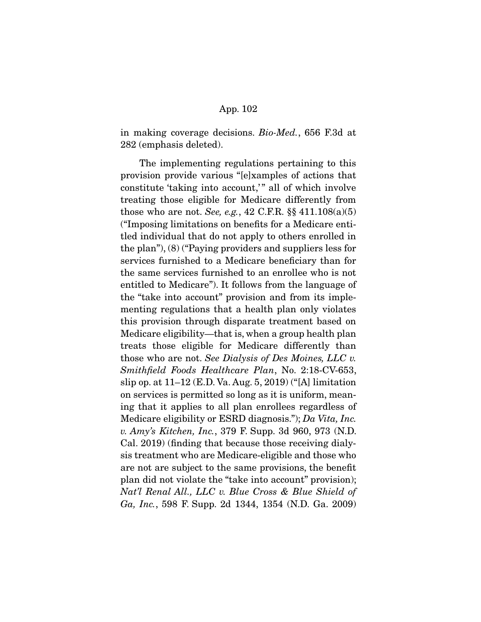in making coverage decisions. Bio-Med., 656 F.3d at 282 (emphasis deleted).

 The implementing regulations pertaining to this provision provide various "[e]xamples of actions that constitute 'taking into account,'" all of which involve treating those eligible for Medicare differently from those who are not. See, e.g., 42 C.F.R.  $\S § 411.108(a)(5)$ ("Imposing limitations on benefits for a Medicare entitled individual that do not apply to others enrolled in the plan"), (8) ("Paying providers and suppliers less for services furnished to a Medicare beneficiary than for the same services furnished to an enrollee who is not entitled to Medicare"). It follows from the language of the "take into account" provision and from its implementing regulations that a health plan only violates this provision through disparate treatment based on Medicare eligibility—that is, when a group health plan treats those eligible for Medicare differently than those who are not. See Dialysis of Des Moines, LLC v. Smithfield Foods Healthcare Plan, No. 2:18-CV-653, slip op. at 11–12 (E.D. Va. Aug. 5, 2019) ("[A] limitation on services is permitted so long as it is uniform, meaning that it applies to all plan enrollees regardless of Medicare eligibility or ESRD diagnosis."); Da Vita, Inc. v. Amy's Kitchen, Inc., 379 F. Supp. 3d 960, 973 (N.D. Cal. 2019) (finding that because those receiving dialysis treatment who are Medicare-eligible and those who are not are subject to the same provisions, the benefit plan did not violate the "take into account" provision); Nat'l Renal All., LLC v. Blue Cross & Blue Shield of Ga, Inc., 598 F. Supp. 2d 1344, 1354 (N.D. Ga. 2009)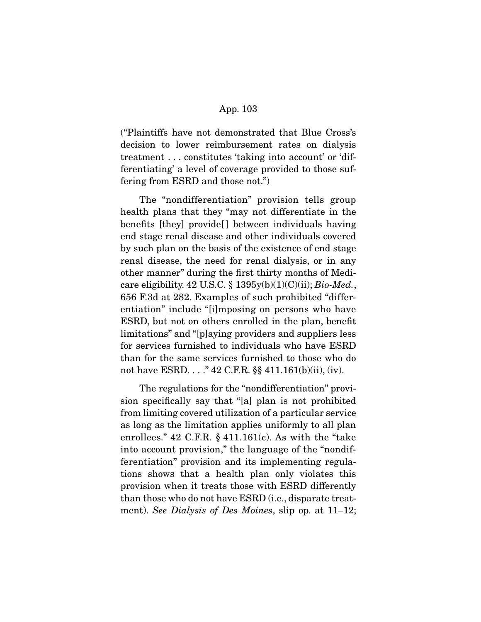("Plaintiffs have not demonstrated that Blue Cross's decision to lower reimbursement rates on dialysis treatment . . . constitutes 'taking into account' or 'differentiating' a level of coverage provided to those suffering from ESRD and those not.")

 The "nondifferentiation" provision tells group health plans that they "may not differentiate in the benefits [they] provide[ ] between individuals having end stage renal disease and other individuals covered by such plan on the basis of the existence of end stage renal disease, the need for renal dialysis, or in any other manner" during the first thirty months of Medicare eligibility. 42 U.S.C. § 1395y(b)(1)(C)(ii);  $Bio-Med.$ , 656 F.3d at 282. Examples of such prohibited "differentiation" include "[i]mposing on persons who have ESRD, but not on others enrolled in the plan, benefit limitations" and "[p]aying providers and suppliers less for services furnished to individuals who have ESRD than for the same services furnished to those who do not have ESRD. . . ." 42 C.F.R. §§ 411.161(b)(ii), (iv).

 The regulations for the "nondifferentiation" provision specifically say that "[a] plan is not prohibited from limiting covered utilization of a particular service as long as the limitation applies uniformly to all plan enrollees."  $42$  C.F.R.  $\S$   $411.161(c)$ . As with the "take" into account provision," the language of the "nondifferentiation" provision and its implementing regulations shows that a health plan only violates this provision when it treats those with ESRD differently than those who do not have ESRD (i.e., disparate treatment). See Dialysis of Des Moines, slip op. at 11–12;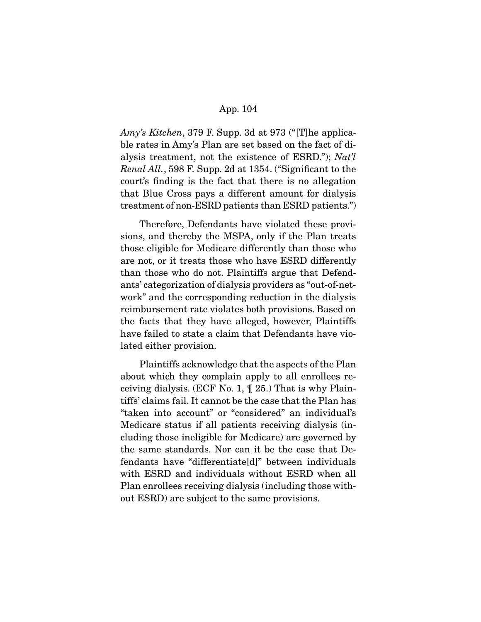Amy's Kitchen, 379 F. Supp. 3d at 973 ("[T]he applicable rates in Amy's Plan are set based on the fact of dialysis treatment, not the existence of ESRD."); Nat'l Renal All., 598 F. Supp. 2d at 1354. ("Significant to the court's finding is the fact that there is no allegation that Blue Cross pays a different amount for dialysis treatment of non-ESRD patients than ESRD patients.")

 Therefore, Defendants have violated these provisions, and thereby the MSPA, only if the Plan treats those eligible for Medicare differently than those who are not, or it treats those who have ESRD differently than those who do not. Plaintiffs argue that Defendants' categorization of dialysis providers as "out-of-network" and the corresponding reduction in the dialysis reimbursement rate violates both provisions. Based on the facts that they have alleged, however, Plaintiffs have failed to state a claim that Defendants have violated either provision.

 Plaintiffs acknowledge that the aspects of the Plan about which they complain apply to all enrollees receiving dialysis. (ECF No. 1, ¶ 25.) That is why Plaintiffs' claims fail. It cannot be the case that the Plan has "taken into account" or "considered" an individual's Medicare status if all patients receiving dialysis (including those ineligible for Medicare) are governed by the same standards. Nor can it be the case that Defendants have "differentiate[d]" between individuals with ESRD and individuals without ESRD when all Plan enrollees receiving dialysis (including those without ESRD) are subject to the same provisions.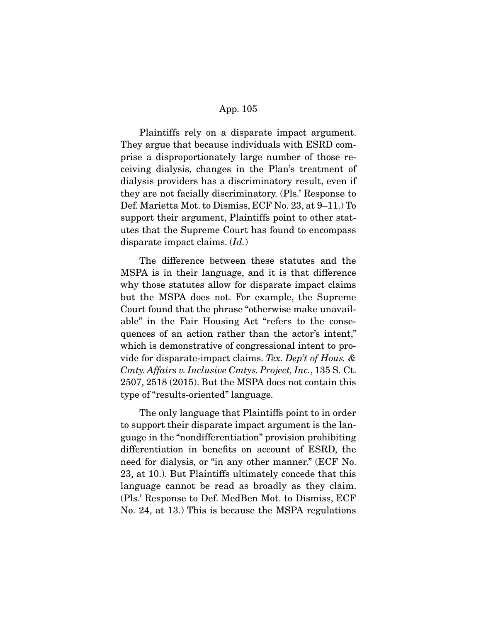Plaintiffs rely on a disparate impact argument. They argue that because individuals with ESRD comprise a disproportionately large number of those receiving dialysis, changes in the Plan's treatment of dialysis providers has a discriminatory result, even if they are not facially discriminatory. (Pls.' Response to Def. Marietta Mot. to Dismiss, ECF No. 23, at 9–11.) To support their argument, Plaintiffs point to other statutes that the Supreme Court has found to encompass disparate impact claims. (Id.)

 The difference between these statutes and the MSPA is in their language, and it is that difference why those statutes allow for disparate impact claims but the MSPA does not. For example, the Supreme Court found that the phrase "otherwise make unavailable" in the Fair Housing Act "refers to the consequences of an action rather than the actor's intent," which is demonstrative of congressional intent to provide for disparate-impact claims. Tex. Dep't of Hous. & Cmty. Affairs v. Inclusive Cmtys. Project, Inc., 135 S. Ct. 2507, 2518 (2015). But the MSPA does not contain this type of "results-oriented" language.

The only language that Plaintiffs point to in order to support their disparate impact argument is the language in the "nondifferentiation" provision prohibiting differentiation in benefits on account of ESRD, the need for dialysis, or "in any other manner." (ECF No. 23, at 10.). But Plaintiffs ultimately concede that this language cannot be read as broadly as they claim. (Pls.' Response to Def. MedBen Mot. to Dismiss, ECF No. 24, at 13.) This is because the MSPA regulations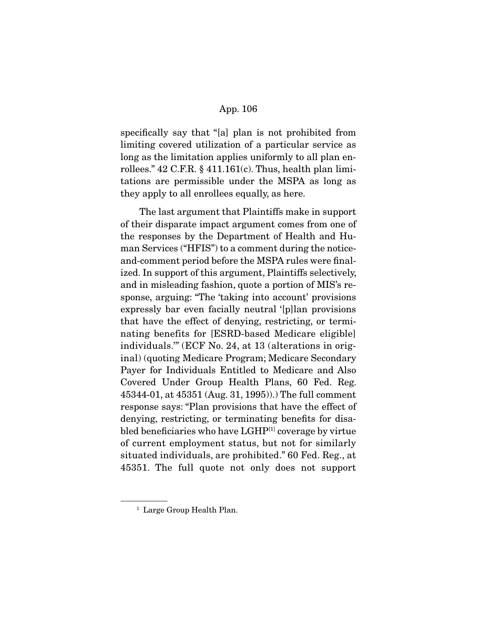specifically say that "[a] plan is not prohibited from limiting covered utilization of a particular service as long as the limitation applies uniformly to all plan enrollees."  $42$  C.F.R. §  $411.161(c)$ . Thus, health plan limitations are permissible under the MSPA as long as they apply to all enrollees equally, as here.

 The last argument that Plaintiffs make in support of their disparate impact argument comes from one of the responses by the Department of Health and Human Services ("HFIS") to a comment during the noticeand-comment period before the MSPA rules were finalized. In support of this argument, Plaintiffs selectively, and in misleading fashion, quote a portion of MIS's response, arguing: "The 'taking into account' provisions expressly bar even facially neutral '[p]lan provisions that have the effect of denying, restricting, or terminating benefits for [ESRD-based Medicare eligible] individuals.'" (ECF No. 24, at 13 (alterations in original) (quoting Medicare Program; Medicare Secondary Payer for Individuals Entitled to Medicare and Also Covered Under Group Health Plans, 60 Fed. Reg. 45344-01, at 45351 (Aug. 31, 1995)).) The full comment response says: "Plan provisions that have the effect of denying, restricting, or terminating benefits for disabled beneficiaries who have LGHP<sup>[1]</sup> coverage by virtue of current employment status, but not for similarly situated individuals, are prohibited." 60 Fed. Reg., at 45351. The full quote not only does not support

<sup>&</sup>lt;sup>1</sup> Large Group Health Plan.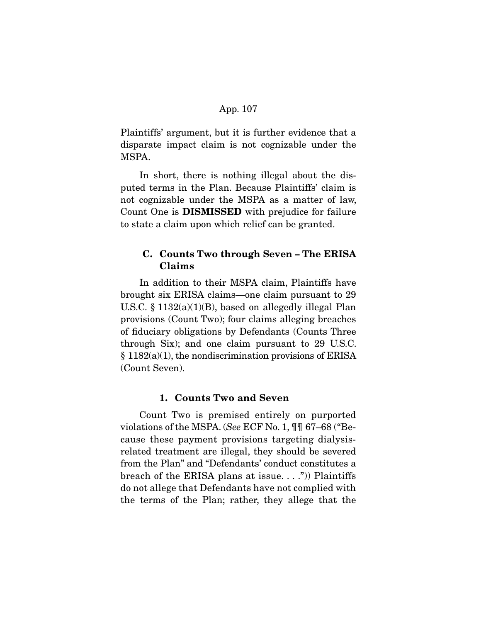Plaintiffs' argument, but it is further evidence that a disparate impact claim is not cognizable under the MSPA.

 In short, there is nothing illegal about the disputed terms in the Plan. Because Plaintiffs' claim is not cognizable under the MSPA as a matter of law, Count One is **DISMISSED** with prejudice for failure to state a claim upon which relief can be granted.

# **C. Counts Two through Seven – The ERISA Claims**

In addition to their MSPA claim, Plaintiffs have brought six ERISA claims—one claim pursuant to 29 U.S.C. § 1132(a)(1)(B), based on allegedly illegal Plan provisions (Count Two); four claims alleging breaches of fiduciary obligations by Defendants (Counts Three through Six); and one claim pursuant to 29 U.S.C. § 1182(a)(1), the nondiscrimination provisions of ERISA (Count Seven).

# **1. Counts Two and Seven**

Count Two is premised entirely on purported violations of the MSPA. (See ECF No. 1, ¶¶ 67–68 ("Because these payment provisions targeting dialysisrelated treatment are illegal, they should be severed from the Plan" and "Defendants' conduct constitutes a breach of the ERISA plans at issue....")) Plaintiffs do not allege that Defendants have not complied with the terms of the Plan; rather, they allege that the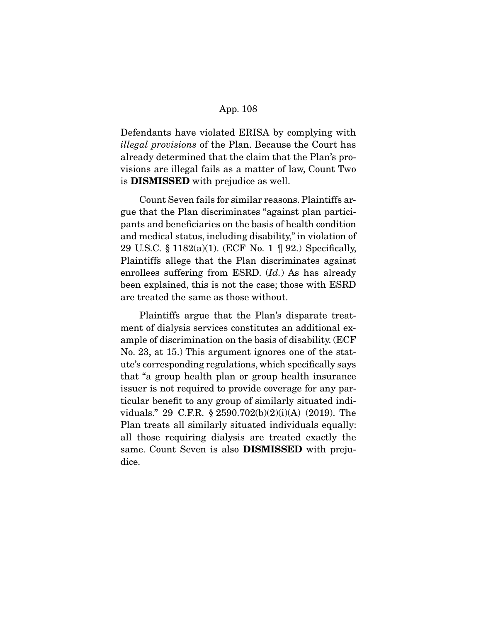Defendants have violated ERISA by complying with illegal provisions of the Plan. Because the Court has already determined that the claim that the Plan's provisions are illegal fails as a matter of law, Count Two is **DISMISSED** with prejudice as well.

 Count Seven fails for similar reasons. Plaintiffs argue that the Plan discriminates "against plan participants and beneficiaries on the basis of health condition and medical status, including disability," in violation of 29 U.S.C. § 1182(a)(1). (ECF No. 1 ¶ 92.) Specifically, Plaintiffs allege that the Plan discriminates against enrollees suffering from ESRD. (Id.) As has already been explained, this is not the case; those with ESRD are treated the same as those without.

 Plaintiffs argue that the Plan's disparate treatment of dialysis services constitutes an additional example of discrimination on the basis of disability. (ECF No. 23, at 15.) This argument ignores one of the statute's corresponding regulations, which specifically says that "a group health plan or group health insurance issuer is not required to provide coverage for any particular benefit to any group of similarly situated individuals." 29 C.F.R. § 2590.702(b)(2)(i)(A) (2019). The Plan treats all similarly situated individuals equally: all those requiring dialysis are treated exactly the same. Count Seven is also **DISMISSED** with prejudice.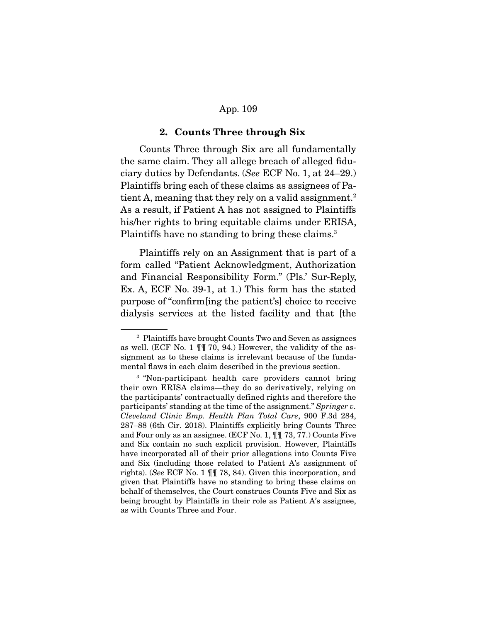#### **2. Counts Three through Six**

 Counts Three through Six are all fundamentally the same claim. They all allege breach of alleged fiduciary duties by Defendants. (See ECF No. 1, at 24–29.) Plaintiffs bring each of these claims as assignees of Patient A, meaning that they rely on a valid assignment.<sup>2</sup> As a result, if Patient A has not assigned to Plaintiffs his/her rights to bring equitable claims under ERISA, Plaintiffs have no standing to bring these claims.<sup>3</sup>

 Plaintiffs rely on an Assignment that is part of a form called "Patient Acknowledgment, Authorization and Financial Responsibility Form." (Pls.' Sur-Reply, Ex. A, ECF No. 39-1, at 1.) This form has the stated purpose of "confirm[ing the patient's] choice to receive dialysis services at the listed facility and that [the

<sup>2</sup> Plaintiffs have brought Counts Two and Seven as assignees as well. (ECF No. 1 ¶¶ 70, 94.) However, the validity of the assignment as to these claims is irrelevant because of the fundamental flaws in each claim described in the previous section.

<sup>3</sup> "Non-participant health care providers cannot bring their own ERISA claims—they do so derivatively, relying on the participants' contractually defined rights and therefore the participants' standing at the time of the assignment." Springer v. Cleveland Clinic Emp. Health Plan Total Care, 900 F.3d 284, 287–88 (6th Cir. 2018). Plaintiffs explicitly bring Counts Three and Four only as an assignee. (ECF No. 1, ¶¶ 73, 77.) Counts Five and Six contain no such explicit provision. However, Plaintiffs have incorporated all of their prior allegations into Counts Five and Six (including those related to Patient A's assignment of rights). (See ECF No. 1 ¶¶ 78, 84). Given this incorporation, and given that Plaintiffs have no standing to bring these claims on behalf of themselves, the Court construes Counts Five and Six as being brought by Plaintiffs in their role as Patient A's assignee, as with Counts Three and Four.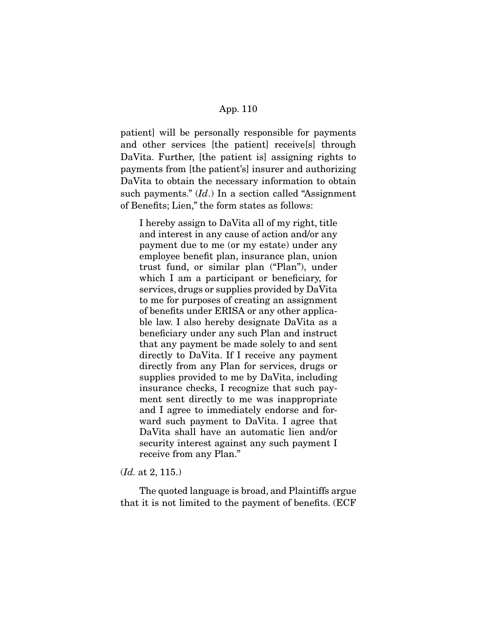patient] will be personally responsible for payments and other services [the patient] receive[s] through DaVita. Further, [the patient is] assigning rights to payments from [the patient's] insurer and authorizing DaVita to obtain the necessary information to obtain such payments."  $(Id.)$  In a section called "Assignment" of Benefits; Lien," the form states as follows:

I hereby assign to DaVita all of my right, title and interest in any cause of action and/or any payment due to me (or my estate) under any employee benefit plan, insurance plan, union trust fund, or similar plan ("Plan"), under which I am a participant or beneficiary, for services, drugs or supplies provided by DaVita to me for purposes of creating an assignment of benefits under ERISA or any other applicable law. I also hereby designate DaVita as a beneficiary under any such Plan and instruct that any payment be made solely to and sent directly to DaVita. If I receive any payment directly from any Plan for services, drugs or supplies provided to me by DaVita, including insurance checks, I recognize that such payment sent directly to me was inappropriate and I agree to immediately endorse and forward such payment to DaVita. I agree that DaVita shall have an automatic lien and/or security interest against any such payment I receive from any Plan."

# (Id. at 2, 115.)

The quoted language is broad, and Plaintiffs argue that it is not limited to the payment of benefits. (ECF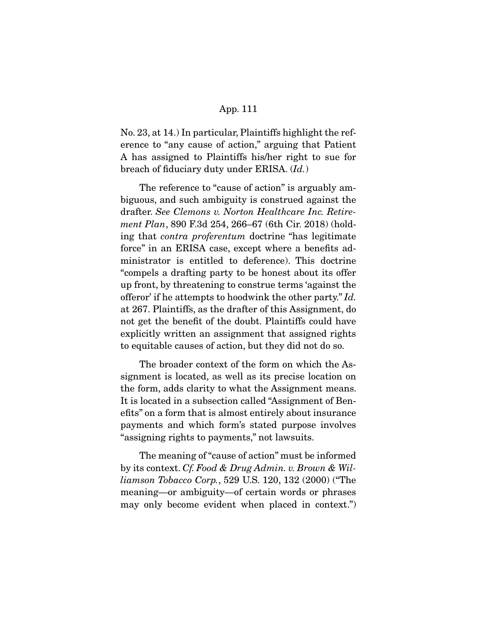No. 23, at 14.) In particular, Plaintiffs highlight the reference to "any cause of action," arguing that Patient A has assigned to Plaintiffs his/her right to sue for breach of fiduciary duty under ERISA. (Id.)

 The reference to "cause of action" is arguably ambiguous, and such ambiguity is construed against the drafter. See Clemons v. Norton Healthcare Inc. Retirement Plan, 890 F.3d 254, 266–67 (6th Cir. 2018) (holding that contra proferentum doctrine "has legitimate force" in an ERISA case, except where a benefits administrator is entitled to deference). This doctrine "compels a drafting party to be honest about its offer up front, by threatening to construe terms 'against the offeror' if he attempts to hoodwink the other party." Id. at 267. Plaintiffs, as the drafter of this Assignment, do not get the benefit of the doubt. Plaintiffs could have explicitly written an assignment that assigned rights to equitable causes of action, but they did not do so.

 The broader context of the form on which the Assignment is located, as well as its precise location on the form, adds clarity to what the Assignment means. It is located in a subsection called "Assignment of Benefits" on a form that is almost entirely about insurance payments and which form's stated purpose involves "assigning rights to payments," not lawsuits.

 The meaning of "cause of action" must be informed by its context. Cf. Food & Drug Admin. v. Brown & Williamson Tobacco Corp., 529 U.S. 120, 132 (2000) ("The meaning—or ambiguity—of certain words or phrases may only become evident when placed in context.")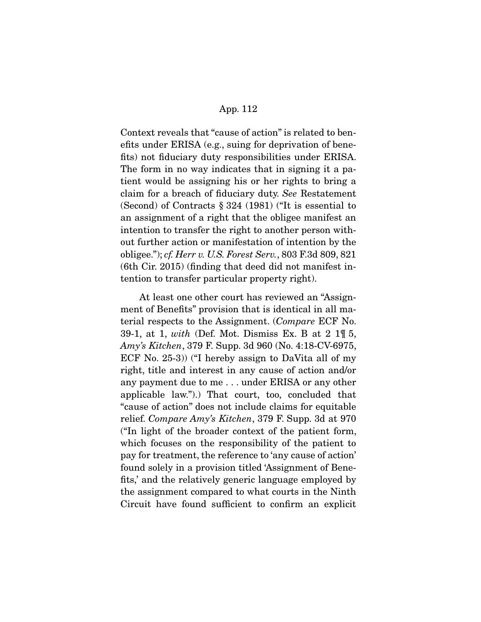Context reveals that "cause of action" is related to benefits under ERISA (e.g., suing for deprivation of benefits) not fiduciary duty responsibilities under ERISA. The form in no way indicates that in signing it a patient would be assigning his or her rights to bring a claim for a breach of fiduciary duty. See Restatement (Second) of Contracts § 324 (1981) ("It is essential to an assignment of a right that the obligee manifest an intention to transfer the right to another person without further action or manifestation of intention by the obligee."); cf. Herr v. U.S. Forest Serv., 803 F.3d 809, 821 (6th Cir. 2015) (finding that deed did not manifest intention to transfer particular property right).

 At least one other court has reviewed an "Assignment of Benefits" provision that is identical in all material respects to the Assignment. (Compare ECF No. 39-1, at 1, with (Def. Mot. Dismiss Ex. B at  $2 \text{ } 1\text{ } \text{ } 1\text{ } 5$ , Amy's Kitchen, 379 F. Supp. 3d 960 (No. 4:18-CV-6975, ECF No. 25-3)) ("I hereby assign to DaVita all of my right, title and interest in any cause of action and/or any payment due to me . . . under ERISA or any other applicable law.").) That court, too, concluded that "cause of action" does not include claims for equitable relief. Compare Amy's Kitchen, 379 F. Supp. 3d at 970 ("In light of the broader context of the patient form, which focuses on the responsibility of the patient to pay for treatment, the reference to 'any cause of action' found solely in a provision titled 'Assignment of Benefits,' and the relatively generic language employed by the assignment compared to what courts in the Ninth Circuit have found sufficient to confirm an explicit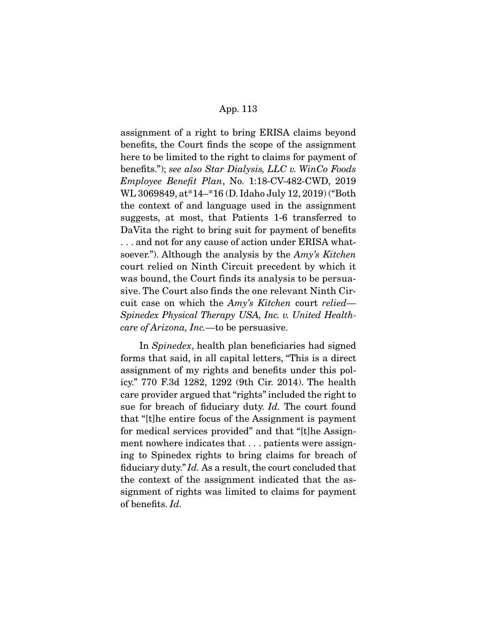assignment of a right to bring ERISA claims beyond benefits, the Court finds the scope of the assignment here to be limited to the right to claims for payment of benefits."); see also Star Dialysis, LLC v. WinCo Foods Employee Benefit Plan, No. 1:18-CV-482-CWD, 2019 WL 3069849, at\*14–\*16 (D. Idaho July 12, 2019) ("Both the context of and language used in the assignment suggests, at most, that Patients 1-6 transferred to DaVita the right to bring suit for payment of benefits . . . and not for any cause of action under ERISA whatsoever."). Although the analysis by the Amy's Kitchen court relied on Ninth Circuit precedent by which it was bound, the Court finds its analysis to be persuasive. The Court also finds the one relevant Ninth Circuit case on which the Amy's Kitchen court relied— Spinedex Physical Therapy USA, Inc. v. United Healthcare of Arizona, Inc.—to be persuasive.

 In Spinedex, health plan beneficiaries had signed forms that said, in all capital letters, "This is a direct assignment of my rights and benefits under this policy." 770 F.3d 1282, 1292 (9th Cir. 2014). The health care provider argued that "rights" included the right to sue for breach of fiduciary duty. Id. The court found that "[t]he entire focus of the Assignment is payment for medical services provided" and that "[t]he Assignment nowhere indicates that . . . patients were assigning to Spinedex rights to bring claims for breach of fiduciary duty." Id. As a result, the court concluded that the context of the assignment indicated that the assignment of rights was limited to claims for payment of benefits. Id.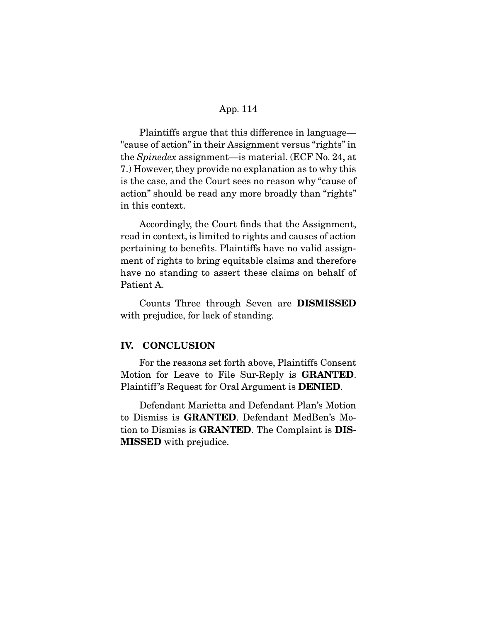Plaintiffs argue that this difference in language— "cause of action" in their Assignment versus "rights" in the Spinedex assignment—is material. (ECF No. 24, at 7.) However, they provide no explanation as to why this is the case, and the Court sees no reason why "cause of action" should be read any more broadly than "rights" in this context.

 Accordingly, the Court finds that the Assignment, read in context, is limited to rights and causes of action pertaining to benefits. Plaintiffs have no valid assignment of rights to bring equitable claims and therefore have no standing to assert these claims on behalf of Patient A.

 Counts Three through Seven are **DISMISSED**  with prejudice, for lack of standing.

# **IV. CONCLUSION**

 For the reasons set forth above, Plaintiffs Consent Motion for Leave to File Sur-Reply is **GRANTED**. Plaintiff 's Request for Oral Argument is **DENIED**.

 Defendant Marietta and Defendant Plan's Motion to Dismiss is **GRANTED**. Defendant MedBen's Motion to Dismiss is **GRANTED**. The Complaint is **DIS-MISSED** with prejudice.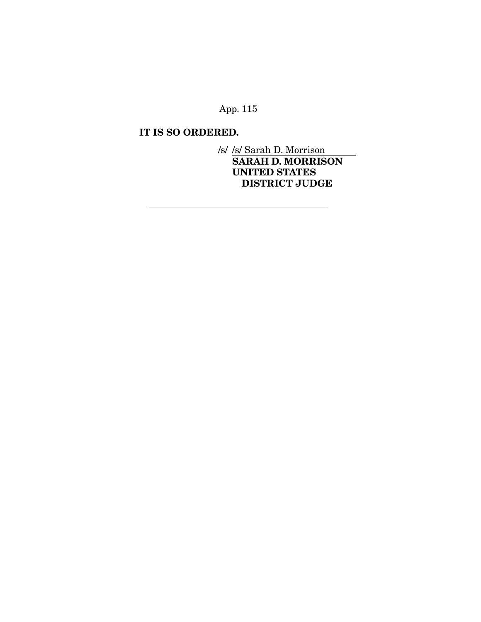# **IT IS SO ORDERED.**

/s/ /s/ Sarah D. Morrison **SARAH D. MORRISON UNITED STATES DISTRICT JUDGE** 

 $\overline{a}$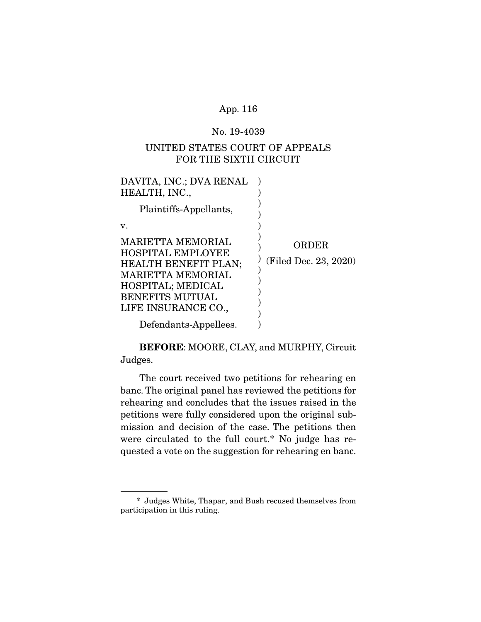#### No. 19-4039

# UNITED STATES COURT OF APPEALS FOR THE SIXTH CIRCUIT

| DAVITA, INC.; DVA RENAL<br>HEALTH, INC.,                                                                                                                                              |                                |
|---------------------------------------------------------------------------------------------------------------------------------------------------------------------------------------|--------------------------------|
| Plaintiffs-Appellants,                                                                                                                                                                |                                |
| v.                                                                                                                                                                                    |                                |
| <b>MARIETTA MEMORIAL</b><br><b>HOSPITAL EMPLOYEE</b><br><b>HEALTH BENEFIT PLAN;</b><br><b>MARIETTA MEMORIAL</b><br>HOSPITAL; MEDICAL<br><b>BENEFITS MUTUAL</b><br>LIFE INSURANCE CO., | ORDER<br>(Filed Dec. 23, 2020) |
| Defendants-Appellees.                                                                                                                                                                 |                                |

**BEFORE**: MOORE, CLAY, and MURPHY, Circuit Judges.

The court received two petitions for rehearing en banc. The original panel has reviewed the petitions for rehearing and concludes that the issues raised in the petitions were fully considered upon the original submission and decision of the case. The petitions then were circulated to the full court.\* No judge has requested a vote on the suggestion for rehearing en banc.

 <sup>\*</sup> Judges White, Thapar, and Bush recused themselves from participation in this ruling.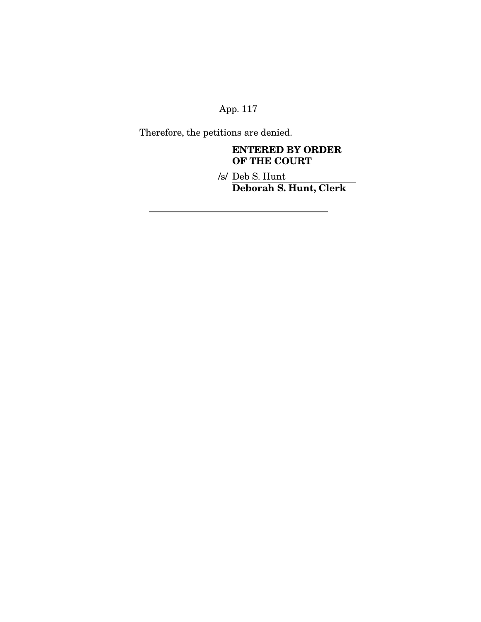Therefore, the petitions are denied.

# **ENTERED BY ORDER OF THE COURT**

/s/ Deb S. Hunt **Deborah S. Hunt, Clerk**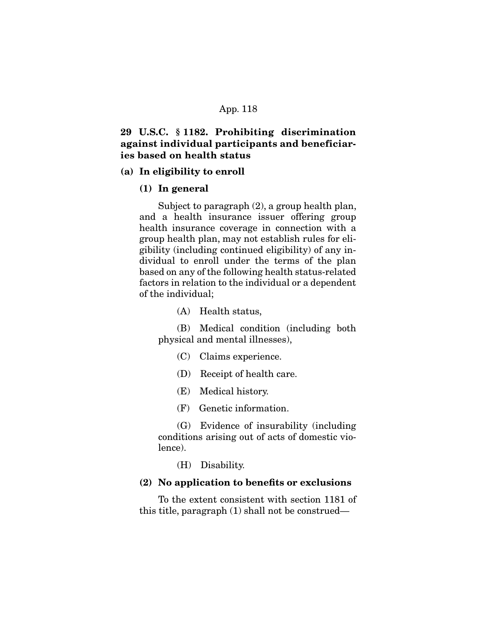# **29 U.S.C. § 1182. Prohibiting discrimination against individual participants and beneficiaries based on health status**

#### **(a) In eligibility to enroll**

#### **(1) In general**

 Subject to paragraph (2), a group health plan, and a health insurance issuer offering group health insurance coverage in connection with a group health plan, may not establish rules for eligibility (including continued eligibility) of any individual to enroll under the terms of the plan based on any of the following health status-related factors in relation to the individual or a dependent of the individual;

(A) Health status,

 (B) Medical condition (including both physical and mental illnesses),

(C) Claims experience.

(D) Receipt of health care.

- (E) Medical history.
- (F) Genetic information.

 (G) Evidence of insurability (including conditions arising out of acts of domestic violence).

(H) Disability.

#### **(2) No application to benefits or exclusions**

 To the extent consistent with section 1181 of this title, paragraph (1) shall not be construed—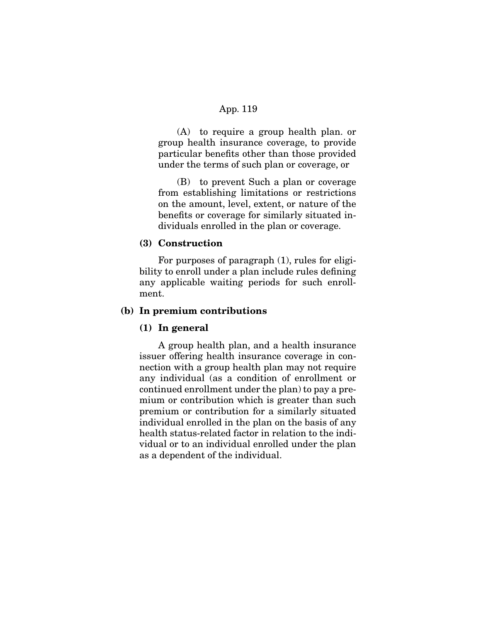(A) to require a group health plan. or group health insurance coverage, to provide particular benefits other than those provided under the terms of such plan or coverage, or

(B) to prevent Such a plan or coverage from establishing limitations or restrictions on the amount, level, extent, or nature of the benefits or coverage for similarly situated individuals enrolled in the plan or coverage.

# **(3) Construction**

 For purposes of paragraph (1), rules for eligibility to enroll under a plan include rules defining any applicable waiting periods for such enrollment.

# **(b) In premium contributions**

## **(1) In general**

 A group health plan, and a health insurance issuer offering health insurance coverage in connection with a group health plan may not require any individual (as a condition of enrollment or continued enrollment under the plan) to pay a premium or contribution which is greater than such premium or contribution for a similarly situated individual enrolled in the plan on the basis of any health status-related factor in relation to the individual or to an individual enrolled under the plan as a dependent of the individual.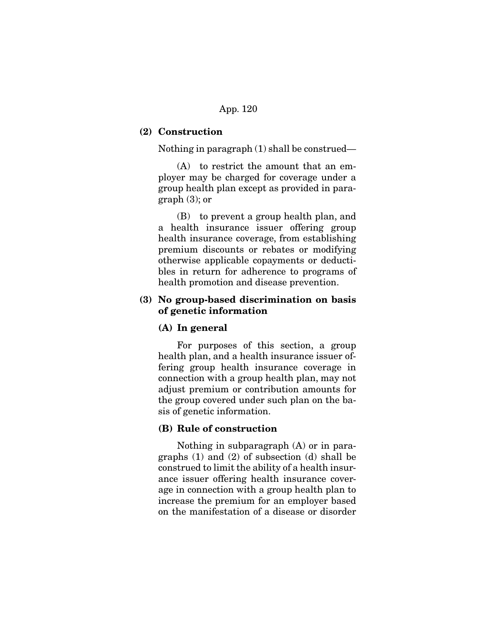## **(2) Construction**

Nothing in paragraph (1) shall be construed—

 (A) to restrict the amount that an employer may be charged for coverage under a group health plan except as provided in paragraph (3); or

 (B) to prevent a group health plan, and a health insurance issuer offering group health insurance coverage, from establishing premium discounts or rebates or modifying otherwise applicable copayments or deductibles in return for adherence to programs of health promotion and disease prevention.

# **(3) No group-based discrimination on basis of genetic information**

## **(A) In general**

 For purposes of this section, a group health plan, and a health insurance issuer offering group health insurance coverage in connection with a group health plan, may not adjust premium or contribution amounts for the group covered under such plan on the basis of genetic information.

## **(B) Rule of construction**

 Nothing in subparagraph (A) or in paragraphs (1) and (2) of subsection (d) shall be construed to limit the ability of a health insurance issuer offering health insurance coverage in connection with a group health plan to increase the premium for an employer based on the manifestation of a disease or disorder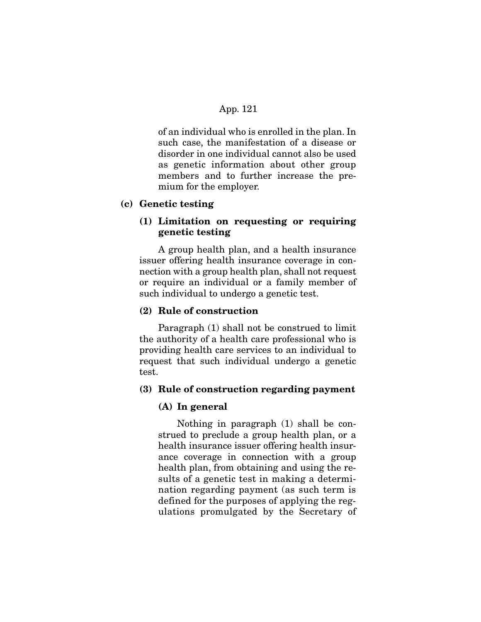of an individual who is enrolled in the plan. In such case, the manifestation of a disease or disorder in one individual cannot also be used as genetic information about other group members and to further increase the premium for the employer.

#### **(c) Genetic testing**

# **(1) Limitation on requesting or requiring genetic testing**

 A group health plan, and a health insurance issuer offering health insurance coverage in connection with a group health plan, shall not request or require an individual or a family member of such individual to undergo a genetic test.

# **(2) Rule of construction**

 Paragraph (1) shall not be construed to limit the authority of a health care professional who is providing health care services to an individual to request that such individual undergo a genetic test.

#### **(3) Rule of construction regarding payment**

#### **(A) In general**

 Nothing in paragraph (1) shall be construed to preclude a group health plan, or a health insurance issuer offering health insurance coverage in connection with a group health plan, from obtaining and using the results of a genetic test in making a determination regarding payment (as such term is defined for the purposes of applying the regulations promulgated by the Secretary of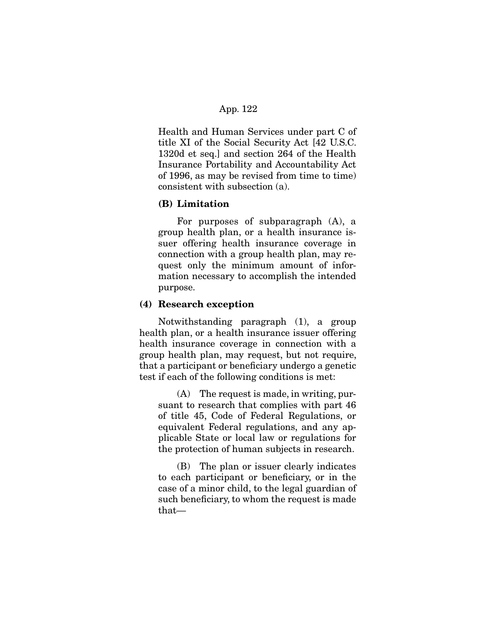Health and Human Services under part C of title XI of the Social Security Act [42 U.S.C. 1320d et seq.] and section 264 of the Health Insurance Portability and Accountability Act of 1996, as may be revised from time to time) consistent with subsection (a).

#### **(B) Limitation**

 For purposes of subparagraph (A), a group health plan, or a health insurance issuer offering health insurance coverage in connection with a group health plan, may request only the minimum amount of information necessary to accomplish the intended purpose.

#### **(4) Research exception**

 Notwithstanding paragraph (1), a group health plan, or a health insurance issuer offering health insurance coverage in connection with a group health plan, may request, but not require, that a participant or beneficiary undergo a genetic test if each of the following conditions is met:

 (A) The request is made, in writing, pursuant to research that complies with part 46 of title 45, Code of Federal Regulations, or equivalent Federal regulations, and any applicable State or local law or regulations for the protection of human subjects in research.

 (B) The plan or issuer clearly indicates to each participant or beneficiary, or in the case of a minor child, to the legal guardian of such beneficiary, to whom the request is made that—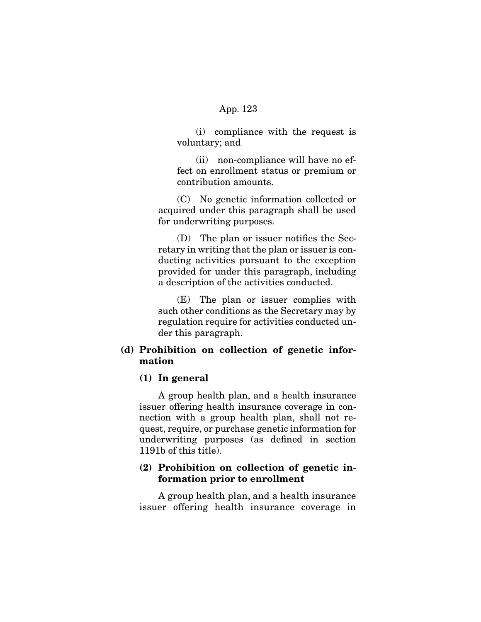(i) compliance with the request is voluntary; and

 (ii) non-compliance will have no effect on enrollment status or premium or contribution amounts.

 (C) No genetic information collected or acquired under this paragraph shall be used for underwriting purposes.

 (D) The plan or issuer notifies the Secretary in writing that the plan or issuer is conducting activities pursuant to the exception provided for under this paragraph, including a description of the activities conducted.

 (E) The plan or issuer complies with such other conditions as the Secretary may by regulation require for activities conducted under this paragraph.

# **(d) Prohibition on collection of genetic information**

#### **(1) In general**

 A group health plan, and a health insurance issuer offering health insurance coverage in connection with a group health plan, shall not request, require, or purchase genetic information for underwriting purposes (as defined in section 1191b of this title).

# **(2) Prohibition on collection of genetic information prior to enrollment**

 A group health plan, and a health insurance issuer offering health insurance coverage in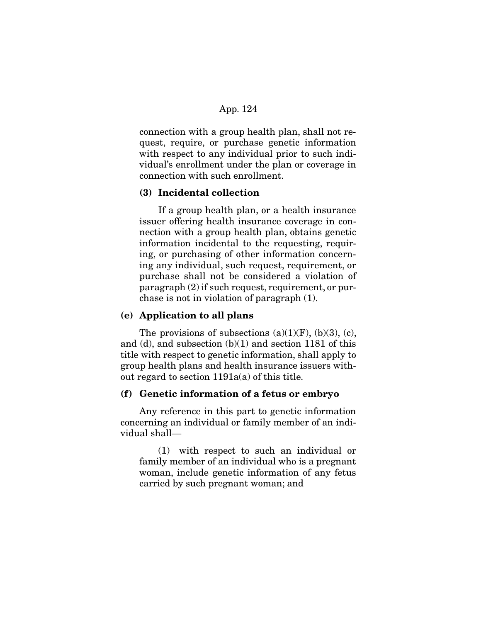connection with a group health plan, shall not request, require, or purchase genetic information with respect to any individual prior to such individual's enrollment under the plan or coverage in connection with such enrollment.

## **(3) Incidental collection**

 If a group health plan, or a health insurance issuer offering health insurance coverage in connection with a group health plan, obtains genetic information incidental to the requesting, requiring, or purchasing of other information concerning any individual, such request, requirement, or purchase shall not be considered a violation of paragraph (2) if such request, requirement, or purchase is not in violation of paragraph (1).

#### **(e) Application to all plans**

The provisions of subsections  $(a)(1)(F)$ ,  $(b)(3)$ ,  $(c)$ , and (d), and subsection (b)(1) and section 1181 of this title with respect to genetic information, shall apply to group health plans and health insurance issuers without regard to section 1191a(a) of this title.

# **(f) Genetic information of a fetus or embryo**

 Any reference in this part to genetic information concerning an individual or family member of an individual shall—

 (1) with respect to such an individual or family member of an individual who is a pregnant woman, include genetic information of any fetus carried by such pregnant woman; and